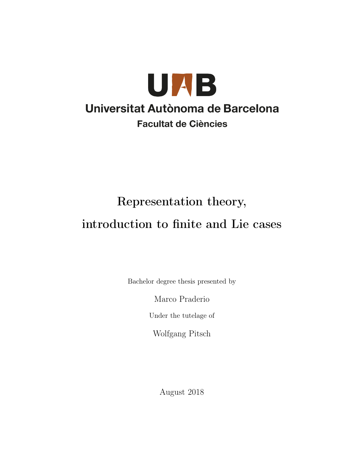

# Representation theory, introduction to finite and Lie cases

Bachelor degree thesis presented by

Marco Praderio

Under the tutelage of

Wolfgang Pitsch

August 2018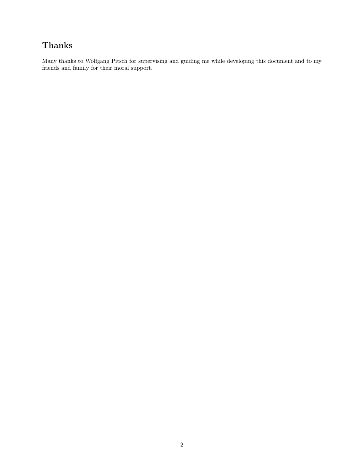# Thanks

Many thanks to Wolfgang Pitsch for supervising and guiding me while developing this document and to my friends and family for their moral support.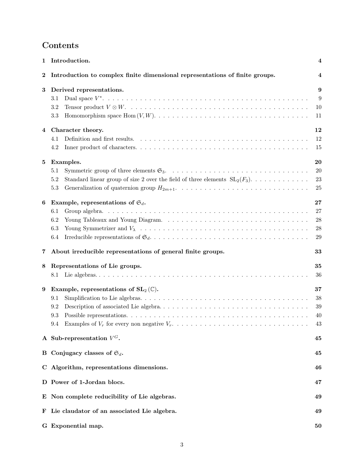# Contents

| 1        | Introduction.                                                                                                               | 4                                        |
|----------|-----------------------------------------------------------------------------------------------------------------------------|------------------------------------------|
| $\bf{2}$ | Introduction to complex finite dimensional representations of finite groups.                                                | $\overline{\bf 4}$                       |
| 3        | Derived representations.<br>3.1<br>3.2<br>3.3                                                                               | 9<br>9<br>10<br>11                       |
|          | 4 Character theory.<br>4.1<br>4.2                                                                                           | 12<br>12<br>15                           |
| 5        | Examples.<br>5.1<br>Standard linear group of size 2 over the field of three elements $SL_2(F_3)$<br>5.2<br>5.3              | 20<br>20<br>23<br>25                     |
| 6        | Example, representations of $\mathfrak{S}_d$ .<br>6.1<br>6.2<br>6.3<br>6.4                                                  | 27<br>27<br>${\bf 28}$<br>$\rm 28$<br>29 |
| 7        | About irreducible representations of general finite groups.                                                                 | 33                                       |
| 8        | Representations of Lie groups.                                                                                              | 35<br>36                                 |
| 9        | Example, representations of $SL_2(\mathbb{C})$ .<br>9.1<br>9.2<br>9.3<br>9.4 Examples of $V_r$ for every non negative $V_r$ | 37<br>38<br>39<br>40<br>43               |
|          | A Sub-representation $V^G$ .                                                                                                | 45                                       |
|          | B Conjugacy classes of $\mathfrak{S}_d$ .                                                                                   | 45                                       |
|          | C Algorithm, representations dimensions.                                                                                    | 46                                       |
|          | D Power of 1-Jordan blocs.                                                                                                  | 47                                       |
|          | E Non complete reducibility of Lie algebras.                                                                                | 49                                       |
| F        | Lie claudator of an associated Lie algebra.                                                                                 | 49                                       |
|          | G Exponential map.                                                                                                          | 50                                       |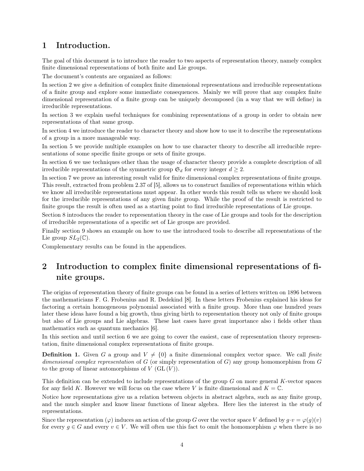## 1 Introduction.

The goal of this document is to introduce the reader to two aspects of representation theory, namely complex finite dimensional representations of both finite and Lie groups.

The document's contents are organized as follows:

In section 2 we give a definition of complex finite dimensional representations and irreducible representations of a finite group and explore some immediate consequences. Mainly we will prove that any complex finite dimensional representation of a finite group can be uniquely decomposed (in a way that we will define) in irreducible representations.

In section 3 we explain useful techniques for combining representations of a group in order to obtain new representations of that same group.

In section 4 we introduce the reader to character theory and show how to use it to describe the representations of a group in a more manageable way.

In section 5 we provide multiple examples on how to use character theory to describe all irreducible representations of some specific finite groups or sets of finite groups.

In section 6 we use techniques other than the usage of character theory provide a complete description of all irreducible representations of the symmetric group  $\mathfrak{S}_d$  for every integer  $d \geq 2$ .

In section 7 we prove an interesting result valid for finite dimensional complex representations of finite groups. This result, extracted from problem 2.37 of [5], allows us to construct families of representations within which we know all irreducible representations must appear. In other words this result tells us where we should look for the irreducible representations of any given finite group. While the proof of the result is restricted to finite groups the result is often used as a starting point to find irreducible representations of Lie groups.

Section 8 introduces the reader to representation theory in the case of Lie groups and tools for the description of irreducible representations of a specific set of Lie groups are provided.

Finally section 9 shows an example on how to use the introduced tools to describe all representations of the Lie group  $SL_2(\mathbb{C})$ .

Complementary results can be found in the appendices.

# 2 Introduction to complex finite dimensional representations of finite groups.

The origins of representation theory of finite groups can be found in a series of letters written on 1896 between the mathematicians F. G. Frobenius and R. Dedekind [8]. In these letters Frobenius explained his ideas for factoring a certain homogeneous polynomial associated with a finite group. More than one hundred years later these ideas have found a big growth, thus giving birth to representation theory not only of finite groups but also of Lie groups and Lie algebras. These last cases have great importance also i fields other than mathematics such as quantum mechanics [6].

In this section and until section 6 we are going to cover the easiest, case of representation theory representation, finite dimensional complex representations of finite groups.

**Definition 1.** Given G a group and  $V \neq \{0\}$  a finite dimensional complex vector space. We call finite dimensional complex representation of G (or simply representation of G) any group homomorphism from  $G$ to the group of linear automorphisms of  $V$  (GL  $(V)$ ).

This definition can be extended to include representations of the group G on more general K-vector spaces for any field K. However we will focus on the case where V is finite dimensional and  $K = \mathbb{C}$ .

Notice how representations give us a relation between objects in abstract algebra, such as any finite group, and the much simpler and know linear functions of linear algebra. Here lies the interest in the study of representations.

Since the representation  $(\varphi)$  induces an action of the group G over the vector space V defined by  $g \cdot v = \varphi(g)(v)$ for every  $g \in G$  and every  $v \in V$ . We will often use this fact to omit the homomorphism  $\varphi$  when there is no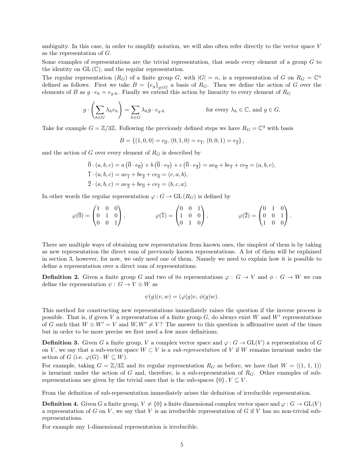ambiguity. In this case, in order to simplify notation, we will also often refer directly to the vector space V as the representation of G.

Some examples of representations are the trivial representation, that sends every element of a group  $G$  to the identity on  $GL(\mathbb{C})$ , and the regular representation.

The regular representation  $(R_G)$  of a finite group G, with  $|G| = n$ , is a representation of G on  $R_G = \mathbb{C}^n$ defined as follows. First we take  $B = \{e_g\}_{g \in G}$  a basis of  $R_G$ . Then we define the action of G over the elements of B as  $g \cdot e_h = e_{g \cdot h}$ . Finally we extend this action by linearity to every element of  $R_G$ 

$$
g \cdot \left(\sum_{h \in G} \lambda_h e_h\right) = \sum_{h \in G} \lambda_h g \cdot e_{g \cdot h} \qquad \text{for every } \lambda_h \in \mathbb{C}, \text{ and } g \in G.
$$

Take for example  $G = \mathbb{Z}/3\mathbb{Z}$ . Following the previously defined steps we have  $R_G = \mathbb{C}^3$  with basis

$$
B = \{(1,0,0) = e_{\overline{0}}, (0,1,0) = e_{\overline{1}}, (0,0,1) = e_{\overline{2}}\},\
$$

and the action of  $G$  over every element of  $R_G$  is described by

$$
\overline{0} \cdot (a, b, c) = a \left( \overline{0} \cdot e_{\overline{0}} \right) + b \left( \overline{0} \cdot e_{\overline{1}} \right) + c \left( \overline{0} \cdot e_{\overline{2}} \right) = a e_{\overline{0}} + b e_{\overline{1}} + c e_{\overline{2}} = (a, b, c),
$$
  
\n
$$
\overline{1} \cdot (a, b, c) = a e_{\overline{1}} + b e_{\overline{2}} + c e_{\overline{0}} = (c, a, b),
$$
  
\n
$$
\overline{2} \cdot (a, b, c) = a e_{\overline{2}} + b e_{\overline{0}} + c e_{\overline{1}} = (b, c, a).
$$

In other words the regular representation  $\varphi: G \to \text{GL}(R_G)$  is defined by

$$
\varphi(\overline{0}) = \begin{pmatrix} 1 & 0 & 0 \\ 0 & 1 & 0 \\ 0 & 0 & 1 \end{pmatrix}, \qquad \qquad \varphi(\overline{1}) = \begin{pmatrix} 0 & 0 & 1 \\ 1 & 0 & 0 \\ 0 & 1 & 0 \end{pmatrix}, \qquad \qquad \varphi(\overline{2}) = \begin{pmatrix} 0 & 1 & 0 \\ 0 & 0 & 1 \\ 1 & 0 & 0 \end{pmatrix}.
$$

There are multiple ways of obtaining new representation from known ones, the simplest of them is by taking as new representation the direct sum of previously known representations. A lot of them will be explained in section 3, however, for now, we only need one of them. Namely we need to explain how it is possible to define a representation over a direct sum of representations.

**Definition 2.** Given a finite group G and two of its representations  $\varphi : G \to V$  and  $\phi : G \to W$  we can define the representation  $\psi$  :  $G \rightarrow V \oplus W$  as

$$
\psi(g)(v, w) = (\varphi(g)v, \phi(g)w).
$$

This method for constructing new representations immediately raises the question if the inverse process is possible. That is, if given V a representation of a finite group  $G$ , do always exist W and W' representations of G such that  $W \oplus W' = V$  and  $W, W' \neq V$ ? The answer to this question is affirmative most of the times but in order to be more precise we first need a few more definitions.

**Definition 3.** Given G a finite group, V a complex vector space and  $\varphi$ :  $G \to GL(V)$  a representation of G on V, we say that a sub-vector space  $W \subset V$  is a *sub-representation* of V if W remains invariant under the action of G (i.e.  $\varphi(G) \cdot W \subseteq W$ ).

For example, taking  $G = \mathbb{Z}/3\mathbb{Z}$  and its regular representation  $R_G$  as before, we have that  $W = \langle (1, 1, 1) \rangle$ is invariant under the action of  $G$  and, therefore, is a sub-representation of  $R_G$ . Other examples of subrepresentations are given by the trivial ones that is the sub-spaces  $\{0\}$ ,  $V \subseteq V$ .

From the definition of sub-representation immediately arises the definition of irreducible representation.

**Definition 4.** Given G a finite group,  $V \neq \{0\}$  a finite dimensional complex vector space and  $\varphi : G \to GL(V)$ a representation of G on V, we say that V is an irreducible representation of G if V has no non-trivial subrepresentations.

For example any 1-dimensional representation is irreducible.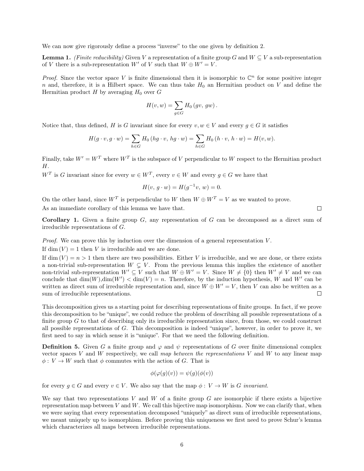We can now give rigorously define a process "inverse" to the one given by definition 2.

**Lemma 1.** (Finite reducibility) Given V a representation of a finite group G and  $W \subseteq V$  a sub-representation of V there is a sub-representation W' of V such that  $W \oplus W' = V$ .

*Proof.* Since the vector space V is finite dimensional then it is isomorphic to  $\mathbb{C}^n$  for some positive integer n and, therefore, it is a Hilbert space. We can thus take  $H_0$  an Hermitian product on V and define the Hermitian product H by averaging  $H_0$  over G

$$
H(v, w) = \sum_{g \in G} H_0(gv, gw).
$$

Notice that, thus defined, H is G invariant since for every  $v, w \in V$  and every  $q \in G$  it satisfies

$$
H(g \cdot v, g \cdot w) = \sum_{h \in G} H_0(hg \cdot v, hg \cdot w) = \sum_{h \in G} H_0(h \cdot v, h \cdot w) = H(v, w).
$$

Finally, take  $W' = W^T$  where  $W^T$  is the subspace of V perpendicular to W respect to the Hermitian product H.

 $W^T$  is G invariant since for every  $w \in W^T$ , every  $v \in W$  and every  $g \in G$  we have that

$$
H(v, g \cdot w) = H(g^{-1}v, w) = 0.
$$

On the other hand, since  $W^T$  is perpendicular to W then  $W \oplus W^T = V$  as we wanted to prove. As an immediate corollary of this lemma we have that.

**Corollary 1.** Given a finite group  $G$ , any representation of  $G$  can be decomposed as a direct sum of irreducible representations of G.

*Proof.* We can prove this by induction over the dimension of a general representation  $V$ .

If dim  $(V) = 1$  then V is irreducible and we are done.

If dim  $(V) = n > 1$  then there are two possibilities. Either V is irreducible, and we are done, or there exists a non-trivial sub-representation  $W \subsetneq V$ . From the previous lemma this implies the existence of another non-trivial sub-representation  $W' \subseteq V$  such that  $W \oplus W' = V$ . Since  $W \neq \{0\}$  then  $W' \neq V$  and we can conclude that  $\dim(W)$ ,  $\dim(W') < \dim(V) = n$ . Therefore, by the induction hypothesis, W and W' can be written as direct sum of irreducible representation and, since  $W \oplus W' = V$ , then V can also be written as a sum of irreducible representations.  $\Box$ 

This decomposition gives us a starting point for describing representations of finite groups. In fact, if we prove this decomposition to be "unique", we could reduce the problem of describing all possible representations of a finite group  $G$  to that of describing only its irreducible representation since, from those, we could construct all possible representations of G. This decomposition is indeed "unique", however, in order to prove it, we first need to say in which sense it is "unique". For that we need the following definition.

**Definition 5.** Given G a finite group and  $\varphi$  and  $\psi$  representations of G over finite dimensional complex vector spaces V and W respectively, we call map between the representations V and W to any linear map  $\phi: V \to W$  such that  $\phi$  commutes with the action of G. That is

$$
\phi(\varphi(g)(v)) = \psi(g)(\phi(v))
$$

for every  $g \in G$  and every  $v \in V$ . We also say that the map  $\phi : V \to W$  is G invariant.

We say that two representations  $V$  and  $W$  of a finite group  $G$  are isomorphic if there exists a bijective representation map between  $V$  and  $W$ . We call this bijective map isomorphism. Now we can clarify that, when we were saying that every representation decomposed "uniquely" as direct sum of irreducible representations, we meant uniquely up to isomorphism. Before proving this uniqueness we first need to prove Schur's lemma which characterizes all maps between irreducible representations.

 $\Box$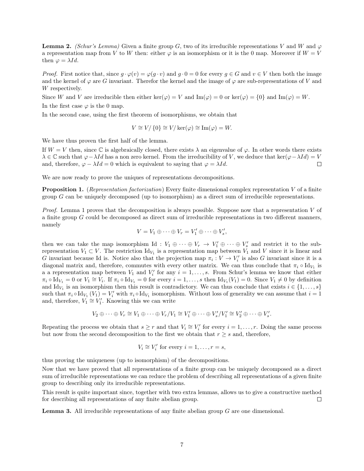**Lemma 2.** (Schur's Lemma) Given a finite group G, two of its irreducible representations V and W and  $\varphi$ a representation map from V to W then: either  $\varphi$  is an isomorphism or it is the 0 map. Moreover if  $W = V$ then  $\varphi = \lambda Id$ .

*Proof.* First notice that, since  $g \cdot \varphi(v) = \varphi(g \cdot v)$  and  $g \cdot 0 = 0$  for every  $g \in G$  and  $v \in V$  then both the image and the kernel of  $\varphi$  are G invariant. Therefor the kernel and the image of  $\varphi$  are sub-representations of V and W respectively.

Since W and V are irreducible then either ker( $\varphi$ ) = V and Im( $\varphi$ ) = 0 or ker( $\varphi$ ) = {0} and Im( $\varphi$ ) = W.

In the first case  $\varphi$  is the 0 map.

In the second case, using the first theorem of isomorphisms, we obtain that

$$
V \cong V / \{0\} \cong V / \ker(\varphi) \cong \text{Im}(\varphi) = W.
$$

We have thus proven the first half of the lemma.

If  $W = V$  then, since  $\mathbb C$  is algebraically closed, there exists  $\lambda$  an eigenvalue of  $\varphi$ . In other words there exists  $\lambda \in \mathbb{C}$  such that  $\varphi - \lambda Id$  has a non zero kernel. From the irreducibility of V, we deduce that ker $(\varphi - \lambda Id) = V$ and, therefore,  $\varphi - \lambda Id = 0$  which is equivalent to saying that  $\varphi = \lambda Id$ .  $\Box$ 

We are now ready to prove the uniques of representations decompositions.

**Proposition 1.** (Representation factorization) Every finite dimensional complex representation V of a finite group  $G$  can be uniquely decomposed (up to isomorphism) as a direct sum of irreducible representations.

*Proof.* Lemma 1 proves that the decomposition is always possible. Suppose now that a representation  $V$  of a finite group G could be decomposed as direct sum of irreducible representations in two different manners, namely

$$
V = V_1 \oplus \cdots \oplus V_r = V'_1 \oplus \cdots \oplus V'_s,
$$

then we can take the map isomorphism Id :  $V_1 \oplus \cdots \oplus V_r \to V'_1 \oplus \cdots \oplus V'_s$  and restrict it to the subrepresentation  $V_1 \subset V$ . The restriction  $\mathrm{Id}_{V_1}$  is a representation map between  $V_1$  and V since it is linear and G invariant because Id is. Notice also that the projection map  $\pi_i: V \to V'_i$  is also G invariant since it is a diagonal matrix and, therefore, commutes with every other matrix. We can thus conclude that  $\pi_i \circ \mathrm{Id}_{V_1}$  is a a representation map between  $V_1$  and  $V'_i$  for any  $i = 1, \ldots, s$ . From Schur's lemma we know that either  $\pi_i \circ \mathrm{Id}_{V_1} = 0$  or  $V_1 \cong V_i$ . If  $\pi_i \circ \mathrm{Id}_{V_1} = 0$  for every  $i = 1, \ldots, s$  then  $\mathrm{Id}_{V_1}(V_1) = 0$ . Since  $V_1 \neq 0$  by definition and  $\mathrm{Id}_{V_1}$  is an isomorphism then this result is contradictory. We can thus conclude that exists  $i \in \{1, \ldots, s\}$ such that  $\pi_i \circ \mathrm{Id}_{V_1} (V_1) = V'_i$  with  $\pi_i \circ \mathrm{Id}_{V_1}$  isomorphism. Without loss of generality we can assume that  $i = 1$ and, therefore,  $V_1 \cong V_1'$ . Knowing this we can write

$$
V_2 \oplus \cdots \oplus V_r \cong V_1 \oplus \cdots \oplus V_r / V_1 \cong V'_1 \oplus \cdots \oplus V'_s / V'_1 \cong V'_2 \oplus \cdots \oplus V'_s.
$$

Repeating the process we obtain that  $s \geq r$  and that  $V_i \cong V'_i$  for every  $i = 1, \ldots, r$ . Doing the same process but now from the second decomposition to the first we obtain that  $r \geq s$  and, therefore,

$$
V_i \cong V'_i \text{ for every } i = 1, \dots, r = s,
$$

thus proving the uniqueness (up to isomorphism) of the decompositions.

Now that we have proved that all representations of a finite group can be uniquely decomposed as a direct sum of irreducible representations we can reduce the problem of describing all representations of a given finite group to describing only its irreducible representations.

This result is quite important since, together with two extra lemmas, allows us to give a constructive method for describing all representations of any finite abelian group.  $\Box$ 

**Lemma 3.** All irreducible representations of any finite abelian group  $G$  are one dimensional.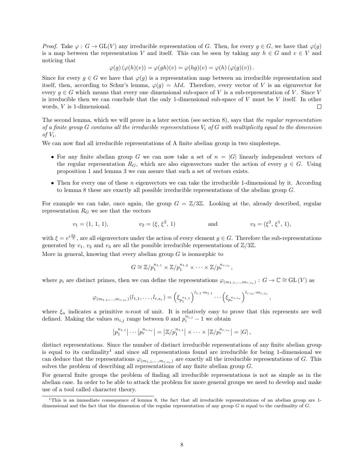*Proof.* Take  $\varphi: G \to GL(V)$  any irreducible representation of G. Then, for every  $g \in G$ , we have that  $\varphi(g)$ is a map between the representation V and itself. This can be seen by taking any  $h \in G$  and  $v \in V$  and noticing that

$$
\varphi(g) \left( \varphi(h)(v) \right) = \varphi(gh)(v) = \varphi(hg)(v) = \varphi(h) \left( \varphi(g)(v) \right).
$$

Since for every  $g \in G$  we have that  $\varphi(g)$  is a representation map between an irreducible representation and itself, then, according to Schur's lemma,  $\varphi(g) = \lambda Id$ . Therefore, every vector of V is an eigenvector for every  $q \in G$  which means that every one dimensional sub-space of V is a sub-representation of V. Since V is irreducible then we can conclude that the only 1-dimensional sub-space of  $V$  must be  $V$  itself. In other words, V is 1-dimensional.

The second lemma, which we will prove in a later section (see section 8), says that the regular representation of a finite group  $G$  contains all the irreducible representations  $V_i$  of  $G$  with multiplicity equal to the dimension of  $V_i$ .

We can now find all irreducible representations of A finite abelian group in two simplesteps.

- For any finite abelian group G we can now take a set of  $n = |G|$  linearly independent vectors of the regular representation  $R_G$ , which are also eigenvectors under the action of every  $g \in G$ . Using proposition 1 and lemma 3 we can assure that such a set of vectors exists.
- Then for every one of these  $n$  eigenvectors we can take the irreducible 1-dimensional by it. According to lemma 8 these are exactly all possible irreducible representations of the abelian group G.

For example we can take, once again, the group  $G = \mathbb{Z}/3\mathbb{Z}$ . Looking at the, already described, regular representation  $R_G$  we see that the vectors

$$
v_1 = (1, 1, 1),
$$
  $v_2 = (\xi, \xi^2, 1)$  and  $v_3 = (\xi^2, \xi^1, 1),$ 

with  $\xi = e^{i\frac{2\pi}{3}}$ , are all eigenvectors under the action of every element  $g \in G$ . Therefore the sub-representations generated by  $v_1, v_2$  and  $v_3$  are all the possible irreducible representations of  $\mathbb{Z}/3\mathbb{Z}$ .

More in general, knowing that every abelian group  $G$  is isomorphic to

$$
G \cong \mathbb{Z}/p_1^{n_{1,1}} \times \mathbb{Z}/p_1^{n_{1,2}} \times \cdots \times \mathbb{Z}/p_r^{n_{r,s_r}},
$$

where  $p_i$  are distinct primes, then we can define the representations  $\varphi_{(m_{1,1},...,m_{r,s_r})}: G \to \mathbb{C} \cong GL(V)$  as

$$
\varphi_{(m_{1,1},...,m_{r,s_r})}(l_{1,1},...,l_{r,s_r})=\left(\xi_{p_1^{n_{1,1}}}\right)^{l_{1,1}\cdot m_{1,1}}\cdots\left(\xi_{p_r^{n_r,s_r}}\right)^{l_{r,s_r}\cdot m_{r,s_r}},
$$

where  $\xi_n$  indicates a primitive *n*-root of unit. It is relatively easy to prove that this represents are well defined. Making the values  $m_{i,j}$  range between 0 and  $p_i^{n_{i,j}} - 1$  we obtain

$$
|p_1^{n_{1,1}}|\cdots|p_r^{n_{r,s_r}}| = |\mathbb{Z}/p_1^{n_{1,1}}|\times \cdots \times |\mathbb{Z}/p_r^{n_{r,s_r}}| = |G|,
$$

distinct representations. Since the number of distinct irreducible representations of any finite abelian group is equal to its cardinality<sup>1</sup> and since all representations found are irreducible for being 1-dimensional we can deduce that the representations  $\varphi_{(m_{1,1},...,m_{r,s_r})}$  are exactly all the irreducible representations of G. This solves the problem of describing all representations of any finite abelian group G.

For general finite groups the problem of finding all irreducible representations is not as simple as in the abelian case. In order to be able to attack the problem for more general groups we need to develop and make use of a tool called character theory.

 $1$ This is an immediate consequence of lemma 8, the fact that all irreducible representations of an abelian group are 1dimensional and the fact that the dimension of the regular representation of any group  $G$  is equal to the cardinality of  $G$ .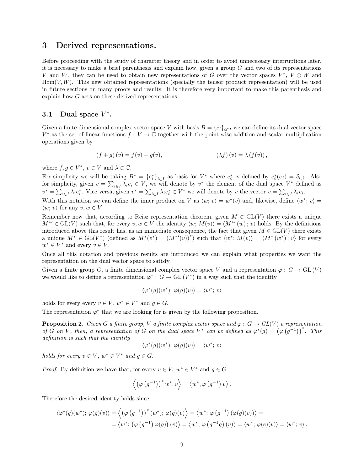## 3 Derived representations.

Before proceeding with the study of character theory and in order to avoid unnecessary interruptions later, it is necessary to make a brief parenthesis and explain how, given a group  $G$  and two of its representations V and W, they can be used to obtain new representations of G over the vector spaces  $V^*$ ,  $V \otimes W$  and  $Hom(V, W)$ . This new obtained representations (specially the tensor product representation) will be used in future sections on many proofs and results. It is therefore very important to make this parenthesis and explain how G acts on these derived representations.

## 3.1 Dual space  $V^*$ .

Given a finite dimensional complex vector space V with basis  $B = \{e_i\}_{i \in I}$  we can define its dual vector space  $V^*$  as the set of linear functions  $f: V \to \mathbb{C}$  together with the point-wise addition and scalar multiplication operations given by

$$
(f+g)(v) = f(v) + g(v), \qquad (\lambda f)(v) = \lambda (f(v)),
$$

where  $f, g \in V^*$ ,  $v \in V$  and  $\lambda \in \mathbb{C}$ .

For simplicity we will be taking  $B^* = \{e_i^*\}_{i \in I}$  as basis for  $V^*$  where  $e_i^*$  is defined by  $e_i^*(e_j) = \delta_{i,j}$ . Also for simplicity, given  $v = \sum_{i \in I} \lambda_i e_i \in V$ , we will denote by  $v^*$  the element of the dual space  $V^*$  defined as  $v^* = \sum_{i \in I} \overline{\lambda_i} e_i^*$ . Vice versa, given  $v^* = \sum_{i \in I} \overline{\lambda_i} e_i^* \in V^*$  we will denote by v the vector  $v = \sum_{i \in I} \lambda_i e_i$ .

With this notation we can define the inner product on V as  $\langle w; v \rangle = w^*(v)$  and, likewise, define  $\langle w^*; v \rangle =$  $\langle w; v \rangle$  for any  $v, w \in V$ .

Remember now that, according to Reisz representation theorem, given  $M \in GL(V)$  there exists a unique  $M^{*'} \in GL(V)$  such that, for every  $v, w \in V$  the identity  $\langle w; M(v) \rangle = \langle M^{*'}(w); v \rangle$  holds. By the definitions introduced above this result has, as an immediate consequence, the fact that given  $M \in GL(V)$  there exists a unique  $M^* \in GL(V^*)$  (defined as  $M^*(v^*) = (M^{*\prime}(v))^*$ ) such that  $\langle w^*; M(v) \rangle = \langle M^*(w^*); v \rangle$  for every  $w^* \in V^*$  and every  $v \in V$ .

Once all this notation and previous results are introduced we can explain what properties we want the representation on the dual vector space to satisfy.

Given a finite group G, a finite dimensional complex vector space V and a representation  $\varphi : G \to GL(V)$ we would like to define a representation  $\varphi^*: G \to GL(V^*)$  in a way such that the identity

$$
\langle \varphi^*(g)(w^*)\, \varphi(g)(v) \rangle = \langle w^*; v \rangle
$$

holds for every every  $v \in V$ ,  $w^* \in V^*$  and  $g \in G$ .

The representation  $\varphi^*$  that we are looking for is given by the following proposition.

**Proposition 2.** Given G a finite group, V a finite complex vector space and  $\varphi: G \to GL(V)$  a representation of G on V, then, a representation of G on the dual space  $V^*$  can be defined as  $\varphi^*(g) = (\varphi(g^{-1}))^*$ . This definition is such that the identity

$$
\langle \varphi^*(g)(w^*); \varphi(g)(v) \rangle = \langle w^*; v \rangle
$$

holds for every  $v \in V$ ,  $w^* \in V^*$  and  $g \in G$ .

*Proof.* By definition we have that, for every  $v \in V$ ,  $w^* \in V^*$  and  $g \in G$ 

$$
\left\langle \left(\varphi\left(g^{-1}\right)\right)^* w^*, v\right\rangle = \left\langle w^*, \varphi\left(g^{-1}\right) v\right\rangle.
$$

Therefore the desired identity holds since

$$
\langle \varphi^*(g)(w^*); \varphi(g)(v) \rangle = \langle (\varphi(g^{-1}))^*(w^*); \varphi(g)(v) \rangle = \langle w^*; \varphi(g^{-1})(\varphi(g)(v)) \rangle =
$$
  
=  $\langle w^*; (\varphi(g^{-1})\varphi(g))(v) \rangle = \langle w^*; \varphi(g^{-1}g)(v) \rangle = \langle w^*; \varphi(e)(v) \rangle = \langle w^*; v \rangle.$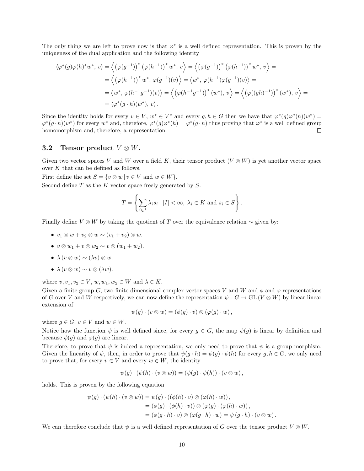The only thing we are left to prove now is that  $\varphi^*$  is a well defined representation. This is proven by the uniqueness of the dual application and the following identity

$$
\langle \varphi^*(g)\varphi(h)^*w^*, v \rangle = \left\langle \left(\varphi(g^{-1})\right)^*(\varphi(h^{-1}))^*w^*, v \right\rangle = \left\langle \left(\varphi(g^{-1})\right)^*(\varphi(h^{-1}))^*w^*, v \right\rangle =
$$
  
\n
$$
= \left\langle \left(\varphi(h^{-1})\right)^*w^*, \varphi(g^{-1})(v) \right\rangle = \left\langle w^*, \varphi(h^{-1})\varphi(g^{-1})(v) \right\rangle =
$$
  
\n
$$
= \left\langle w^*, \varphi(h^{-1}g^{-1})(v) \right\rangle = \left\langle \left(\varphi(h^{-1}g^{-1})\right)^*(w^*), v \right\rangle = \left\langle \left(\varphi((gh)^{-1})\right)^*(w^*), v \right\rangle =
$$
  
\n
$$
= \left\langle \varphi^*(g \cdot h)(w^*), v \right\rangle.
$$

Since the identity holds for every  $v \in V$ ,  $w^* \in V^*$  and every  $g, h \in G$  then we have that  $\varphi^*(g)\varphi^*(h)(w^*) =$  $\varphi^*(g \cdot h)(w^*)$  for every  $w^*$  and, therefore,  $\varphi^*(g) \varphi^*(h) = \varphi^*(g \cdot h)$  thus proving that  $\varphi^*$  is a well defined group homomorphism and, therefore, a representation.  $\Box$ 

#### 3.2 Tensor product  $V \otimes W$ .

Given two vector spaces V and W over a field K, their tensor product  $(V \otimes W)$  is yet another vector space over K that can be defined as follows.

First define the set  $S = \{v \otimes w | v \in V \text{ and } w \in W\}.$ 

Second define  $T$  as the  $K$  vector space freely generated by  $S$ .

$$
T = \left\{ \sum_{i \in I} \lambda_i s_i \mid |I| < \infty, \ \lambda_i \in K \ \text{and} \ s_i \in S \right\}.
$$

Finally define  $V \otimes W$  by taking the quotient of T over the equivalence relation  $\sim$  given by:

- $v_1 \otimes w + v_2 \otimes w \sim (v_1 + v_2) \otimes w.$
- $v \otimes w_1 + v \otimes w_2 \sim v \otimes (w_1 + w_2).$
- $\lambda (v \otimes w) \sim (\lambda v) \otimes w$ .
- $\lambda (v \otimes w) \sim v \otimes (\lambda w)$ .

where  $v, v_1, v_2 \in V$ ,  $w, w_1, w_2 \in W$  and  $\lambda \in K$ .

Given a finite group G, two finite dimensional complex vector spaces V and W and  $\phi$  and  $\varphi$  representations of G over V and W respectively, we can now define the representation  $\psi : G \to GL(V \otimes W)$  by linear linear extension of

$$
\psi(g) \cdot (v \otimes w) = (\phi(g) \cdot v) \otimes (\varphi(g) \cdot w),
$$

where  $q \in G$ ,  $v \in V$  and  $w \in W$ .

Notice how the function  $\psi$  is well defined since, for every  $g \in G$ , the map  $\psi(g)$  is linear by definition and because  $\phi(g)$  and  $\varphi(g)$  are linear.

Therefore, to prove that  $\psi$  is indeed a representation, we only need to prove that  $\psi$  is a group morphism. Given the linearity of  $\psi$ , then, in order to prove that  $\psi(g \cdot h) = \psi(g) \cdot \psi(h)$  for every  $g, h \in G$ , we only need to prove that, for every  $v \in V$  and every  $w \in W$ , the identity

$$
\psi(g) \cdot (\psi(h) \cdot (v \otimes w)) = (\psi(g) \cdot \psi(h)) \cdot (v \otimes w),
$$

holds. This is proven by the following equation

$$
\psi(g) \cdot (\psi(h) \cdot (v \otimes w)) = \psi(g) \cdot ((\phi(h) \cdot v) \otimes (\varphi(h) \cdot w)),
$$
  
=  $(\phi(g) \cdot (\phi(h) \cdot v)) \otimes (\varphi(g) \cdot (\varphi(h) \cdot w)),$   
=  $(\phi(g \cdot h) \cdot v) \otimes (\varphi(g \cdot h) \cdot w) = \psi(g \cdot h) \cdot (v \otimes w).$ 

We can therefore conclude that  $\psi$  is a well defined representation of G over the tensor product  $V \otimes W$ .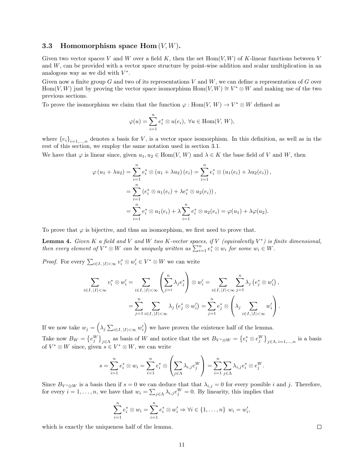#### 3.3 Homomorphism space  $\text{Hom}(V, W)$ .

Given two vector spaces V and W over a field K, then the set  $Hom(V, W)$  of K-linear functions between V and  $W$ , can be provided with a vector space structure by point-wise addition and scalar multiplication in an analogous way as we did with  $V^*$ .

Given now a finite group G and two of its representations V and W, we can define a representation of G over Hom(V, W) just by proving the vector space isomorphism  $\text{Hom}(V, W) \cong V^* \otimes W$  and making use of the two previous sections.

To prove the isomorphism we claim that the function  $\varphi: \text{Hom}(V, W) \to V^* \otimes W$  defined as

$$
\varphi(u) = \sum_{i=1}^n e_i^* \otimes u(e_i), \ \forall u \in \text{Hom}(V, W),
$$

where  ${e_i}_{i=1,...,n}$  denotes a basis for V, is a vector space isomorphism. In this definition, as well as in the rest of this section, we employ the same notation used in section 3.1.

We have that  $\varphi$  is linear since, given  $u_1, u_2 \in \text{Hom}(V, W)$  and  $\lambda \in K$  the base field of V and W, then

$$
\varphi(u_1 + \lambda u_2) = \sum_{i=1}^n e_i^* \otimes (u_1 + \lambda u_2) (e_i) = \sum_{i=1}^n e_i^* \otimes (u_1(e_i) + \lambda u_2(e_i)),
$$
  
= 
$$
\sum_{i=1}^n (e_i^* \otimes u_1(e_i) + \lambda e_i^* \otimes u_2(e_i)),
$$
  
= 
$$
\sum_{i=1}^n e_i^* \otimes u_1(e_i) + \lambda \sum_{i=1}^n e_i^* \otimes u_2(e_i) = \varphi(u_1) + \lambda \varphi(u_2).
$$

To prove that  $\varphi$  is bijective, and thus an isomorphism, we first need to prove that.

**Lemma 4.** Given K a field and V and W two K-vector spaces, if V (equivalently  $V^*$ ) is finite dimensional, then every element of  $V^* \otimes W$  can be uniquely written as  $\sum_{i=1}^n e_i^* \otimes w_i$  for some  $w_i \in W$ .

*Proof.* For every  $\sum_{i \in I, |I| < \infty} v_i^* \otimes w_i' \in V^* \otimes W$  we can write

$$
\sum_{i \in I, |I| < \infty} v_i^* \otimes w_i' = \sum_{i \in I, |I| < \infty} \left( \sum_{j=i}^n \lambda_j e_j^* \right) \otimes w_i' = \sum_{i \in I, |I| < \infty} \sum_{j=1}^n \lambda_j \left( e_j^* \otimes w_i' \right),
$$
\n
$$
= \sum_{j=1}^n \sum_{i \in I, |I| < \infty} \lambda_j \left( e_j^* \otimes w_i' \right) = \sum_{j=1}^n e_j^* \otimes \left( \lambda_j \sum_{i \in I, |I| < \infty} w_i' \right).
$$

If we now take  $w_j = \left(\lambda_j \sum_{i \in I, |I| < \infty} w_i'\right)$  we have proven the existence half of the lemma. Take now  $B_W = \{e_j^W\}_{j \in \Lambda}$  as basis of W and notice that the set  $B_{V^* \otimes W} = \{e_i^* \otimes e_j^W\}_{j \in \Lambda, i=1,...,n}$  is a basis of  $V^* \otimes W$  since, given  $s \in V^* \otimes W$ , we can write

$$
s = \sum_{i=1}^n e_i^* \otimes w_i = \sum_{i=1}^n e_i^* \otimes \left(\sum_{j \in \Lambda} \lambda_{i,j} e_j^W\right) = \sum_{i=1}^n \sum_{j \in \Lambda} \lambda_{i,j} e_i^* \otimes e_j^W.
$$

Since  $B_{V^* \otimes W}$  is a basis then if  $s = 0$  we can deduce that that  $\lambda_{i,j} = 0$  for every possible i and j. Therefore, for every  $i = 1, \ldots, n$ , we have that  $w_i = \sum_{j \in \Lambda} \lambda_{i,j} e_j^W = 0$ . By linearity, this implies that

$$
\sum_{i=1}^{n} e_i^* \otimes w_i = \sum_{i=1}^{n} e_i^* \otimes w_i' \Rightarrow \forall i \in \{1, ..., n\} \ w_i = w_i',
$$

which is exactly the uniqueness half of the lemma.

 $\Box$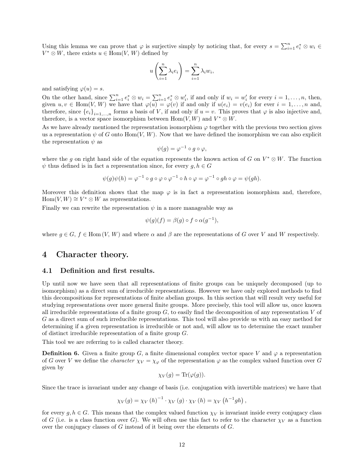Using this lemma we can prove that  $\varphi$  is surjective simply by noticing that, for every  $s = \sum_{i=1}^n e_i^* \otimes w_i \in$  $V^* \otimes W$ , there exists  $u \in \text{Hom}(V, W)$  defined by

$$
u\left(\sum_{i=1}^n \lambda_i e_i\right) = \sum_{i=1}^n \lambda_i w_i,
$$

and satisfying  $\varphi(u) = s$ .

On the other hand, since  $\sum_{i=1}^{n} e_i^* \otimes w_i = \sum_{i=1}^{n} e_i^* \otimes w_i'$ , if and only if  $w_i = w_i'$  for every  $i = 1, ..., n$ , then, given  $u, v \in \text{Hom}(V, W)$  we have that  $\varphi(u) = \varphi(v)$  if and only if  $u(e_i) = v(e_i)$  for ever  $i = 1, \ldots, n$  and, therefore, since  ${e_i}_{i=1,\ldots,n}$  forms a basis of V, if and only if  $u = v$ . This proves that  $\varphi$  is also injective and, therefore, is a vector space isomorphism between  $Hom(V, W)$  and  $V^* \otimes W$ .

As we have already mentioned the representation isomorphism  $\varphi$  together with the previous two section gives us a representation  $\psi$  of G onto Hom(V, W). Now that we have defined the isomorphism we can also explicit the representation  $\psi$  as

$$
\psi(g) = \varphi^{-1} \circ g \circ \varphi,
$$

where the g on right hand side of the equation represents the known action of G on  $V^* \otimes W$ . The function  $\psi$  thus defined is in fact a representation since, for every  $g, h \in G$ 

$$
\psi(g)\psi(h) = \varphi^{-1} \circ g \circ \varphi \circ \varphi^{-1} \circ h \circ \varphi = \varphi^{-1} \circ gh \circ \varphi = \psi(gh).
$$

Moreover this definition shows that the map  $\varphi$  is in fact a representation isomorphism and, therefore,  $Hom(V, W) \cong V^* \otimes W$  as representations.

Finally we can rewrite the representation  $\psi$  in a more manageable way as

$$
\psi(g)(f) = \beta(g) \circ f \circ \alpha(g^{-1}),
$$

where  $g \in G$ ,  $f \in$  Hom  $(V, W)$  and where  $\alpha$  and  $\beta$  are the representations of G over V and W respectively.

## 4 Character theory.

#### 4.1 Definition and first results.

Up until now we have seen that all representations of finite groups can be uniquely decomposed (up to isomorphism) as a direct sum of irreducible representations. However we have only explored methods to find this decompositions for representations of finite abelian groups. In this section that will result very useful for studying representations over more general finite groups. More precisely, this tool will allow us, once known all irreducible representations of a finite group  $G$ , to easily find the decomposition of any representation V of G as a direct sum of such irreducible representations. This tool will also provide us with an easy method for determining if a given representation is irreducible or not and, will allow us to determine the exact number of distinct irreducible representation of a finite group G.

This tool we are referring to is called character theory.

**Definition 6.** Given a finite group G, a finite dimensional complex vector space V and  $\varphi$  a representation of G over V we define the *character*  $\chi_V = \chi_\varphi$  of the representation  $\varphi$  as the complex valued function over G given by

$$
\chi_V(g) = \text{Tr}(\varphi(g)).
$$

Since the trace is invariant under any change of basis (i.e. conjugation with invertible matrices) we have that

$$
\chi_V(g) = \chi_V(h)^{-1} \cdot \chi_V(g) \cdot \chi_V(h) = \chi_V(h^{-1}gh),
$$

for every  $g, h \in G$ . This means that the complex valued function  $\chi_V$  is invariant inside every conjugacy class of G (i.e. is a class function over G). We will often use this fact to refer to the character  $\chi_V$  as a function over the conjugacy classes of G instead of it being over the elements of G.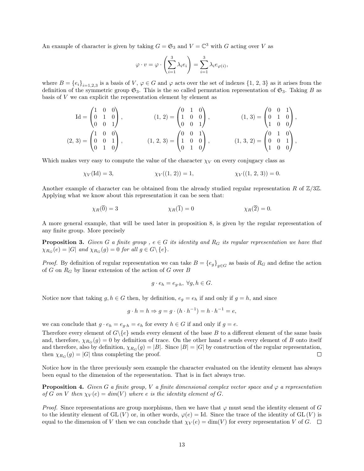An example of character is given by taking  $G = \mathfrak{S}_3$  and  $V = \mathbb{C}^3$  with G acting over V as

$$
\varphi \cdot v = \varphi \cdot \left( \sum_{i=1}^3 \lambda_i e_i \right) = \sum_{i=1}^3 \lambda_i e_{\varphi(i)},
$$

where  $B = \{e_i\}_{i=1,2,3}$  is a basis of V,  $\varphi \in G$  and  $\varphi$  acts over the set of indexes  $\{1, 2, 3\}$  as it arises from the definition of the symmetric group  $\mathfrak{S}_3$ . This is the so called permutation representation of  $\mathfrak{S}_3$ . Taking B as basis of V we can explicit the representation element by element as

$$
Id = \begin{pmatrix} 1 & 0 & 0 \\ 0 & 1 & 0 \\ 0 & 0 & 1 \end{pmatrix}, \qquad (1, 2) = \begin{pmatrix} 0 & 1 & 0 \\ 1 & 0 & 0 \\ 0 & 0 & 1 \end{pmatrix}, \qquad (1, 3) = \begin{pmatrix} 0 & 0 & 1 \\ 0 & 1 & 0 \\ 1 & 0 & 0 \end{pmatrix},
$$
  

$$
(2, 3) = \begin{pmatrix} 1 & 0 & 0 \\ 0 & 0 & 1 \\ 0 & 1 & 0 \end{pmatrix}, \qquad (1, 2, 3) = \begin{pmatrix} 0 & 0 & 1 \\ 1 & 0 & 0 \\ 0 & 1 & 0 \end{pmatrix}, \qquad (1, 3, 2) = \begin{pmatrix} 0 & 1 & 0 \\ 0 & 0 & 1 \\ 1 & 0 & 0 \end{pmatrix},
$$

Which makes very easy to compute the value of the character  $\chi_V$  on every conjugacy class as

$$
\chi_V(\text{Id}) = 3, \qquad \qquad \chi_V((1, 2)) = 1, \qquad \qquad \chi_V((1, 2, 3)) = 0.
$$

Another example of character can be obtained from the already studied regular representation R of  $\mathbb{Z}/3\mathbb{Z}$ . Applying what we know about this representation it can be seen that:

$$
\chi_R(\overline{0}) = 3 \qquad \qquad \chi_R(\overline{1}) = 0 \qquad \qquad \chi_R(\overline{2}) = 0.
$$

A more general example, that will be used later in proposition 8, is given by the regular representation of any finite group. More precisely

**Proposition 3.** Given G a finite group,  $e \in G$  its identity and  $R_G$  its regular representation we have that  $\chi_{R_G}(e) = |G|$  and  $\chi_{R_G}(g) = 0$  for all  $g \in G \backslash \{e\}.$ 

*Proof.* By definition of regular representation we can take  $B = \{e_g\}_{g \in G}$  as basis of  $R_G$  and define the action of G on  $R_G$  by linear extension of the action of G over B

$$
g \cdot e_h = e_{g \cdot h}, \ \forall g, h \in G.
$$

Notice now that taking  $g, h \in G$  then, by definition,  $e_g = e_h$  if and only if  $g = h$ , and since

$$
g \cdot h = h \Rightarrow g = g \cdot (h \cdot h^{-1}) = h \cdot h^{-1} = e,
$$

we can conclude that  $g \cdot e_h = e_{g \cdot h} = e_h$  for every  $h \in G$  if and only if  $g = e$ .

Therefore every element of  $G\backslash\{e\}$  sends every element of the base B to a different element of the same basis and, therefore,  $\chi_{R_G}(g) = 0$  by definition of trace. On the other hand e sends every element of B onto itself and therefore, also by definition,  $\chi_{R_G}(g) = |B|$ . Since  $|B| = |G|$  by construction of the regular representation, then  $\chi_{R_G}(g) = |G|$  thus completing the proof.  $\Box$ 

Notice how in the three previously seen example the character evaluated on the identity element has always been equal to the dimension of the representation. That is in fact always true.

**Proposition 4.** Given G a finite group, V a finite dimensional complex vector space and  $\varphi$  a representation of G on V then  $\chi_V(e) = dim(V)$  where e is the identity element of G.

*Proof.* Since representations are group morphisms, then we have that  $\varphi$  must send the identity element of G to the identity element of GL  $(V)$  or, in other words,  $\varphi(e) = \text{Id}$ . Since the trace of the identity of GL  $(V)$  is equal to the dimension of V then we can conclude that  $\chi_V(e) = \dim(V)$  for every representation V of G.  $\Box$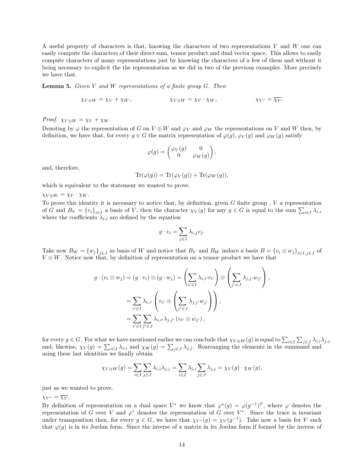A useful property of characters is that, knowing the characters of two representations  $V$  and  $W$  one can easily compute the characters of their direct sum, tensor product and dual vector space. This allows to easily compute characters of many representations just by knowing the characters of a few of them and without it being necessary to explicit the the representation as we did in two of the previous examples. More precisely we have that.

**Lemma 5.** Given V and W representations of a finite group  $G$ . Then

$$
\chi_{V \oplus W} = \chi_V + \chi_W, \qquad \qquad \chi_{V \otimes W} = \chi_V \cdot \chi_W, \qquad \qquad \chi_{V^*} = \overline{\chi_V}.
$$

Proof.  $\chi_{V \oplus W} = \chi_V + \chi_W$ .

Denoting by  $\varphi$  the representation of G on  $V \oplus W$  and  $\varphi_V$  and  $\varphi_W$  the representations on V and W then, by definition, we have that, for every  $g \in G$  the matrix representation of  $\varphi(g)$ ,  $\varphi_V(g)$  and  $\varphi_W(g)$  satisfy

$$
\varphi(g)=\begin{pmatrix} \varphi_V(g) & 0 \\ 0 & \varphi_W(g) \end{pmatrix},
$$

and, therefore,

$$
\text{Tr}(\varphi(g)) = \text{Tr}(\varphi_V(g)) + \text{Tr}(\varphi_W(g)),
$$

which is equivalent to the statement we wanted to prove.

 $\chi_{V\otimes W} = \chi_V \cdot \chi_W$ .

To prove this identity it is necessary to notice that, by definition, given  $G$  finite group,  $V$  a representation of G and  $B_V = \{v_i\}_{i \in I}$  a basis of V, then the character  $\chi_V(g)$  for any  $g \in G$  is equal to the sum  $\sum_{i \in I} \lambda_{i,i}$ where the coefficients  $\lambda_{i,i}$  are defined by the equation

$$
g \cdot v_i = \sum_{j \in I} \lambda_{i,j} v_j.
$$

Take now  $B_W = \{w_j\}_{j\in J}$  as basis of W and notice that  $B_V$  and  $B_W$  induce a basis  $B = \{v_i \otimes w_j\}_{i\in I, j\in J}$  of  $V \otimes W$ . Notice now that, by definition of representation on a tensor product we have that

$$
g \cdot (v_i \otimes w_j) = (g \cdot v_i) \otimes (g \cdot w_j) = \left(\sum_{i' \in I} \lambda_{i,i'} v_{i'}\right) \otimes \left(\sum_{j' \in J} \lambda_{j,j'} w_{j'}\right),
$$
  

$$
= \sum_{i' \in I} \lambda_{i,i'} \left(v_{i'} \otimes \left(\sum_{j' \in J} \lambda_{j,j'} w_{j'}\right)\right),
$$
  

$$
= \sum_{i' \in I} \sum_{j' \in J} \lambda_{i,i'} \lambda_{j,j'} (v_{i'} \otimes w_{j'}),
$$

for every  $g \in G$ . For what we have mentioned earlier we can conclude that  $\chi_{V \otimes W}(g)$  is equal to  $\sum_{i \in I} \sum_{j \in J} \lambda_{i,i} \lambda_{j,j}$ and, likewise,  $\chi_V(g) = \sum_{i \in I} \lambda_{i,i}$  and  $\chi_W(g) = \sum_{j \in J} \lambda_{j,j}$ . Rearranging the elements in the summand and using these last identities we finally obtain

$$
\chi_{V\otimes W}(g) = \sum_{i\in I}\sum_{j\in J}\lambda_{i,i}\lambda_{j,j} = \sum_{i\in I}\lambda_{i,i}\sum_{j\in J}\lambda_{j,j} = \chi_V(g)\cdot \chi_W(g),
$$

just as we wanted to prove.

 $\chi_{V^*} = \overline{\chi_V}.$ 

By definition of representation on a dual space  $V^*$  we know that  $\varphi^*(g) = \varphi(g^{-1})^T$ , where  $\varphi$  denotes the representation of G over V and  $\varphi^*$  denotes the representation of G over  $V^*$ . Since the trace is invariant under transposition then, for every  $g \in G$ , we have that  $\chi_{V^*}(g) = \chi_V(g^{-1})$ . Take now a basis for V such that  $\varphi(g)$  is in its Jordan form. Since the inverse of a matrix in its Jordan form if formed by the inverse of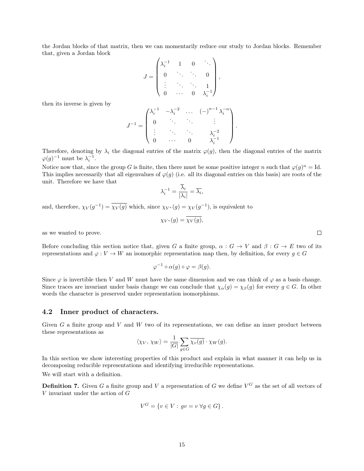the Jordan blocks of that matrix, then we can momentarily reduce our study to Jordan blocks. Remember that, given a Jordan block

$$
J = \begin{pmatrix} \lambda_i^{-1} & 1 & 0 & \ddots \\ 0 & \ddots & \ddots & 0 \\ \vdots & \ddots & \ddots & 1 \\ 0 & \cdots & 0 & \lambda_i^{-1} \end{pmatrix},
$$

then its inverse is given by

$$
J^{-1} = \begin{pmatrix} \lambda_i^{-1} & -\lambda_i^{-2} & \dots & (-)^{n-1} \lambda_i^{-n} \\ 0 & \ddots & \ddots & \vdots \\ \vdots & \ddots & \ddots & \lambda_i^{-2} \\ 0 & \dots & 0 & \lambda_i^{-1} \end{pmatrix}
$$

.

Therefore, denoting by  $\lambda_i$  the diagonal entries of the matrix  $\varphi(g)$ , then the diagonal entries of the matrix  $\varphi(g)^{-1}$  must be  $\lambda_i^{-1}$ .

Notice now that, since the group G is finite, then there must be some positive integer n such that  $\varphi(g)^n = \text{Id}$ . This implies necessarily that all eigenvalues of  $\varphi(q)$  (i.e. all its diagonal entries on this basis) are roots of the unit. Therefore we have that

$$
\lambda_i^{-1} = \frac{\overline{\lambda}_i}{|\lambda_i|} = \overline{\lambda}_i,
$$

and, therefore,  $\chi_V(g^{-1}) = \overline{\chi_V(g)}$  which, since  $\chi_{V^*}(g) = \chi_V(g^{-1})$ , is equivalent to

$$
\chi_{V^*}(g) = \chi_V(g),
$$

as we wanted to prove.

Before concluding this section notice that, given G a finite group,  $\alpha$ :  $G \to V$  and  $\beta$ :  $G \to E$  two of its representations and  $\varphi: V \to W$  an isomorphic representation map then, by definition, for every  $g \in G$ 

$$
\varphi^{-1} \circ \alpha(g) \circ \varphi = \beta(g).
$$

Since  $\varphi$  is invertible then V and W must have the same dimension and we can think of  $\varphi$  as a basis change. Since traces are invariant under basis change we can conclude that  $\chi_{\alpha}(g) = \chi_{\beta}(g)$  for every  $g \in G$ . In other words the character is preserved under representation isomorphisms.

#### 4.2 Inner product of characters.

Given G a finite group and V and W two of its representations, we can define an inner product between these representations as

$$
\langle \chi_V, \chi_W \rangle = \frac{1}{|G|} \sum_{g \in G} \overline{\chi_v(g)} \cdot \chi_W(g).
$$

In this section we show interesting properties of this product and explain in what manner it can help us in decomposing reducible representations and identifying irreducible representations. We will start with a definition.

**Definition 7.** Given G a finite group and V a representation of G we define  $V^G$  as the set of all vectors of  $V$  invariant under the action of  $G$ 

$$
V^G = \{ v \in V : gv = v \,\forall g \in G \}.
$$

 $\Box$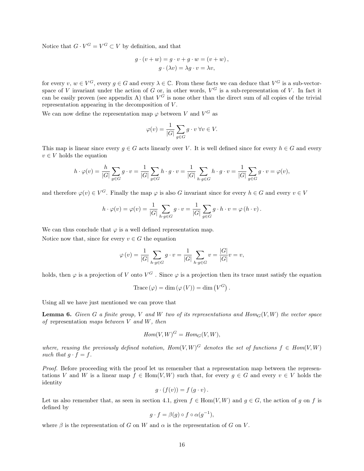Notice that  $G \cdot V^G = V^G \subset V$  by definition, and that

$$
g \cdot (v + w) = g \cdot v + g \cdot w = (v + w),
$$

$$
g \cdot (\lambda v) = \lambda g \cdot v = \lambda v,
$$

for every  $v, w \in V^G$ , every  $g \in G$  and every  $\lambda \in \mathbb{C}$ . From these facts we can deduce that  $V^G$  is a sub-vectorspace of V invariant under the action of G or, in other words,  $V^G$  is a sub-representation of V. In fact it can be easily proven (see appendix A) that  $V^G$  is none other than the direct sum of all copies of the trivial representation appearing in the decomposition of V.

We can now define the representation map  $\varphi$  between V and  $V^G$  as

$$
\varphi(v) = \frac{1}{|G|} \sum_{g \in G} g \cdot v \,\forall v \in V.
$$

This map is linear since every  $q \in G$  acts linearly over V. It is well defined since for every  $h \in G$  and every  $v \in V$  holds the equation

$$
h \cdot \varphi(v) = \frac{h}{|G|} \sum_{g \in G} g \cdot v = \frac{1}{|G|} \sum_{g \in G} h \cdot g \cdot v = \frac{1}{|G|} \sum_{h \cdot g \in G} h \cdot g \cdot v = \frac{1}{|G|} \sum_{g \in G} g \cdot v = \varphi(v),
$$

and therefore  $\varphi(v) \in V^G$ . Finally the map  $\varphi$  is also G invariant since for every  $h \in G$  and every  $v \in V$ 

$$
h \cdot \varphi(v) = \varphi(v) = \frac{1}{|G|} \sum_{h \cdot g \in G} g \cdot v = \frac{1}{|G|} \sum_{g \in G} g \cdot h \cdot v = \varphi(h \cdot v).
$$

We can thus conclude that  $\varphi$  is a well defined representation map.

Notice now that, since for every  $v \in G$  the equation

$$
\varphi\left(v\right)=\frac{1}{\left|G\right|}\sum_{h\cdot g\in G}g\cdot v=\frac{1}{\left|G\right|}\sum_{h\cdot g\in G}v=\frac{\left|G\right|}{\left|G\right|}v=v,
$$

holds, then  $\varphi$  is a projection of V onto  $V^G$ . Since  $\varphi$  is a projection then its trace must satisfy the equation

Trace 
$$
(\varphi) = \dim (\varphi(V)) = \dim (V^G)
$$
.

Using all we have just mentioned we can prove that

**Lemma 6.** Given G a finite group, V and W two of its representations and  $Hom_G(V, W)$  the vector space of representation maps between  $V$  and  $W$ , then

$$
Hom(V, W)^G = Hom_G(V, W),
$$

where, reusing the previously defined notation,  $Hom(V, W)^G$  denotes the set of functions  $f \in Hom(V, W)$ such that  $q \cdot f = f$ .

Proof. Before proceeding with the proof let us remember that a representation map between the representations V and W is a linear map  $f \in Hom(V, W)$  such that, for every  $q \in G$  and every  $v \in V$  holds the identity

$$
g \cdot (f(v)) = f(g \cdot v).
$$

Let us also remember that, as seen in section 4.1, given  $f \in Hom(V, W)$  and  $q \in G$ , the action of q on f is defined by

$$
g \cdot f = \beta(g) \circ f \circ \alpha(g^{-1}),
$$

where  $\beta$  is the representation of G on W and  $\alpha$  is the representation of G on V.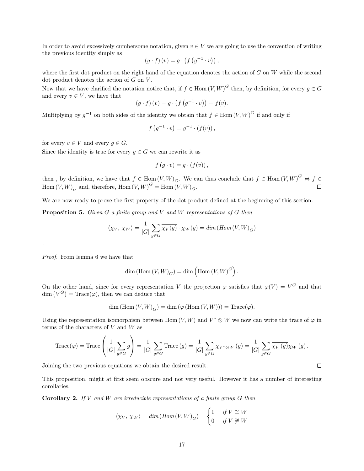In order to avoid excessively cumbersome notation, given  $v \in V$  we are going to use the convention of writing the previous identity simply as

$$
(g \cdot f) (v) = g \cdot (f (g^{-1} \cdot v)),
$$

where the first dot product on the right hand of the equation denotes the action of  $G$  on  $W$  while the second dot product denotes the action of  $G$  on  $V$ .

Now that we have clarified the notation notice that, if  $f \in Hom(V, W)^G$  then, by definition, for every  $g \in G$ and every  $v \in V$ , we have that

$$
(g \cdot f)(v) = g \cdot (f(g^{-1} \cdot v)) = f(v).
$$

Multiplying by  $g^{-1}$  on both sides of the identity we obtain that  $f \in \text{Hom}(V, W)^G$  if and only if

$$
f(g^{-1} \cdot v) = g^{-1} \cdot (f(v)),
$$

for every  $v \in V$  and every  $g \in G$ .

Since the identity is true for every  $g \in G$  we can rewrite it as

$$
f(g \cdot v) = g \cdot (f(v)),
$$

then, by definition, we have that  $f \in \text{Hom}(V, W)_{G}$ . We can thus conclude that  $f \in \text{Hom}(V, W)^G \Leftrightarrow f \in$  $\mathrm{Hom}\left(V,W\right)_{G}$  and, therefore,  $\mathrm{Hom}\left(V,W\right)^{G}=\mathrm{Hom}\left(V,W\right)_{G}.$ 

We are now ready to prove the first property of the dot product defined at the beginning of this section.

**Proposition 5.** Given  $G$  a finite group and  $V$  and  $W$  representations of  $G$  then

$$
\langle \chi_V, \chi_W \rangle = \frac{1}{|G|} \sum_{g \in G} \overline{\chi_V(g)} \cdot \chi_W(g) = \dim(\text{Hom}(V, W)_G)
$$

Proof. From lemma 6 we have that

.

$$
\dim\left(\mathrm{Hom}\left(V,W\right)_{G}\right) = \dim\left(\mathrm{Hom}\left(V,W\right)^{G}\right).
$$

On the other hand, since for every representation V the projection  $\varphi$  satisfies that  $\varphi(V) = V^G$  and that  $\dim (V^G) = \text{Trace}(\varphi)$ , then we can deduce that

$$
\dim(\mathrm{Hom}\,(V,W)_G) = \dim(\varphi(\mathrm{Hom}\,(V,W))) = \mathrm{Trace}(\varphi).
$$

Using the representation isomorphism between Hom  $(V, W)$  and  $V^* \otimes W$  we now can write the trace of  $\varphi$  in terms of the characters of  $V$  and  $W$  as

$$
\operatorname{Trace}(\varphi) = \operatorname{Trace}\left(\frac{1}{|G|}\sum_{g\in G}g\right) = \frac{1}{|G|}\sum_{g\in G}\operatorname{Trace}\left(g\right) = \frac{1}{|G|}\sum_{g\in G}\chi_{V^*\otimes W}\left(g\right) = \frac{1}{|G|}\sum_{g\in G}\overline{\chi_{V}\left(g\right)}\chi_{W}\left(g\right).
$$

Joining the two previous equations we obtain the desired result.

This proposition, might at first seem obscure and not very useful. However it has a number of interesting corollaries.

**Corollary 2.** If V and W are irreducible representations of a finite group  $G$  then

$$
\langle \chi_V, \chi_W \rangle = \dim(\text{Hom}(V, W)_G) = \begin{cases} 1 & \text{if } V \cong W \\ 0 & \text{if } V \not\cong W \end{cases}
$$

 $\Box$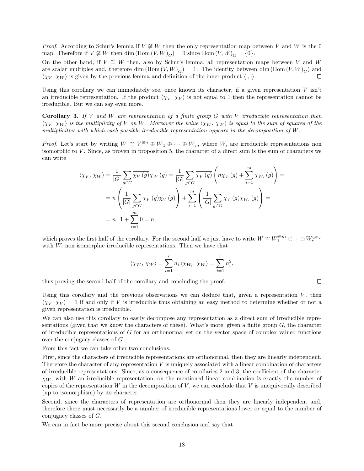*Proof.* According to Schur's lemma if  $V \not\cong W$  then the only representation map between V and W is the 0 map. Therefore if  $V \not\cong W$  then dim  $(\text{Hom}(V, W)_{G}) = 0$  since  $\text{Hom}(V, W)_{G} = \{0\}.$ 

On the other hand, if  $V \cong W$  then, also by Schur's lemma, all representation maps between V and W are scalar multiples and, therefore dim  $(Hom (V, W)<sub>G</sub>) = 1$ . The identity between dim  $(Hom (V, W)<sub>G</sub>)$  and  $\langle \chi_V, \chi_W \rangle$  is given by the previous lemma and definition of the inner product  $\langle \cdot, \cdot \rangle$ . П

Using this corollary we can immediately see, once known its character, if a given representation  $V$  isn't an irreducible representation. If the product  $\langle \chi_V, \chi_V \rangle$  is not equal to 1 then the representation cannot be irreducible. But we can say even more.

**Corollary 3.** If V and W are representation of a finite group  $G$  with V irreducible representation then  $\langle \chi_V, \chi_W \rangle$  is the multiplicity of V on W. Moreover the value  $\langle \chi_W, \chi_W \rangle$  is equal to the sum of squares of the multiplicities with which each possible irreducible representation appears in the decomposition of W.

*Proof.* Let's start by writing  $W \cong V^{\oplus n} \oplus W_1 \oplus \cdots \oplus W_m$  where  $W_i$  are irreducible representations non isomorphic to V . Since, as proven in proposition 5, the character of a direct sum is the sum of characters we can write

$$
\langle \chi_V, \chi_W \rangle = \frac{1}{|G|} \sum_{g \in G} \overline{\chi_V(g)} \chi_W(g) = \frac{1}{|G|} \sum_{g \in G} \overline{\chi_V(g)} \left( n \chi_V(g) + \sum_{i=1}^m \chi_{W_i}(g) \right) =
$$
  
= 
$$
n \left( \frac{1}{|G|} \sum_{g \in G} \overline{\chi_V(g)} \chi_V(g) \right) + \sum_{i=1}^m \left( \frac{1}{|G|} \sum_{g \in G} \overline{\chi_V(g)} \chi_{W_i}(g) \right) =
$$
  
= 
$$
n \cdot 1 + \sum_{i=1}^m 0 = n,
$$

which proves the first half of the corollary. For the second half we just have to write  $W \cong W_1^{\oplus n_1} \oplus \cdots \oplus W_r^{\oplus n_r}$ with  $W_i$  non isomorphic irreducible representations. Then we have that

$$
\langle \chi_W, \chi_W \rangle = \sum_{i=1}^r n_i \langle \chi_{W_i}, \chi_W \rangle = \sum_{i=1}^r n_i^2,
$$

thus proving the second half of the corollary and concluding the proof.

 $\Box$ 

Using this corollary and the previous observations we can deduce that, given a representation  $V$ , then  $\langle \chi_V, \chi_V \rangle = 1$  if and only if V is irreducible thus obtaining an easy method to determine whether or not a given representation is irreducible.

We can also use this corollary to easily decompose any representation as a direct sum of irreducible representations (given that we know the characters of these). What's more, given a finite group  $G$ , the character of irreducible representations of G for an orthonormal set on the vector space of complex valued functions over the conjugacy classes of G.

From this fact we can take other two conclusions.

First, since the characters of irreducible representations are orthonormal, then they are linearly independent. Therefore the character of any representation V is uniquely associated with a linear combination of characters of irreducible representations. Since, as a consequence of corollaries 2 and 3, the coefficient of the character  $\chi_W$ , with W an irreducible representation, on the mentioned linear combination is exactly the number of copies of the representation  $W$  in the decomposition of  $V$ , we can conclude that  $V$  is unequivocally described (up to isomorphism) by its character.

Second, since the characters of representation are orthonormal then they are linearly independent and, therefore there must necessarily be a number of irreducible representations lower or equal to the number of conjugacy classes of G.

We can in fact be more precise about this second conclusion and say that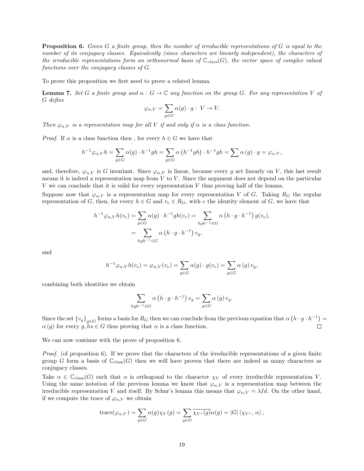**Proposition 6.** Given G a finite group, then the number of irreducible representations of G is equal to the number of its conjugacy classes. Equivalently (since characters are linearly independent), the characters of the irreducible representations form an orthonormal basis of  $\mathbb{C}_{class}(G)$ , the vector space of complex valued functions over the conjugacy classes of G.

To prove this proposition we first need to prove a related lemma.

**Lemma 7.** Set G a finite group and  $\alpha : G \to \mathbb{C}$  any function on the group G. For any representation V of G define

$$
\varphi_{\alpha,V} = \sum_{g \in G} \alpha(g) \cdot g: \ V \to V.
$$

Then  $\varphi_{\alpha,V}$  is a representation map for all V if and only if  $\alpha$  is a class function.

*Proof.* If  $\alpha$  is a class function then, for every  $h \in G$  we have that

$$
h^{-1}\varphi_{\alpha,V}h = \sum_{g \in G} \alpha(g) \cdot h^{-1}gh = \sum_{g \in G} \alpha\left(h^{-1}gh\right) \cdot h^{-1}gh = \sum \alpha(g) \cdot g = \varphi_{\alpha,V},
$$

and, therefore,  $\varphi_{\alpha,V}$  is G invariant. Since  $\varphi_{\alpha,V}$  is linear, because every g act linearly on V, this last result means it is indeed a representation map from  $V$  to  $V$ . Since the argument does not depend on the particular V we can conclude that it is valid for every representation V thus proving half of the lemma.

Suppose now that  $\varphi_{\alpha,V}$  is a representation map for every representation V of G. Taking  $R_G$  the regular representation of G, then, for every  $h \in G$  and  $v_e \in R_G$ , with e the identity element of G, we have that

$$
h^{-1}\varphi_{\alpha,V}h(v_e) = \sum_{g \in G} \alpha(g) \cdot h^{-1}gh(v_e) = \sum_{hgh^{-1} \in G} \alpha\left(h \cdot g \cdot h^{-1}\right)g(v_e),
$$
  
= 
$$
\sum_{hgh^{-1} \in G} \alpha\left(h \cdot g \cdot h^{-1}\right)v_g,
$$

and

$$
h^{-1}\varphi_{\alpha,V}h(v_e) = \varphi_{\alpha,V}(v_e) = \sum_{g \in G} \alpha(g) \cdot g(v_e) = \sum_{g \in G} \alpha(g) \, v_g,
$$

combining both identities we obtain

$$
\sum_{hgh^{-1}\in G} \alpha \left( h \cdot g \cdot h^{-1} \right) v_g = \sum_{g \in G} \alpha \left( g \right) v_g.
$$

Since the set  ${v_g}_{g \in G}$  forms a basis for  $R_G$  then we can conclude from the previous equation that  $\alpha(h \cdot g \cdot h^{-1}) =$  $\alpha(g)$  for every  $g, hs \in G$  thus proving that  $\alpha$  is a class function.

We can now continue with the prove of proposition 6.

*Proof.* (of proposition 6). If we prove that the characters of the irreducible representations of a given finite group G form a basis of  $\mathbb{C}_{\text{class}}(G)$  then we will have proven that there are indeed as many characters as conjugacy classes.

Take  $\alpha \in \mathbb{C}_{\text{class}}(G)$  such that  $\alpha$  is orthogonal to the character  $\chi_V$  of every irreducible representation V. Using the same notation of the previous lemma we know that  $\varphi_{\alpha,V}$  is a representation map between the irreducible representation V and itself. By Schur's lemma this means that  $\varphi_{\alpha,V} = \lambda Id$ . On the other hand, if we compute the trace of  $\varphi_{\alpha,V}$  we obtain

trace
$$
(\varphi_{\alpha,V}) = \sum_{g \in G} \alpha(g) \chi_V(g) = \sum_{g \in G} \overline{\chi_{V^*}(g)} \alpha(g) = |G| \langle \chi_{V^*}, \alpha \rangle
$$
,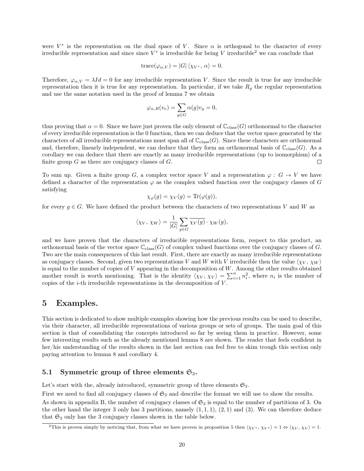were  $V^*$  is the representation on the dual space of V. Since  $\alpha$  is orthogonal to the character of every irreducible representation and since since  $V^*$  is irreducible for being V irreducible<sup>2</sup> we can conclude that

$$
trace(\varphi_{\alpha,V}) = |G| \langle \chi_{V^*}, \alpha \rangle = 0.
$$

Therefore,  $\varphi_{\alpha,V} = \lambda Id = 0$  for any irreducible representation V. Since the result is true for any irreducible representation then it is true for any representation. In particular, if we take  $R<sub>q</sub>$  the regular representation and use the same notation used in the proof of lemma 7 we obtain

$$
\varphi_{\alpha,R}(v_e) = \sum_{g \in G} \alpha(g)v_g = 0,
$$

thus proving that  $\alpha = 0$ . Since we have just proven the only element of  $\mathbb{C}_{\text{class}}(G)$  orthonormal to the character of every irreducible representation is the 0 function, then we can deduce that the vector space generated by the characters of all irreducible representations must span all of  $\mathbb{C}_{\text{class}}(G)$ . Since these characters are orthonormal and, therefore, linearly independent, we can deduce that they form an orthonormal basis of  $\mathbb{C}_{\text{class}}(G)$ . As a corollary we can deduce that there are exactly as many irreducible representations (up to isomorphism) of a finite group  $G$  as there are conjugacy classes of  $G$ .  $\Box$ 

To sum up. Given a finite group G, a complex vector space V and a representation  $\varphi : G \to V$  we have defined a character of the representation  $\varphi$  as the complex valued function over the conjugacy classes of G satisfying

$$
\chi_{\varphi}(g) = \chi_V(g) = \text{Tr}(\varphi(g)),
$$

for every  $q \in G$ . We have defined the product between the characters of two representations V and W as

$$
\langle \chi_V, \, \chi_W \rangle = \frac{1}{|G|} \sum_{g \in G} \overline{\chi_V(g)} \cdot \chi_W(g),
$$

and we have proven that the characters of irreducible representations form, respect to this product, an orthonormal basis of the vector space  $\mathbb{C}_{\text{class}}(G)$  of complex valued functions over the conjugacy classes of G. Two are the main consequences of this last result. First, there are exactly as many irreducible representations as conjugacy classes. Second, given two representations V and W with V irreducible then the value  $\langle \chi_V, \chi_W \rangle$ is equal to the number of copies of V appearing in the decomposition of W. Among the other results obtained another result is worth mentioning. That is the identity  $\langle \chi_V, \chi_V \rangle = \sum_{i=1}^n n_i^2$ , where  $n_i$  is the number of copies of the  $i$ -th irreducible representations in the decomposition of  $V$ .

### 5 Examples.

This section is dedicated to show multiple examples showing how the previous results can be used to describe, via their character, all irreducible representations of various groups or sets of groups. The main goal of this section is that of consolidating the concepts introduced so far by seeing them in practice. However, some few interesting results such as the already mentioned lemma 8 are shown. The reader that feels confident in her/his understanding of the results shown in the last section can feel free to skim trough this section only paying attention to lemma 8 and corollary 4.

#### 5.1 Symmetric group of three elements  $\mathfrak{S}_3$ .

Let's start with the, already introduced, symmetric group of three elements  $\mathfrak{S}_3$ .

First we need to find all conjugacy classes of  $\mathfrak{S}_3$  and describe the format we will use to show the results.

As shown in appendix B, the number of conjugacy classes of  $\mathfrak{S}_3$  is equal to the number of partitions of 3. On the other hand the integer 3 only has 3 partitions, namely  $(1, 1, 1)$ ,  $(2, 1)$  and  $(3)$ . We can therefore deduce that  $\mathfrak{S}_3$  only has the 3 conjugacy classes shown in the table below.

<sup>&</sup>lt;sup>2</sup>This is proven simply by noticing that, from what we have proven in proposition 5 then  $\langle \chi_{V^*}, \chi_{V^*} \rangle = 1 \Leftrightarrow \langle \chi_V, \chi_V \rangle = 1$ .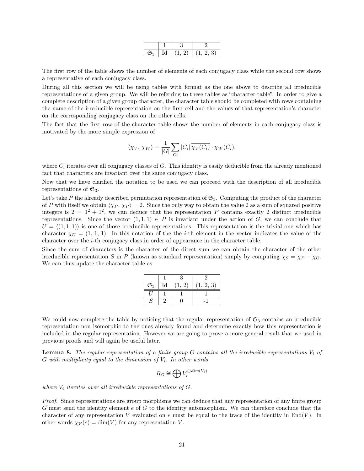| $\mathfrak{S}_{\mathbb{C}}$ | ď<br> | - | - 11<br>יצי לי ד<br>$\overline{ }$ |
|-----------------------------|-------|---|------------------------------------|

The first row of the table shows the number of elements of each conjugacy class while the second row shows a representative of each conjugacy class.

During all this section we will be using tables with format as the one above to describe all irreducible representations of a given group. We will be referring to these tables as "character table". In order to give a complete description of a given group character, the character table should be completed with rows containing the name of the irreducible representation on the first cell and the values of that representation's character on the corresponding conjugacy class on the other cells.

The fact that the first row of the character table shows the number of elements in each conjugacy class is motivated by the more simple expression of

$$
\langle \chi_V, \, \chi_W \rangle = \frac{1}{|G|} \sum_{C_i} |C_i| \overline{\chi_V(C_i)} \cdot \chi_W(C_i),
$$

where  $C_i$  iterates over all conjugacy classes of  $G$ . This identity is easily deducible from the already mentioned fact that characters are invariant over the same conjugacy class.

Now that we have clarified the notation to be used we can proceed with the description of all irreducible representations of  $\mathfrak{S}_3$ .

Let's take P the already described permutation representation of  $\mathfrak{S}_3$ . Computing the product of the character of P with itself we obtain  $\langle \chi_P, \chi_P \rangle = 2$ . Since the only way to obtain the value 2 as a sum of squared positive integers is  $2 = 1^2 + 1^2$ , we can deduce that the representation P contains exactly 2 distinct irreducible representations. Since the vector  $(1,1,1) \in P$  is invariant under the action of G, we can conclude that  $U = \langle (1, 1, 1) \rangle$  is one of those irreducible representations. This representation is the trivial one which has character  $\chi_{U} = (1, 1, 1)$ . In this notation of the the *i*-th element in the vector indicates the value of the character over the i-th conjugacy class in order of appearance in the character table.

Since the sum of characters is the character of the direct sum we can obtain the character of the other irreducible representation S in P (known as standard representation) simply by computing  $\chi_S = \chi_P - \chi_U$ . We can thus update the character table as

| $\overline{\mathfrak{S}_3}$ | $_{\rm Id}$ | ., | -3 |
|-----------------------------|-------------|----|----|
|                             |             |    |    |
|                             |             |    |    |

We could now complete the table by noticing that the regular representation of  $\mathfrak{S}_3$  contains an irreducible representation non isomorphic to the ones already found and determine exactly how this representation is included in the regular representation. However we are going to prove a more general result that we used in previous proofs and will again be useful later.

**Lemma 8.** The regular representation of a finite group G contains all the irreducible representations  $V_i$  of G with multiplicity equal to the dimension of  $V_i$ . In other words

$$
R_G \cong \bigoplus V_i^{\oplus dim(V_i)}
$$

where  $V_i$  iterates over all irreducible representations of  $G$ .

Proof. Since representations are group morphisms we can deduce that any representation of any finite group G must send the identity element  $e$  of G to the identity automorphism. We can therefore conclude that the character of any representation V evaluated on e must be equal to the trace of the identity in  $\text{End}(V)$ . In other words  $\chi_V(e) = \dim(V)$  for any representation V.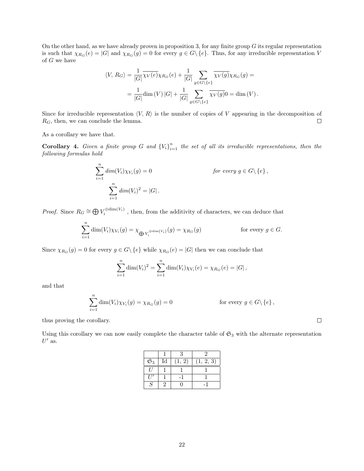On the other hand, as we have already proven in proposition 3, for any finite group  $G$  its regular representation is such that  $\chi_{R_G}(e) = |G|$  and  $\chi_{R_G}(g) = 0$  for every  $g \in G \setminus \{e\}$ . Thus, for any irreducible representation V of G we have

$$
\langle V, R_G \rangle = \frac{1}{|G|} \overline{\chi_V(e)} \chi_{R_G}(e) + \frac{1}{|G|} \sum_{g \in G \setminus \{e\}} \overline{\chi_V(g)} \chi_{R_G}(g) =
$$
  

$$
= \frac{1}{|G|} \dim(V) |G| + \frac{1}{|G|} \sum_{g \in G \setminus \{e\}} \overline{\chi_V(g)} 0 = \dim(V) .
$$

Since for irreducible representation  $\langle V, R \rangle$  is the number of copies of V appearing in the decomposition of  $R_G$ , then, we can conclude the lemma.  $\Box$ 

As a corollary we have that.

**Corollary 4.** Given a finite group G and  ${V_i}_{i=1}^n$  the set of all its irreducible representations, then the following formulas hold

$$
\sum_{i=1}^{n} dim(V_i)\chi_{V_i}(g) = 0
$$
 for every  $g \in G \setminus \{e\}$ ,  

$$
\sum_{i=1}^{n} dim(V_i)^2 = |G|.
$$

*Proof.* Since  $R_G \cong \bigoplus V_i^{\oplus \dim(V_i)}$ , then, from the additivity of characters, we can deduce that

$$
\sum_{i=1}^{n} \dim(V_i) \chi_{V_i}(g) = \chi_{\bigoplus V_i^{\oplus \dim(V_i)}}(g) = \chi_{R_G}(g) \quad \text{for every } g \in G.
$$

Since  $\chi_{R_G}(g) = 0$  for every  $g \in G \setminus \{e\}$  while  $\chi_{R_G}(e) = |G|$  then we can conclude that

$$
\sum_{i=1}^{n} \dim(V_i)^2 = \sum_{i=1}^{n} \dim(V_i) \chi_{V_i}(e) = \chi_{R_G}(e) = |G|,
$$

and that

$$
\sum_{i=1}^{n} \dim(V_i) \chi_{V_i}(g) = \chi_{R_G}(g) = 0
$$
 for every  $g \in G \setminus \{e\},\$ 

thus proving the corollary.

Using this corollary we can now easily complete the character table of  $\mathfrak{S}_3$  with the alternate representation  $U'$  as.

|                  |                            | २ |       |
|------------------|----------------------------|---|-------|
| $\mathfrak{S}_3$ | $\mathop{\rm Id}\nolimits$ | 2 | 2, 3) |
| $^{\prime}$      |                            |   |       |
|                  |                            |   |       |
| S                |                            |   |       |

 $\Box$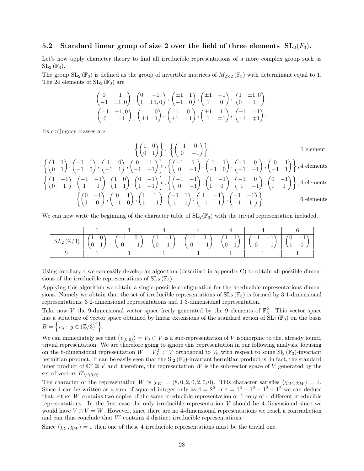#### 5.2 Standard linear group of size 2 over the field of three elements  $SL_2(F_3)$ .

Let's now apply character theory to find all irreducible representations of a more complex group such as  $SL_2(\mathbb{F}_3).$ 

The group  $SL_2(\mathbb{F}_3)$  is defined as the group of invertible matrices of  $M_{2\times 2}(\mathbb{F}_3)$  with determinant equal to 1. The 24 elements of  $SL_2(\mathbb{F}_3)$  are

$$
\begin{pmatrix}\n0 & 1 \\
-1 & \pm 1, 0\n\end{pmatrix}, \begin{pmatrix}\n0 & -1 \\
1 & \pm 1, 0\n\end{pmatrix}, \begin{pmatrix}\n\pm 1 & 1 \\
-1 & 0\n\end{pmatrix}, \begin{pmatrix}\n\pm 1 & -1 \\
1 & 0\n\end{pmatrix}, \begin{pmatrix}\n1 & \pm 1, 0 \\
0 & 1\n\end{pmatrix}, \begin{pmatrix}\n-1 & \pm 1, 0 \\
0 & -1\n\end{pmatrix}, \begin{pmatrix}\n1 & 0 \\
\pm 1 & 1\n\end{pmatrix}, \begin{pmatrix}\n-1 & 0 \\
\pm 1 & -1\n\end{pmatrix}, \begin{pmatrix}\n\pm 1 & 1 \\
1 & \mp 1\n\end{pmatrix}, \begin{pmatrix}\n\pm 1 & -1 \\
-1 & \mp 1\n\end{pmatrix}.
$$

Its conjugacy classes are

$$
\left\{ \begin{pmatrix} 1 & 1 \\ 0 & 1 \end{pmatrix}, \begin{pmatrix} -1 & 1 \\ -1 & 0 \end{pmatrix}, \begin{pmatrix} 1 & 0 \\ -1 & 1 \end{pmatrix}, \begin{pmatrix} 0 & 1 \\ -1 & -1 \end{pmatrix} \right\}, \begin{pmatrix} -1 & 1 \\ 0 & -1 \end{pmatrix}, \begin{pmatrix} 1 & 1 \\ -1 & 0 \end{pmatrix}, \begin{pmatrix} -1 & 0 \\ -1 & -1 \end{pmatrix}, \begin{pmatrix} 0 & 1 \\ -1 & -1 \end{pmatrix} \right\}, 4 \text{ elements}
$$

$$
\left\{ \begin{pmatrix} 1 & -1 \\ 0 & 1 \end{pmatrix}, \begin{pmatrix} -1 & -1 \\ 1 & 0 \end{pmatrix}, \begin{pmatrix} 1 & 0 \\ 1 & 1 \end{pmatrix}, \begin{pmatrix} 0 & -1 \\ 1 & -1 \end{pmatrix} \right\}, \left\{ \begin{pmatrix} -1 & -1 \\ 0 & -1 \end{pmatrix}, \begin{pmatrix} 1 & -1 \\ 1 & 0 \end{pmatrix}, \begin{pmatrix} -1 & 0 \\ 1 & -1 \end{pmatrix}, \begin{pmatrix} 0 & -1 \\ 1 & 1 \end{pmatrix} \right\}, 4 \text{ elements}
$$

$$
\left\{ \begin{pmatrix} 0 & -1 \\ 1 & 0 \end{pmatrix}, \begin{pmatrix} 0 & 1 \\ -1 & 0 \end{pmatrix}, \begin{pmatrix} 1 & 1 \\ 1 & -1 \end{pmatrix}, \begin{pmatrix} -1 & 1 \\ 1 & 1 \end{pmatrix}, \begin{pmatrix} 1 & -1 \\ -1 & -1 \end{pmatrix}, \begin{pmatrix} -1 & -1 \\ -1 & 1 \end{pmatrix} \right\} \right\}
$$
6 elements

We can now write the beginning of the character table of  $SL_2(\mathbb{F}_3)$  with the trivial representation included.

| $SL_2(\mathbb{Z}/3)$ |  |  |  |  |
|----------------------|--|--|--|--|
|                      |  |  |  |  |

Using corollary 4 we can easily develop an algorithm (described in appendix C) to obtain all possible dimensions of the irreducible representations of  $SL_2(\mathbb{F}_3)$ .

Applying this algorithm we obtain a single possible configuration for the irreducible representations dimensions. Namely we obtain that the set of irreducible representations of  $SL_2(\mathbb{F}_3)$  is formed by 3 1-dimensional representations, 3 2-dimensional representations and 1 3-dimensional representation.

Take now V the 9-dimensional vector space freely generated by the 9 elements of  $\mathbb{F}_3^2$ . This vector space has a structure of vector space obtained by linear extensions of the standard action of  $SL_2(\mathbb{F}_3)$  on the basis  $B = \{v_g : g \in (\mathbb{Z}/3)^2\}.$ 

We can immediately see that  $\langle v_{(0,0)} \rangle = V_0 \subset V$  is a sub-representation of V isomorphic to the, already found, trivial representation. We are therefore going to ignore this representation in our following analysis, focusing on the 8-dimensional representation  $W = V_0^T \subset V$  orthogonal to  $V_0$  with respect to some  $\text{Sl}_2(\mathbb{F}_3)$ -invariant hermitian product. It can be easily seen that the  $SI_2(\mathbb{F}_3)$ -invariant hermitian product is, in fact, the standard inner product of  $\mathbb{C}^9 \cong V$  and, therefore, the representation W is the sub-vector space of V generated by the set of vectors  $B\setminus v_{(0,0)}$ .

The character of the representation W is  $\chi_W = (8, 0, 2, 0, 2, 0, 0)$ . This character satisfies  $\langle \chi_W, \chi_W \rangle = 4$ . Since 4 can be written as a sum of squared integer only as  $4 = 2^2$  or  $4 = 1^2 + 1^2 + 1^2 + 1^2$  we can deduce that, either W contains two copies of the same irreducible representation or 1 copy of 4 different irreducible representations. In the first case the only irreducible representation  $V$  should be 4-dimensional since we would have  $V \oplus V = W$ . However, since there are no 4-dimensional representations we reach a contradiction and can thus conclude that W contains 4 distinct irreducible representations.

Since  $\langle \chi_U, \chi_W \rangle = 1$  then one of these 4 irreducible representations must be the trivial one.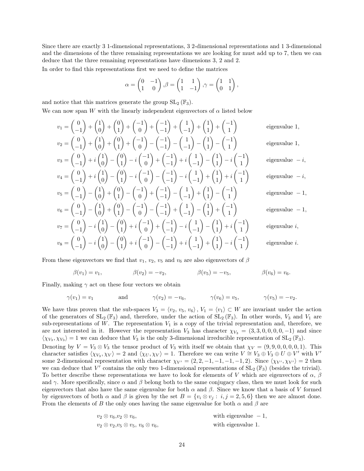Since there are exactly 3 1-dimensional representations, 3 2-dimensional representations and 1 3-dimensional and the dimensions of the three remaining representations we are looking for must add up to 7, then we can deduce that the three remaining representations have dimensions 3, 2 and 2.

In order to find this representations first we need to define the matrices

$$
\alpha = \begin{pmatrix} 0 & -1 \\ 1 & 0 \end{pmatrix}, \beta = \begin{pmatrix} 1 & 1 \\ 1 & -1 \end{pmatrix}, \gamma = \begin{pmatrix} 1 & 1 \\ 0 & 1 \end{pmatrix},
$$

 $+(-1)$ 

 $+$  $\left(\frac{1}{1}\right)$ 

 $+(-1)$ 

 $\setminus$ 

 $\setminus$ 

and notice that this matrices generate the group  $SL_2(\mathbb{F}_3)$ .

 $+(-1)$ 

 $v_1 = \begin{pmatrix} 0 \\ 0 \\ 0 \end{pmatrix}$ 

 $v_2 =$ 

 $v_4$ 

 $+\binom{1}{0}$ 

 $+ \begin{pmatrix} 0 \\ 1 \end{pmatrix}$ 

We can now span W with the linearly independent eigenvectors of  $\alpha$  listed below

$$
eigenvalue 1,
$$

$$
\begin{pmatrix} -1 \end{pmatrix} \begin{pmatrix} 0 \end{pmatrix} \begin{pmatrix} 1 \end{pmatrix} \begin{pmatrix} 0 \end{pmatrix} \begin{pmatrix} -1 \end{pmatrix} \begin{pmatrix} -1 \end{pmatrix} \begin{pmatrix} 1 \end{pmatrix} \begin{pmatrix} 1 \end{pmatrix}
$$
  
\n
$$
\begin{pmatrix} 0 \\ -1 \end{pmatrix} + \begin{pmatrix} 1 \\ 0 \end{pmatrix} + \begin{pmatrix} 0 \\ 1 \end{pmatrix} + \begin{pmatrix} -1 \\ 0 \end{pmatrix} - \begin{pmatrix} -1 \\ -1 \end{pmatrix} - \begin{pmatrix} 1 \\ -1 \end{pmatrix} - \begin{pmatrix} 1 \\ 1 \end{pmatrix} - \begin{pmatrix} -1 \\ 1 \end{pmatrix}
$$
  
\n
$$
\begin{pmatrix} 0 \\ 0 \end{pmatrix} + i \begin{pmatrix} 1 \\ 0 \end{pmatrix} + i \begin{pmatrix} 0 \\ 0 \end{pmatrix} - i \begin{pmatrix} -1 \\ -1 \end{pmatrix} + i \begin{pmatrix} -1 \\ 1 \end{pmatrix} + i \begin{pmatrix} 1 \\ 1 \end{pmatrix} + i \begin{pmatrix} 1 \\ 1 \end{pmatrix} - i \begin{pmatrix} -1 \\ 1 \end{pmatrix} + i \begin{pmatrix} -1 \\ 1 \end{pmatrix} + i \begin{pmatrix} -1 \\ 1 \end{pmatrix} + i \begin{pmatrix} -1 \\ 1 \end{pmatrix} + i \begin{pmatrix} -1 \\ 1 \end{pmatrix} + i \begin{pmatrix} -1 \\ 1 \end{pmatrix} + i \begin{pmatrix} -1 \\ 1 \end{pmatrix} + i \begin{pmatrix} -1 \\ 1 \end{pmatrix} + i \begin{pmatrix} -1 \\ 1 \end{pmatrix} + i \begin{pmatrix} -1 \\ 1 \end{pmatrix} + i \begin{pmatrix} -1 \\ 1 \end{pmatrix} + i \begin{pmatrix} -1 \\ 1 \end{pmatrix} + i \begin{pmatrix} -1 \\ 1 \end{pmatrix} + i \begin{pmatrix} -1 \\ 1 \end{pmatrix} + i \begin{pmatrix} -1 \\ 1 \end{pmatrix} + i \begin{pmatrix} -1 \\ 1 \end{pmatrix} + i \begin{pmatrix} -1 \\ 1 \end{pmatrix} + i \begin{pmatrix} -1 \\ 1 \end{pmatrix} + i \begin{pmatrix} -1 \\
$$

 $+(-1)$ 

$$
v_3 = \begin{pmatrix} 0 \\ -1 \end{pmatrix} + i \begin{pmatrix} 1 \\ 0 \end{pmatrix} - \begin{pmatrix} 0 \\ 1 \end{pmatrix} - i \begin{pmatrix} 1 \\ 0 \end{pmatrix} + \begin{pmatrix} 1 \\ -1 \end{pmatrix} + i \begin{pmatrix} 1 \\ -1 \end{pmatrix} - i \begin{pmatrix} 1 \\ 1 \end{pmatrix}
$$
  
\n
$$
v_4 = \begin{pmatrix} 0 \\ -1 \end{pmatrix} + i \begin{pmatrix} 1 \\ 0 \end{pmatrix} - \begin{pmatrix} 0 \\ 1 \end{pmatrix} - i \begin{pmatrix} -1 \\ 0 \end{pmatrix} - \begin{pmatrix} -1 \\ -1 \end{pmatrix} - i \begin{pmatrix} 1 \\ -1 \end{pmatrix} + \begin{pmatrix} 1 \\ 1 \end{pmatrix} + i \begin{pmatrix} -1 \\ 1 \end{pmatrix}
$$
  
\n
$$
v_5 = \begin{pmatrix} 0 \\ -1 \end{pmatrix} - \begin{pmatrix} 1 \\ 0 \end{pmatrix} + \begin{pmatrix} 0 \\ 1 \end{pmatrix} - \begin{pmatrix} -1 \\ 0 \end{pmatrix} + \begin{pmatrix} -1 \\ -1 \end{pmatrix} - \begin{pmatrix} 1 \\ -1 \end{pmatrix} + \begin{pmatrix} 1 \\ 1 \end{pmatrix} - \begin{pmatrix} -1 \\ 1 \end{pmatrix}
$$

$$
v_6 = \begin{pmatrix} 0 \\ -1 \end{pmatrix} - \begin{pmatrix} 1 \\ 0 \end{pmatrix} + \begin{pmatrix} 0 \\ 1 \end{pmatrix} - \begin{pmatrix} -1 \\ 0 \end{pmatrix} - \begin{pmatrix} -1 \\ -1 \end{pmatrix} + \begin{pmatrix} 1 \\ -1 \end{pmatrix} - \begin{pmatrix} 1 \\ 1 \end{pmatrix} + \begin{pmatrix} -1 \\ 1 \end{pmatrix}
$$

$$
v_7 = \begin{pmatrix} 0 \\ -1 \end{pmatrix} - i \begin{pmatrix} 1 \\ 0 \end{pmatrix} - \begin{pmatrix} 0 \\ 1 \end{pmatrix} + i \begin{pmatrix} -1 \\ 0 \end{pmatrix} + \begin{pmatrix} -1 \\ -1 \end{pmatrix} - i \begin{pmatrix} 1 \\ -1 \end{pmatrix} - \begin{pmatrix} 1 \\ 1 \end{pmatrix} + i \begin{pmatrix} -1 \\ 1 \end{pmatrix}
$$
  

$$
v_8 = \begin{pmatrix} 0 \\ -1 \end{pmatrix} - i \begin{pmatrix} 1 \\ 0 \end{pmatrix} - \begin{pmatrix} 0 \\ 1 \end{pmatrix} + i \begin{pmatrix} -1 \\ 0 \end{pmatrix} - \begin{pmatrix} -1 \\ -1 \end{pmatrix} + i \begin{pmatrix} 1 \\ -1 \end{pmatrix} + \begin{pmatrix} 1 \\ 1 \end{pmatrix} - i \begin{pmatrix} -1 \\ 1 \end{pmatrix}
$$

eigenvalue 1,

$$
{\rm eigenvalue}~-i,
$$

$$
eigenvalue~-i,\\
$$

eigenvalue 
$$
-1
$$
,

 $eigenvalue - 1$ ,

eigenvalue 
$$
i
$$
,

eigenvalue i.

From these eigenvectors we find that  $v_1, v_2, v_5$  and  $v_6$  are also eigenvectors of  $\beta$ 

$$
\beta(v_1) = v_1,
$$
\n $\beta(v_2) = -v_2,$ \n $\beta(v_5) = -v_5,$ \n $\beta(v_6) = v_6.$ 

Finally, making  $\gamma$  act on these four vectors we obtain

$$
\gamma(v_1) = v_1
$$
 and  $\gamma(v_2) = -v_6$ ,  $\gamma(v_6) = v_5$ ,  $\gamma(v_5) = -v_2$ .

We have thus proven that the sub-spaces  $V_3 = \langle v_2, v_5, v_6 \rangle$ ,  $V_1 = \langle v_1 \rangle \subset W$  are invariant under the action of the generators of  $SL_2(\mathbb{F}_3)$  and, therefore, under the action of  $SL_2(\mathbb{F}_3)$ . In other words,  $V_3$  and  $V_1$  are sub-representations of W. The representation  $V_1$  is a copy of the trivial representation and, therefore, we are not interested in it. However the representation  $V_3$  has character  $\chi_{V_3} = (3, 3, 0, 0, 0, 0, -1)$  and since  $\langle \chi_{V_3}, \chi_{V_3} \rangle = 1$  we can deduce that  $V_3$  is the only 3-dimensional irreducible representation of  $SL_2(\mathbb{F}_3)$ .

Denoting by  $V = V_3 \otimes V_3$  the tensor product of  $V_3$  with itself we obtain that  $\chi_V = (9, 9, 0, 0, 0, 0, 1)$ . This character satisfies  $\langle \chi_{V_3}, \chi_V \rangle = 2$  and  $\langle \chi_U, \chi_V \rangle = 1$ . Therefore we can write  $V \cong V_3 \oplus V_3 \oplus U \oplus V'$  with  $V'$ some 2-dimensional representation with character  $\chi_{V'} = (2, 2, -1, -1, -1, -1, 2)$ . Since  $\langle \chi_{V'}, \chi_{V'} \rangle = 2$  then we can deduce that  $V'$  contains the only two 1-dimensional representations of  $SL_2(\mathbb{F}_3)$  (besides the trivial). To better describe these representations we have to look for elements of V which are eigenvectors of  $\alpha$ ,  $\beta$ and  $\gamma$ . More specifically, since  $\alpha$  and  $\beta$  belong both to the same conjugacy class, then we must look for such eigenvectors that also have the same eigenvalue for both  $\alpha$  and  $\beta$ . Since we know that a basis of V formed by eigenvectors of both  $\alpha$  and  $\beta$  is given by the set  $B = \{v_i \otimes v_j : i, j = 2, 5, 6\}$  then we are almost done. From the elements of B the only ones having the same eigenvalue for both  $\alpha$  and  $\beta$  are

| $v_2 \otimes v_6, v_2 \otimes v_6,$                  | with eigenvalue $-1$ , |
|------------------------------------------------------|------------------------|
| $v_2 \otimes v_2, v_5 \otimes v_5, v_6 \otimes v_6,$ | with eigenvalue 1.     |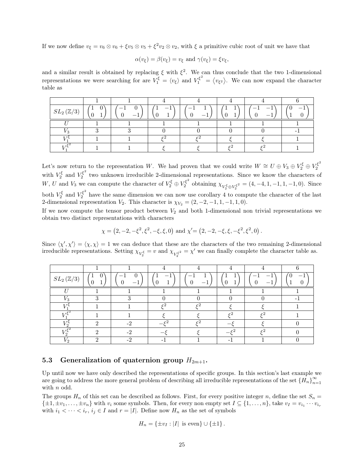If we now define  $v_{\xi} = v_6 \otimes v_6 + \xi v_5 \otimes v_5 + \xi^2 v_2 \otimes v_2$ , with  $\xi$  a primitive cubic root of unit we have that

$$
\alpha(v_{\xi}) = \beta(v_{\xi}) = v_{\xi} \text{ and } \gamma(v_{\xi}) = \xi v_{\xi},
$$

and a similar result is obtained by replacing  $\xi$  with  $\xi^2$ . We can thus conclude that the two 1-dimensional representations we were searching for are  $V_1^{\xi} = \langle v_{\xi} \rangle$  and  $V_1^{\xi^2} = \langle v_{\xi^2} \rangle$ . We can now expand the character table as

| $SL_2(\mathbb{Z}/3)$ |  |     |  | _ |  |
|----------------------|--|-----|--|---|--|
|                      |  |     |  |   |  |
|                      |  |     |  |   |  |
| $\mathbf{r}$ :       |  | - 2 |  |   |  |
|                      |  |     |  |   |  |

Let's now return to the representation W. We had proven that we could write  $W \cong U \oplus V_3 \oplus V_2^{\xi} \oplus V_2^{\xi^2}$ 2 with  $V_2^{\xi}$  and  $V_2^{\xi^2}$  $\zeta_2^{\zeta}$  two unknown irreducible 2-dimensional representations. Since we know the characters of  $W,\, U$  and  $V_3$  we can compute the character of  $V_2^{\xi} \oplus V_2^{\xi^2}$  $\chi_{V_2^{\xi} \oplus V_2^{\xi^2}} = (4, -4, 1, -1, 1, -1, 0)$ . Since both  $V_2^{\xi}$  and  $V_2^{\xi^2}$  have the same dimension we can now use corollary 4 to compute the character of the last 2-dimensional representation  $V_2$ . This character is  $\chi_{V_2} = (2, -2, -1, 1, -1, 1, 0)$ .

If we now compute the tensor product between  $V_2$  and both 1-dimensional non trivial representations we obtain two distinct representations with characters

$$
\chi = (2, -2, -\xi^2, \xi^2, -\xi, \xi, 0) \text{ and } \chi' = (2, -2, -\xi, \xi, -\xi^2, \xi^2, 0).
$$

Since  $\langle \chi', \chi' \rangle = \langle \chi, \chi \rangle = 1$  we can deduce that these are the characters of the two remaining 2-dimensional irreducible representations. Setting  $\chi_{V_2^{\xi}} = v$  and  $\chi_{V_2^{\xi}} = \chi'$  we can finally complete the character table as.

| $SL_2(\mathbb{Z}/3)$ | τ.       |      |                | $\hspace{0.1mm}-\hspace{0.1mm}$ |   | $\hspace{0.1mm}-\hspace{0.1mm}$ |  |
|----------------------|----------|------|----------------|---------------------------------|---|---------------------------------|--|
|                      |          |      |                |                                 |   |                                 |  |
|                      | $\Omega$ | ച    |                |                                 |   |                                 |  |
|                      |          |      | $\overline{c}$ | 0.                              |   |                                 |  |
|                      |          |      |                |                                 | ച | - 0                             |  |
|                      | $\Omega$ | $-2$ |                |                                 |   |                                 |  |
|                      |          | $-2$ |                |                                 |   | - 0                             |  |
|                      | $\Omega$ | $-2$ |                |                                 |   |                                 |  |

#### 5.3 Generalization of quaternion group  $H_{2m+1}$ .

Up until now we have only described the representations of specific groups. In this section's last example we are going to address the more general problem of describing all irreducible representations of the set  $\{H_n\}_{n=1}^{\infty}$  $n=1$ with *n* odd.

The groups  $H_n$  of this set can be described as follows. First, for every positive integer n, define the set  $S_n$  =  $\{\pm 1, \pm v_1, \ldots, \pm v_n\}$  with  $v_i$  some symbols. Then, for every non empty set  $I \subseteq \{1, \ldots, n\}$ , take  $v_I = v_{i_1} \cdots v_{i_r}$ with  $i_1 < \cdots < i_r$ ,  $i_j \in I$  and  $r = |I|$ . Define now  $H_n$  as the set of symbols

$$
H_n = \{\pm v_I : |I| \text{ is even}\} \cup \{\pm 1\}.
$$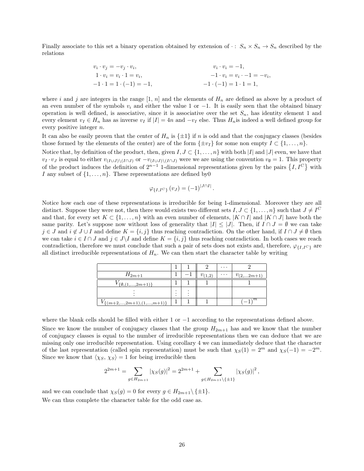Finally associate to this set a binary operation obtained by extension of  $\cdot : S_n \times S_n \to S_n$  described by the relations

$$
v_i \cdot v_j = -v_j \cdot v_i,
$$
  
\n
$$
1 \cdot v_i = v_i \cdot 1 = v_i,
$$
  
\n
$$
-1 \cdot 1 = 1 \cdot (-1) = -1,
$$
  
\n
$$
-1 \cdot (-1) = 1 \cdot 1 = 1,
$$
  
\n
$$
-1 \cdot (-1) = 1 \cdot 1 = 1,
$$

where i and j are integers in the range  $[1, n]$  and the elements of  $H_n$  are defined as above by a product of an even number of the symbols  $v_i$  and either the value 1 or  $-1$ . It is easily seen that the obtained binary operation is well defined, is associative, since it is associative over the set  $S_n$ , has identity element 1 and every element  $v_I \in H_n$  has as inverse  $v_I$  if  $|I| = 4n$  and  $-v_I$  else. Thus  $H_n$  is indeed a well defined group for every positive integer  $n$ .

It can also be easily proven that the center of  $H_n$  is  $\{\pm 1\}$  if n is odd and that the conjugacy classes (besides those formed by the elements of the center) are of the form  $\{\pm v_I\}$  for some non empty  $I \subset \{1, \ldots, n\}$ .

Notice that, by definition of the product, then, given  $I, J \subset \{1, \ldots, n\}$  with both  $|I|$  and  $|J|$  even, we have that  $v_I \cdot v_J$  is equal to either  $v_{(I\cup J)\setminus (I\cap J)}$  or  $-v_{(I\cup J)\setminus (I\cap J)}$  were we are using the convention  $v_{\emptyset} = 1$ . This property of the product induces the definition of  $2^{n-1}$  1-dimensional representations given by the pairs  $\{I, I^C\}$  with I any subset of  $\{1, \ldots, n\}$ . These representations are defined by 0

$$
\varphi_{\{I, I^C\}}(v_J) = (-1)^{|J \cap I|}
$$
.

Notice how each one of these representations is irreducible for being 1-dimensional. Moreover they are all distinct. Suppose they were not, then there would exists two different sets  $I, J \subset \{1, \ldots, n\}$  such that  $J \neq I^C$ and that, for every set  $K \subset \{1, \ldots, n\}$  with an even number of elements,  $|K \cap I|$  and  $|K \cap J|$  have both the same parity. Let's suppose now without loss of generality that  $|I| \leq |J|$ . Then, if  $I \cap J = \emptyset$  we can take  $j \in J$  and  $i \notin J \cup I$  and define  $K = \{i, j\}$  thus reaching contradiction. On the other hand, if  $I \cap J \neq \emptyset$  then we can take  $i \in I \cap J$  and  $j \in J\backslash I$  and define  $K = \{i, j\}$  thus reaching contradiction. In both cases we reach contradiction, therefore we must conclude that such a pair of sets does not exists and, therefore,  $\varphi_{\{I\}}_{C}$  are all distinct irreducible representations of  $H_n$ . We can then start the character table by writing

|                                     |              |             | $\cdots$ |                |
|-------------------------------------|--------------|-------------|----------|----------------|
| $H_{2m+1}$                          |              | $v_{(1,2)}$ | $\cdots$ | $v_{(2,2m+1)}$ |
| $\{\emptyset, (1, \ldots, 2m+1)\}\$ |              |             |          |                |
|                                     | ٠<br>$\cdot$ |             |          |                |
| $V_{\{(m+2,,2m+1),(1,,m+1)\}}$      |              |             |          | $\overline{m}$ |

where the blank cells should be filled with either 1 or  $-1$  according to the representations defined above.

Since we know the number of conjugacy classes that the group  $H_{2m+1}$  has and we know that the number of conjugacy classes is equal to the number of irreducible representations then we can deduce that we are missing only one irreducible representation. Using corollary 4 we can immediately deduce that the character of the last representation (called spin representation) must be such that  $\chi_S(1) = 2^m$  and  $\chi_S(-1) = -2^m$ . Since we know that  $\langle \chi_S, \chi_S \rangle = 1$  for being irreducible then

$$
2^{2m+1} = \sum_{g \in H_{2m+1}} \left| \chi_S(g) \right|^2 = 2^{2m+1} + \sum_{g \in H_{2m+1} \backslash \{\pm 1\}} \left| \chi_S(g) \right|^2,
$$

and we can conclude that  $\chi_S(g) = 0$  for every  $g \in H_{2m+1} \setminus {\pm 1}.$ 

We can thus complete the character table for the odd case as.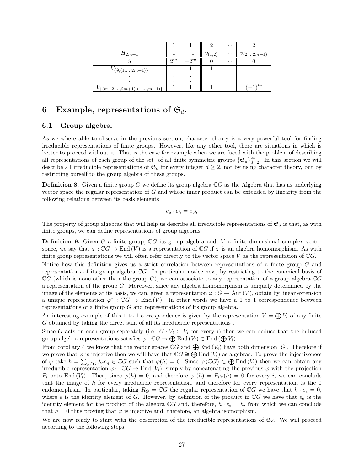|                                      |       |        |             | $\cdots$ |                |
|--------------------------------------|-------|--------|-------------|----------|----------------|
| $H_{2m+1}$                           |       |        | $v_{(1,2)}$ | $\cdots$ | $v_{(2,2m+1)}$ |
|                                      | $2^m$ | $-2^m$ |             | $\cdots$ |                |
| $\{ \emptyset, (1, \ldots, 2m+1) \}$ |       |        |             |          |                |
|                                      |       |        |             |          |                |
| $V_{\{(m+2,,2m+1),(1,,m+1)\}}$       |       |        |             |          | ,m             |

## 6 Example, representations of  $\mathfrak{S}_d$ .

#### 6.1 Group algebra.

As we where able to observe in the previous section, character theory is a very powerful tool for finding irreducible representations of finite groups. However, like any other tool, there are situations in which is better to proceed without it. That is the case for example when we are faced with the problem of describing all representations of each group of the set of all finite symmetric groups  $\{\mathfrak{S}_d\}_{d=2}^{\infty}$ . In this section we will describe all irreducible representations of  $\mathfrak{S}_d$  for every integer  $d \geq 2$ , not by using character theory, but by restricting ourself to the group algebra of these groups.

**Definition 8.** Given a finite group G we define its group algebra  $\mathbb{C}G$  as the Algebra that has as underlying vector space the regular representation of G and whose inner product can be extended by linearity from the following relations between its basis elements

$$
e_g \cdot e_h = e_{gh}
$$

The property of group algebras that will help us describe all irreducible representations of  $\mathfrak{S}_d$  is that, as with finite groups, we can define representations of group algebras.

**Definition 9.** Given G a finite group,  $\mathbb{C}G$  its group algebra and, V a finite dimensional complex vector space, we say that  $\varphi : \mathbb{C}G \to \text{End}(V)$  is a representation of  $\mathbb{C}G$  if  $\varphi$  is an algebra homomorphism. As with finite group representations we will often refer directly to the vector space V as the representation of  $\mathbb{C}G$ .

Notice how this definition gives us a strict correlation between representations of a finite group G and representations of its group algebra  $\mathbb{C}G$ . In particular notice how, by restricting to the canonical basis of  $\mathbb{C}G$  (which is none other than the group G), we can associate to any representation of a group algebra  $\mathbb{C}G$ a representation of the group G. Moreover, since any algebra homomorphism is uniquely determined by the image of the elements at its basis, we can, given a representation  $\varphi : G \to \text{Aut}(V)$ , obtain by linear extension a unique representation  $\varphi^* : \mathbb{C}G \to \text{End}(V)$ . In other words we have a 1 to 1 correspondence between representations of a finite group  $G$  and representations of its group algebra.

An interesting example of this 1 to 1 correspondence is given by the representation  $V = \bigoplus V_i$  of any finite G obtained by taking the direct sum of all its irreducible representations .

Since G acts on each group separately (i.e.  $G \cdot V_i \subset V_i$  for every i) then we can deduce that the induced group algebra representations satisfies  $\varphi : \mathbb{C}G \to \bigoplus \mathrm{End}(V_i) \subset \mathrm{End}(\bigoplus V_i)$ .

From corollary 4 we know that the vector spaces  $\mathbb{C}G$  and  $\bigoplus$  End  $(V_i)$  have both dimension  $|G|$ . Therefore if we prove that  $\varphi$  is injective then we will have that  $\mathbb{C}G \cong \bigoplus^{\infty} \text{End} (V_i)$  as algebras. To prove the injectiveness of  $\varphi$  take  $h = \sum_{g \in G} \lambda_g e_g \in \mathbb{C}G$  such that  $\varphi(h) = 0$ . Since  $\varphi(\mathbb{C}G) \subset \bigoplus \text{End}(V_i)$  then we can obtain any irreducible representation  $\varphi_i : \mathbb{C}G \to \text{End}(V_i)$ , simply by concatenating the previous  $\varphi$  with the projection  $P_i$  onto End  $(V_i)$ . Then, since  $\varphi(h) = 0$ , and therefore  $\varphi_i(h) = P_i\varphi(h) = 0$  for every i, we can conclude that the image of  $h$  for every irreducible representation, and therefore for every representation, is the  $0$ endomorphism. In particular, taking  $R_G = \mathbb{C}G$  the regular representation of  $\mathbb{C}G$  we have that  $h \cdot e_e = 0$ , where e is the identity element of G. However, by definition of the product in  $\mathbb{C}G$  we have that  $e_e$  is the identity element for the product of the algebra  $\mathbb{C}G$  and, therefore,  $h \cdot e_e = h$ , from which we can conclude that  $h = 0$  thus proving that  $\varphi$  is injective and, therefore, an algebra isomorphism.

We are now ready to start with the description of the irreducible representations of  $\mathfrak{S}_d$ . We will proceed according to the following steps.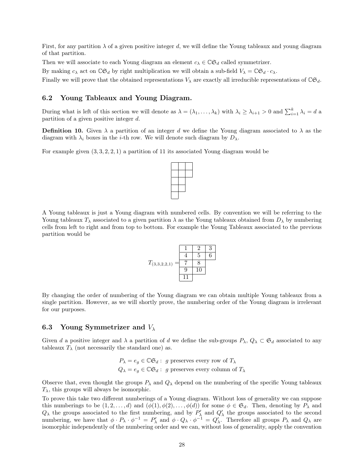First, for any partition  $\lambda$  of a given positive integer d, we will define the Young tableaux and young diagram of that partition.

Then we will associate to each Young diagram an element  $c_{\lambda} \in \mathbb{C} \mathfrak{S}_d$  called symmetrizer.

By making  $c_{\lambda}$  act on  $\mathbb{CG}_{d}$  by right multiplication we will obtain a sub-field  $V_{\lambda} = \mathbb{CG}_{d} \cdot c_{\lambda}$ .

Finally we will prove that the obtained representations  $V_{\lambda}$  are exactly all irreducible representations of  $\mathbb{CG}_d$ .

#### 6.2 Young Tableaux and Young Diagram.

During what is left of this section we will denote as  $\lambda = (\lambda_1, \ldots, \lambda_k)$  with  $\lambda_i \geq \lambda_{i+1} > 0$  and  $\sum_{i=1}^k \lambda_i = d$  a partition of a given positive integer d.

**Definition 10.** Given  $\lambda$  a partition of an integer d we define the Young diagram associated to  $\lambda$  as the diagram with  $\lambda_i$  boxes in the *i*-th row. We will denote such diagram by  $D_{\lambda}$ .

For example given  $(3, 3, 2, 2, 1)$  a partition of 11 its associated Young diagram would be

A Young tableaux is just a Young diagram with numbered cells. By convention we will be referring to the Young tableaux  $T_{\lambda}$  associated to a given partition  $\lambda$  as the Young tableaux obtained from  $D_{\lambda}$  by numbering cells from left to right and from top to bottom. For example the Young Tableaux associated to the previous partition would be

 $\begin{array}{|c|c|c|}\hline \quad \quad & \quad \quad & \quad \quad & \quad \quad \\ \hline \quad \quad & \quad \quad & \quad \quad & \quad \quad \\ \hline \quad \quad & \quad \quad & \quad \quad \\ \hline \end{array}$ 



By changing the order of numbering of the Young diagram we can obtain multiple Young tableaux from a single partition. However, as we will shortly prove, the numbering order of the Young diagram is irrelevant for our purposes.

#### 6.3 Young Symmetrizer and  $V_{\lambda}$

Given d a positive integer and  $\lambda$  a partition of d we define the sub-groups  $P_\lambda$ ,  $Q_\lambda \subset \mathfrak{S}_d$  associated to any tableaux  $T_{\lambda}$  (not necessarily the standard one) as.

$$
P_{\lambda} = e_g \in \mathbb{C}\mathfrak{S}_d: g
$$
 preserves every row of  $T_{\lambda}$   
 $Q_{\lambda} = e_g \in \mathbb{C}\mathfrak{S}_d: g$  preserves every column of  $T_{\lambda}$ 

Observe that, even thought the groups  $P_\lambda$  and  $Q_\lambda$  depend on the numbering of the specific Young tableaux  $T_{\lambda}$ , this groups will always be isomorphic.

To prove this take two different numberings of a Young diagram. Without loss of generality we can suppose this numberings to be  $(1, 2, \ldots, d)$  and  $(\phi(1), \phi(2), \ldots, \phi(d))$  for some  $\phi \in \mathfrak{S}_d$ . Then, denoting by  $P_\lambda$  and  $Q_{\lambda}$  the groups associated to the first numbering, and by  $P'_{\lambda}$  and  $Q'_{\lambda}$  the groups associated to the second numbering, we have that  $\phi \cdot P_{\lambda} \cdot \phi^{-1} = P'_{\lambda}$  and  $\phi \cdot Q_{\lambda} \cdot \phi^{-1} = Q'_{\lambda}$ . Therefore all groups  $P_{\lambda}$  and  $Q_{\lambda}$  are isomorphic independently of the numbering order and we can, without loss of generality, apply the convention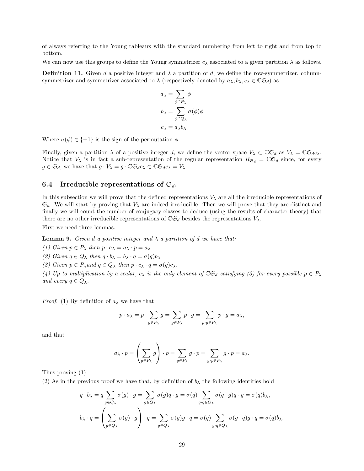of always referring to the Young tableaux with the standard numbering from left to right and from top to bottom.

We can now use this groups to define the Young symmetrizer  $c_{\lambda}$  associated to a given partition  $\lambda$  as follows.

**Definition 11.** Given d a positive integer and  $\lambda$  a partition of d, we define the row-symmetrizer, columnsymmetrizer and symmetrizer associated to  $\lambda$  (respectively denoted by  $a_{\lambda}, b_{\lambda}, c_{\lambda} \in \mathbb{C} \mathfrak{S}_d$ ) as

$$
a_{\lambda} = \sum_{\phi \in P_{\lambda}} \phi
$$

$$
b_{\lambda} = \sum_{\phi \in Q_{\lambda}} \sigma(\phi)\phi
$$

$$
c_{\lambda} = a_{\lambda}b_{\lambda}
$$

Where  $\sigma(\phi) \in {\pm 1}$  is the sign of the permutation  $\phi$ .

Finally, given a partition  $\lambda$  of a positive integer d, we define the vector space  $V_{\lambda} \subset \mathbb{C} \mathfrak{S}_d$  as  $V_{\lambda} = \mathbb{C} \mathfrak{S}_d c_{\lambda}$ . Notice that  $V_\lambda$  is in fact a sub-representation of the regular representation  $R_{\mathfrak{S}_d} = \mathbb{C} \mathfrak{S}_d$  since, for every  $g \in \mathfrak{S}_d$ , we have that  $g \cdot V_\lambda = g \cdot \mathbb{C} \mathfrak{S}_d c_\lambda \subset \mathbb{C} \mathfrak{S}_d c_\lambda = V_\lambda$ .

#### 6.4 Irreducible representations of  $\mathfrak{S}_d$ .

In this subsection we will prove that the defined representations  $V_{\lambda}$  are all the irreducible representations of  $\mathfrak{S}_d$ . We will start by proving that  $V_\lambda$  are indeed irreducible. Then we will prove that they are distinct and finally we will count the number of conjugacy classes to deduce (using the results of character theory) that there are no other irreducible representations of  $\mathbb{C}\mathfrak{S}_d$  besides the representations  $V_\lambda$ .

First we need three lemmas.

**Lemma 9.** Given d a positive integer and  $\lambda$  a partition of d we have that:

(1) Given  $p \in P_\lambda$  then  $p \cdot a_\lambda = a_\lambda \cdot p = a_\lambda$ 

(2) Given  $q \in Q_{\lambda}$  then  $q \cdot b_{\lambda} = b_{\lambda} \cdot q = \sigma(q) b_{\lambda}$ 

(3) Given  $p \in P_{\lambda}$  and  $q \in Q_{\lambda}$  then  $p \cdot c_{\lambda} \cdot q = \sigma(q) c_{\lambda}$ .

(4) Up to multiplication by a scalar,  $c_{\lambda}$  is the only element of  $\mathbb{C} \mathfrak{S}_d$  satisfying (3) for every possible  $p \in P_{\lambda}$ and every  $q \in Q_{\lambda}$ .

*Proof.* (1) By definition of  $a_{\lambda}$  we have that

$$
p \cdot a_{\lambda} = p \cdot \sum_{g \in P_{\lambda}} g = \sum_{g \in P_{\lambda}} p \cdot g = \sum_{p \cdot g \in P_{\lambda}} p \cdot g = a_{\lambda},
$$

and that

$$
a_{\lambda} \cdot p = \left(\sum_{g \in P_{\lambda}} g\right) \cdot p = \sum_{g \in P_{\lambda}} g \cdot p = \sum_{g \cdot p \in P_{\lambda}} g \cdot p = a_{\lambda}.
$$

Thus proving (1).

(2) As in the previous proof we have that, by definition of  $b_{\lambda}$  the following identities hold

$$
q \cdot b_{\lambda} = q \sum_{g \in Q_{\lambda}} \sigma(g) \cdot g = \sum_{g \in Q_{\lambda}} \sigma(g) q \cdot g = \sigma(q) \sum_{q \cdot q \in Q_{\lambda}} \sigma(q \cdot g) q \cdot g = \sigma(q) b_{\lambda},
$$

$$
b_{\lambda} \cdot q = \left(\sum_{g \in Q_{\lambda}} \sigma(g) \cdot g\right) \cdot q = \sum_{g \in Q_{\lambda}} \sigma(g) g \cdot q = \sigma(q) \sum_{g \cdot q \in Q_{\lambda}} \sigma(g \cdot q) g \cdot q = \sigma(q) b_{\lambda}.
$$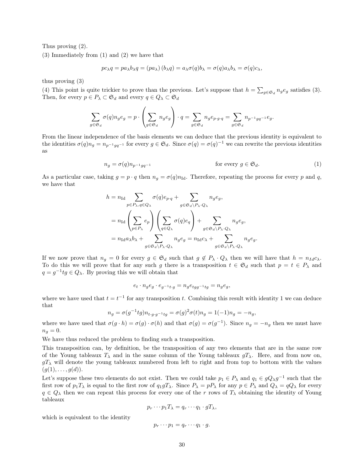Thus proving (2).

(3) Immediately from (1) and (2) we have that

$$
pc_{\lambda}q = pa_{\lambda}b_{\lambda}q = (pa_{\lambda})(b_{\lambda}q) = a_{\lambda}\sigma(q)b_{\lambda} = \sigma(q)a_{\lambda}b_{\lambda} = \sigma(q)c_{\lambda},
$$

thus proving (3)

(4) This point is quite trickier to prove than the previous. Let's suppose that  $h = \sum_{g \in \mathfrak{S}_d} n_g e_g$  satisfies (3). Then, for every  $p \in P_{\lambda} \subset \mathfrak{S}_d$  and every  $q \in Q_{\lambda} \subset \mathfrak{S}_d$ 

$$
\sum_{g\in \mathfrak{S}_d} \sigma(q) n_g e_g = p\cdot \left(\sum_{g\in \mathfrak{S}_d} n_g e_g\right)\cdot q = \sum_{g\in \mathfrak{S}_d} n_g e_{p\cdot g\cdot q} = \sum_{g\in \mathfrak{S}_d} n_{p^{-1}g q^{-1}} e_g.
$$

From the linear independence of the basis elements we can deduce that the previous identity is equivalent to the identities  $\sigma(q)n_g = n_{p^{-1}gq^{-1}}$  for every  $g \in \mathfrak{S}_d$ . Since  $\sigma(q) = \sigma(q)^{-1}$  we can rewrite the previous identities as

$$
n_g = \sigma(q)n_{p^{-1}gq^{-1}} \qquad \qquad \text{for every } g \in \mathfrak{S}_d. \tag{1}
$$

As a particular case, taking  $g = p \cdot q$  then  $n_q = \sigma(q)n_{\text{Id}}$ . Therefore, repeating the process for every p and q, we have that

$$
\begin{aligned} h&=n_{\mathrm{Id}}\sum_{p\in P_{\lambda},q\in Q_{\lambda}}\sigma(q)e_{p\cdot q}+\sum_{g\in\mathfrak{S}_d\backslash P_{\lambda}\cdot Q_{\lambda}}n_g e_g,\\ &=n_{\mathrm{Id}}\left(\sum_{p\in P_{\lambda}}e_p\right)\left(\sum_{q\in Q_{\lambda}}\sigma(q)e_q\right)+\sum_{g\in\mathfrak{S}_d\backslash P_{\lambda}\cdot Q_{\lambda}}n_g e_g,\\ &=n_{\mathrm{Id}}a_{\lambda}b_{\lambda}+\sum_{g\in\mathfrak{S}_d\backslash P_{\lambda}\cdot Q_{\lambda}}n_g e_g=n_{\mathrm{Id}}c_{\lambda}+\sum_{g\in\mathfrak{S}_d\backslash P_{\lambda}\cdot Q_{\lambda}}n_g e_g. \end{aligned}
$$

If we now prove that  $n_q = 0$  for every  $g \in \mathfrak{S}_d$  such that  $g \notin P_\lambda \cdot Q_\lambda$  then we will have that  $h = n_{Id}c_\lambda$ . To do this we will prove that for any such g there is a transposition  $t \in \mathfrak{S}_d$  such that  $p = t \in P_\lambda$  and  $q = g^{-1}tg \in Q_{\lambda}$ . By proving this we will obtain that

$$
e_t \cdot n_g e_g \cdot e_{g^{-1}t \cdot g} = n_g e_{tgg^{-1}tg} = n_g e_g,
$$

where we have used that  $t = t^{-1}$  for any transposition t. Combining this result with identity 1 we can deduce that

$$
n_g = \sigma(g^{-1}tg)n_{t \cdot g \cdot g^{-1}tg} = \sigma(g)^2 \sigma(t)n_g = 1(-1)n_g = -n_g,
$$

where we have used that  $\sigma(g \cdot h) = \sigma(g) \cdot \sigma(h)$  and that  $\sigma(g) = \sigma(g^{-1})$ . Since  $n_g = -n_g$  then we must have  $n_q=0.$ 

We have thus reduced the problem to finding such a transposition.

This transposition can, by definition, be the transposition of any two elements that are in the same row of the Young tableaux  $T_{\lambda}$  and in the same column of the Young tableaux  $gT_{\lambda}$ . Here, and from now on,  $gT_{\lambda}$  will denote the young tableaux numbered from left to right and from top to bottom with the values  $(g(1), \ldots, g(d)).$ 

Let's suppose these two elements do not exist. Then we could take  $p_1 \in P_\lambda$  and  $q_1 \in gQ_\lambda g^{-1}$  such that the first row of  $p_1T_\lambda$  is equal to the first row of  $q_1gT_\lambda$ . Since  $P_\lambda = pP_\lambda$  for any  $p \in P_\lambda$  and  $Q_\lambda = qQ_\lambda$  for every  $q \in Q_\lambda$  then we can repeat this process for every one of the r rows of  $T_\lambda$  obtaining the identity of Young tableaux

$$
p_r \cdots p_1 T_\lambda = q_r \cdots q_1 \cdot g T_\lambda,
$$

which is equivalent to the identity

$$
p_r \cdots p_1 = q_r \cdots q_1 \cdot g.
$$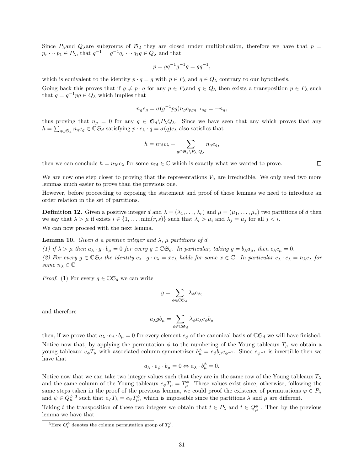Since  $P_{\lambda}$  and  $Q_{\lambda}$  are subgroups of  $\mathfrak{S}_d$  they are closed under multiplication, therefore we have that  $p =$  $p_r \cdots p_1 \in P_\lambda$ , that  $q^{-1} = g^{-1} q_r \cdots q_1 g \in Q_\lambda$  and that

$$
p = g q^{-1} g^{-1} g = g q^{-1},
$$

which is equivalent to the identity  $p \cdot q = g$  with  $p \in P_\lambda$  and  $q \in Q_\lambda$  contrary to our hypothesis. Going back this proves that if  $g \neq p \cdot q$  for any  $p \in P_\lambda$  and  $q \in Q_\lambda$  then exists a transposition  $p \in P_\lambda$  such that  $q = g^{-1}pg \in Q_\lambda$  which implies that

$$
n_g e_g = \sigma(g^{-1}pg)n_g e_{pgg^{-1}qg} = -n_g,
$$

thus proving that  $n_g = 0$  for any  $g \in \mathfrak{S}_d \backslash P_\lambda Q_\lambda$ . Since we have seen that any which proves that any  $h = \sum_{g \in \mathfrak{S}_d} n_g e_g \in \check{\mathbb{C}} \check{\mathfrak{S}}_d$  satisfying  $p \cdot c_\lambda \cdot q = \sigma(q) c_\lambda$  also satisfies that

$$
h = n_{\mathrm{Id}}c_{\lambda} + \sum_{g \in \mathfrak{S}_d \backslash P_{\lambda} \cdot Q_{\lambda}} n_g e_g,
$$

then we can conclude  $h = n_{\text{Id}} c_{\lambda}$  for some  $n_{\text{Id}} \in \mathbb{C}$  which is exactly what we wanted to prove.

 $\Box$ 

We are now one step closer to proving that the representations  $V_{\lambda}$  are irreducible. We only need two more lemmas much easier to prove than the previous one.

However, before proceeding to exposing the statement and proof of those lemmas we need to introduce an order relation in the set of partitions.

**Definition 12.** Given a positive integer d and  $\lambda = (\lambda_1, \ldots, \lambda_r)$  and  $\mu = (\mu_1, \ldots, \mu_s)$  two partitions of d then we say that  $\lambda > \mu$  if exists  $i \in \{1, \ldots, \min(r, s)\}\$  such that  $\lambda_i > \mu_i$  and  $\lambda_j = \mu_j$  for all  $j < i$ . We can now proceed with the next lemma.

**Lemma 10.** Given d a positive integer and  $\lambda$ ,  $\mu$  partitions of d

(1) if  $\lambda > \mu$  then  $a_{\lambda} \cdot g \cdot b_{\mu} = 0$  for every  $g \in \mathbb{C} \mathfrak{S}_d$ . In particular, taking  $g = b_{\lambda} a_{\mu}$ , then  $c_{\lambda} c_{\mu} = 0$ . (2) For every  $g \in \mathbb{CG}_d$  the identity  $c_\lambda \cdot g \cdot c_\lambda = xc_\lambda$  holds for some  $x \in \mathbb{C}$ . In particular  $c_\lambda \cdot c_\lambda = n_\lambda c_\lambda$  for some  $n_{\lambda} \in \mathbb{C}$ 

*Proof.* (1) For every  $g \in \mathbb{C} \mathfrak{S}_d$  we can write

$$
g = \sum_{\phi \in \mathbb{C}\mathfrak{S}_d} \lambda_{\phi} e_{\phi},
$$

and therefore

$$
a_\lambda g b_\mu = \sum_{\phi \in \mathbb{C}\mathfrak{S}_d} \lambda_\phi a_\lambda e_\phi b_\mu
$$

then, if we prove that  $a_{\lambda} \cdot e_{\phi} \cdot b_{\mu} = 0$  for every element  $e_{\phi}$  of the canonical basis of  $\mathbb{CG}_d$  we will have finished. Notice now that, by applying the permutation  $\phi$  to the numbering of the Young tableaux  $T_{\mu}$  we obtain a young tableaux  $e_{\phi}T_{\mu}$  with associated column-symmetrizer  $b_{\mu}^{\phi}=e_{\phi}b_{\mu}e_{\phi^{-1}}$ . Since  $e_{\phi^{-1}}$  is invertible then we have that

$$
a_{\lambda} \cdot e_{\phi} \cdot b_{\mu} = 0 \Leftrightarrow a_{\lambda} \cdot b_{\mu}^{\phi} = 0.
$$

Notice now that we can take two integer values such that they are in the same row of the Young tableaux  $T_{\lambda}$ and the same column of the Young tableaux  $e_{\phi}T_{\mu} = T_{\mu}^{\phi}$ . These values exist since, otherwise, following the same steps taken in the proof of the previous lemma, we could proof the existence of permutations  $\varphi \in P_\lambda$ and  $\psi \in Q_{\mu}^{\phi}$ <sup>3</sup> such that  $e_{\varphi}T_{\lambda} = e_{\psi}T_{\mu}^{\phi}$ , which is impossible since the partitions  $\lambda$  and  $\mu$  are different.

Taking t the transposition of these two integers we obtain that  $t \in P_\lambda$  and  $t \in Q_\mu^{\phi}$ . Then by the previous lemma we have that

<sup>&</sup>lt;sup>3</sup>Here  $Q^{\phi}_{\mu}$  denotes the column permutation group of  $T^{\phi}_{\mu}$ .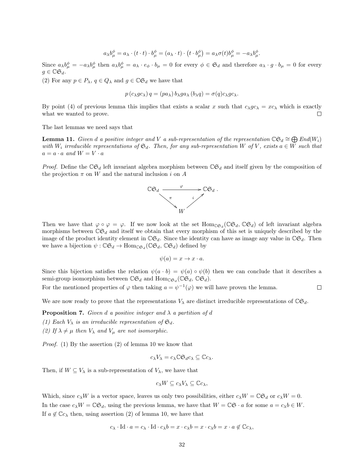$$
a_{\lambda}b_{\mu}^{\phi}=a_{\lambda}\cdot(t\cdot t)\cdot b_{\mu}^{\phi}=(a_{\lambda}\cdot t)\cdot(t\cdot b_{\mu}^{\phi})=a_{\lambda}\sigma(t)b_{\mu}^{\phi}=-a_{\lambda}b_{\mu}^{\phi}.
$$

Since  $a_{\lambda}b^{\phi}_{\mu} = -a_{\lambda}b^{\phi}_{\mu}$  then  $a_{\lambda}b^{\phi}_{\mu} = a_{\lambda} \cdot e_{\phi} \cdot b_{\mu} = 0$  for every  $\phi \in \mathfrak{S}_d$  and therefore  $a_{\lambda} \cdot g \cdot b_{\mu} = 0$  for every  $g \in \mathbb{C} \mathfrak{S}_d$ .

(2) For any  $p \in P_{\lambda}$ ,  $q \in Q_{\lambda}$  and  $g \in \mathbb{C} \mathfrak{S}_d$  we have that

$$
p(c_{\lambda}gc_{\lambda})q = (pa_{\lambda})b_{\lambda}ga_{\lambda}(b_{\lambda}q) = \sigma(q)c_{\lambda}gc_{\lambda}.
$$

By point (4) of previous lemma this implies that exists a scalar x such that  $c_\lambda g c_\lambda = x c_\lambda$  which is exactly what we wanted to prove.  $\Box$ 

The last lemmas we need says that

**Lemma 11.** Given d a positive integer and V a sub-representation of the representation  $\mathbb{C}\mathfrak{S}_d \cong \bigoplus \text{End}(W_i)$ with  $W_i$  irreducible representations of  $\mathfrak{S}_d$ . Then, for any sub-representation W of V, exists  $a \in W$  such that  $a = a \cdot a$  and  $W = V \cdot a$ 

*Proof.* Define the  $\mathbb{C}\mathfrak{S}_d$  left invariant algebra morphism between  $\mathbb{C}\mathfrak{S}_d$  and itself given by the composition of the projection  $\pi$  on W and the natural inclusion i on A



Then we have that  $\varphi \circ \varphi = \varphi$ . If we now look at the set  $\text{Hom}_{\mathbb{CG}_d}(\mathbb{CG}_d, \mathbb{CG}_d)$  of left invariant algebra morphisms between  $\mathbb{C}\mathfrak{S}_d$  and itself we obtain that every morphism of this set is uniquely described by the image of the product identity element in  $\mathbb{CG}_d$ . Since the identity can have as image any value in  $\mathbb{CG}_d$ . Then we have a bijection  $\psi : \mathbb{CG}_d \to \text{Hom}_{\mathbb{CG}_d}(\mathbb{CG}_d, \mathbb{CG}_d)$  defined by

$$
\psi(a) = x \to x \cdot a.
$$

Since this bijection satisfies the relation  $\psi(a \cdot b) = \psi(a) \circ \psi(b)$  then we can conclude that it describes a semi-group isomorphism between  $\mathbb{CG}_d$  and  $\text{Hom}_{\mathbb{CG}_d}(\mathbb{CG}_d, \mathbb{CG}_d)$ .

For the mentioned properties of  $\varphi$  then taking  $a = \psi^{-1}(\varphi)$  we will have proven the lemma.  $\Box$ 

We are now ready to prove that the representations  $V_{\lambda}$  are distinct irreducible representations of  $\mathbb{C} \mathfrak{S}_d$ .

**Proposition 7.** Given d a positive integer and  $\lambda$  a partition of d

(1) Each  $V_{\lambda}$  is an irreducible representation of  $\mathfrak{S}_d$ .

(2) If  $\lambda \neq \mu$  then  $V_{\lambda}$  and  $V_{\mu}$  are not isomorphic.

Proof. (1) By the assertion (2) of lemma 10 we know that

$$
c_{\lambda}V_{\lambda}=c_{\lambda}\mathbb{C}\mathfrak{S}_{d}c_{\lambda}\subseteq \mathbb{C}c_{\lambda}.
$$

Then, if  $W \subseteq V_\lambda$  is a sub-representation of  $V_\lambda$ , we have that

$$
c_{\lambda}W\subseteq c_{\lambda}V_{\lambda}\subseteq \mathbb{C}c_{\lambda},
$$

Which, since  $c_\lambda W$  is a vector space, leaves us only two possibilities, either  $c_\lambda W = \mathbb{C} \mathfrak{S}_d$  or  $c_\lambda W = 0$ . In the case  $c_{\lambda}W = \mathbb{C}\mathfrak{S}_d$ , using the previous lemma, we have that  $W = \mathbb{C}\mathfrak{S} \cdot a$  for some  $a = c_{\lambda}b \in W$ . If  $a \notin \mathbb{C}c_{\lambda}$  then, using assertion (2) of lemma 10, we have that

$$
c_{\lambda} \cdot \mathrm{Id} \cdot a = c_{\lambda} \cdot \mathrm{Id} \cdot c_{\lambda}b = x \cdot c_{\lambda}b = x \cdot c_{\lambda}b = x \cdot a \notin \mathbb{C}c_{\lambda},
$$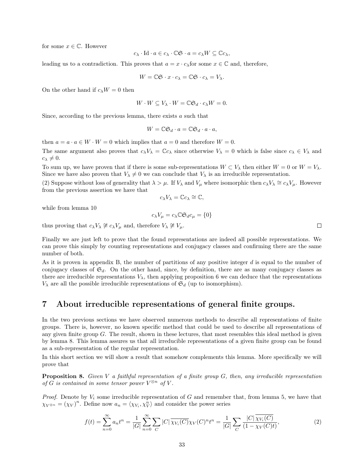for some  $x \in \mathbb{C}$ . However

$$
c_{\lambda}\cdot\operatorname{Id}\cdot a\in c_{\lambda}\cdot\mathbb{C}\mathfrak{S}\cdot a=c_{\lambda}W\subseteq\mathbb{C}c_{\lambda},
$$

leading us to a contradiction. This proves that  $a = x \cdot c_\lambda$  for some  $x \in \mathbb{C}$  and, therefore,

$$
W = \mathbb{C}\mathfrak{S} \cdot x \cdot c_{\lambda} = \mathbb{C}\mathfrak{S} \cdot c_{\lambda} = V_{\lambda}.
$$

On the other hand if  $c_\lambda W = 0$  then

$$
W \cdot W \subseteq V_{\lambda} \cdot W = \mathbb{C} \mathfrak{S}_d \cdot c_{\lambda} W = 0.
$$

Since, according to the previous lemma, there exists a such that

$$
W = \mathbb{C}\mathfrak{S}_d \cdot a = \mathbb{C}\mathfrak{S}_d \cdot a \cdot a,
$$

then  $a = a \cdot a \in W \cdot W = 0$  which implies that  $a = 0$  and therefore  $W = 0$ .

The same argument also proves that  $c_\lambda V_\lambda = \mathbb{C} c_\lambda$  since otherwise  $V_\lambda = 0$  which is false since  $c_\lambda \in V_\lambda$  and  $c_{\lambda} \neq 0.$ 

To sum up, we have proven that if there is some sub-representations  $W \subset V_\lambda$  then either  $W = 0$  or  $W = V_\lambda$ . Since we have also proven that  $V_{\lambda} \neq 0$  we can conclude that  $V_{\lambda}$  is an irreducible representation.

(2) Suppose without loss of generality that  $\lambda > \mu$ . If  $V_{\lambda}$  and  $V_{\mu}$  where isomorphic then  $c_{\lambda}V_{\lambda} \cong c_{\lambda}V_{\mu}$ . However from the previous assertion we have that

$$
c_{\lambda}V_{\lambda}=\mathbb{C}c_{\lambda}\cong\mathbb{C},
$$

while from lemma 10

$$
c_{\lambda}V_{\mu} = c_{\lambda} \mathbb{C} \mathfrak{S}_d c_{\mu} = \{0\}
$$

thus proving that  $c_{\lambda}V_{\lambda} \not\cong c_{\lambda}V_{\mu}$  and, therefore  $V_{\lambda} \not\cong V_{\mu}$ .

Finally we are just left to prove that the found representations are indeed all possible representations. We can prove this simply by counting representations and conjugacy classes and confirming there are the same number of both.

As it is proven in appendix B, the number of partitions of any positive integer  $d$  is equal to the number of conjugacy classes of  $\mathfrak{S}_d$ . On the other hand, since, by definition, there are as many conjugacy classes as there are irreducible representations  $V_{\lambda}$ , then applying proposition 6 we can deduce that the representations  $V_{\lambda}$  are all the possible irreducible representations of  $\mathfrak{S}_d$  (up to isomorphism).

## 7 About irreducible representations of general finite groups.

In the two previous sections we have observed numerous methods to describe all representations of finite groups. There is, however, no known specific method that could be used to describe all representations of any given finite group  $G$ . The result, shown in these lectures, that most resembles this ideal method is given by lemma 8. This lemma assures us that all irreducible representations of a given finite group can be found as a sub-representation of the regular representation.

In this short section we will show a result that somehow complements this lemma. More specifically we will prove that

**Proposition 8.** Given V a faithful representation of a finite group  $G$ , then, any irreducible representation of G is contained in some tensor power  $V^{\otimes n}$  of V.

*Proof.* Denote by  $V_i$  some irreducible representation of G and remember that, from lemma 5, we have that  $\chi_{V^{\otimes n}} = (\chi_V)^n$ . Define now  $a_n = \langle \chi_{V_i}, \chi_V^n \rangle$  and consider the power series

$$
f(t) = \sum_{n=0}^{\infty} a_n t^n = \frac{1}{|G|} \sum_{n=0}^{\infty} \sum_{C} |C| \overline{\chi_{V_i}(C)} \chi_V(C)^n t^n = \frac{1}{|G|} \sum_{C} \frac{|C| \overline{\chi_{V_i}(C)}}{(1 - \chi_V(C)t)},
$$
(2)

 $\Box$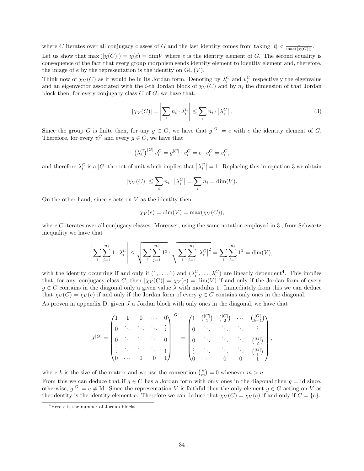where C iterates over all conjugacy classes of G and the last identity comes from taking  $|t| < \frac{1}{\max(|\chi(C)|)}$ .

Let us show that  $\max(|\chi(C)|) = \chi(e) = \dim V$  where e is the identity element of G. The second equality is consequence of the fact that every group morphism sends identity element to identity element and, therefore, the image of  $e$  by the representation is the identity on  $GL(V)$ .

Think now of  $\chi_V(C)$  as it would be in its Jordan form. Denoting by  $\lambda_i^C$  and  $v_i^C$  respectively the eigenvalue and an eigenvector associated with the *i*-th Jordan block of  $\chi_V(C)$  and by  $n_i$  the dimension of that Jordan block then, for every conjugacy class  $C$  of  $G$ , we have that,

$$
|\chi_V(C)| = \left| \sum_i n_i \cdot \lambda_i^C \right| \le \sum_i n_i \cdot \left| \lambda_i^C \right|.
$$
 (3)

Since the group G is finite then, for any  $g \in G$ , we have that  $g^{|G|} = e$  with e the identity element of G. Therefore, for every  $v_i^C$  and every  $g \in C$ , we have that

$$
\left(\lambda_i^C\right)^{|G|} v_i^C = g^{|G|} \cdot v_i^C = e \cdot v_i^C = v_i^C,
$$

and therefore  $\lambda_i^C$  is a |G|-th root of unit which implies that  $|\lambda_i^C|=1$ . Replacing this in equation 3 we obtain

$$
|\chi_V(C)| \le \sum_i n_i \cdot |\lambda_i^C| = \sum_i n_i = \dim(V).
$$

On the other hand, since  $e$  acts on  $V$  as the identity then

$$
\chi_V(e) = \dim(V) = \max(\chi_V(C)),
$$

where C iterates over all conjugacy classes. Moreover, using the same notation employed in 3, from Schwartz inequality we have that

$$
\left| \sum_{i} \sum_{j=1}^{n_i} 1 \cdot \lambda_i^C \right| \le \sqrt{\sum_{i} \sum_{j=1}^{n_i} 1^2} \cdot \sqrt{\sum_{i} \sum_{j=1}^{n_i} |\lambda_i^C|^2} = \sum_{i} \sum_{j=1}^{n_i} 1^2 = \dim(V),
$$

with the identity occurring if and only if  $(1,\ldots,1)$  and  $(\lambda_i^C,\ldots,\lambda_r^C)$  are linearly dependent<sup>4</sup>. This implies that, for any, conjugacy class C, then  $|\chi_V(C)| = \chi_V(e) = \dim(V)$  if and only if the Jordan form of every  $g \in C$  contains in the diagonal only a given value  $\lambda$  with modulus 1. Immediately from this we can deduce that  $\chi_V(C) = \chi_V(e)$  if and only if the Jordan form of every  $g \in C$  contains only ones in the diagonal.

As proven in appendix  $D$ , given  $J$  a Jordan block with only ones in the diagonal, we have that

$$
J^{|G|} = \begin{pmatrix} 1 & 1 & 0 & \cdots & 0 \\ 0 & \ddots & \ddots & \ddots & \vdots \\ 0 & \ddots & \ddots & \ddots & 0 \\ \vdots & \ddots & \ddots & \ddots & 1 \\ 0 & \cdots & 0 & 0 & 1 \end{pmatrix}^{|G|} = \begin{pmatrix} 1 & \binom{|G|}{1} & \binom{|G|}{2} & \cdots & \binom{|G|}{k-1} \\ 0 & \ddots & \ddots & \ddots & \vdots \\ 0 & \ddots & \ddots & \ddots & \binom{|G|}{2} \\ \vdots & \ddots & \ddots & \ddots & \binom{|G|}{1} \\ 0 & \cdots & 0 & 0 & 1 \end{pmatrix},
$$

where k is the size of the matrix and we use the convention  $\binom{n}{m} = 0$  whenever  $m > n$ . From this we can deduce that if  $g \in C$  has a Jordan form with only ones in the diagonal then  $g = Id$  since, otherwise,  $g^{|G|} = e \neq \text{Id}$ . Since the representation V is faithful then the only element  $g \in G$  acting on V as the identity is the identity element e. Therefore we can deduce that  $\chi_V(C) = \chi_V(e)$  if and only if  $C = \{e\}.$ 

<sup>&</sup>lt;sup>4</sup>Here  $r$  is the number of Jordan blocks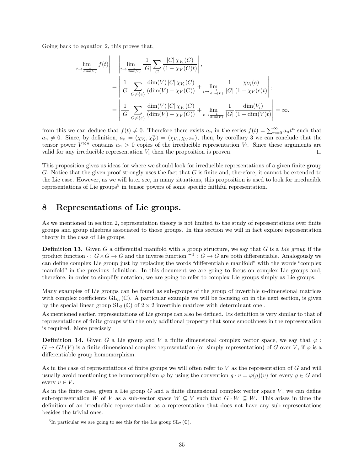Going back to equation 2, this proves that,

$$
\left| \lim_{t \to \frac{1}{\dim(V)}} f(t) \right| = \left| \lim_{t \to \frac{1}{\dim(V)}} \frac{1}{|G|} \sum_{C} \frac{|C| \overline{\chi_{V_i}(C)}}{(1 - \chi_V(C)t)} \right|,
$$
\n
$$
= \left| \frac{1}{|G|} \sum_{C \neq \{e\}} \frac{\dim(V) |C| \overline{\chi_{V_i}(C)}}{(\dim(V) - \chi_V(C))} + \lim_{t \to \frac{1}{\dim(V)}} \frac{1}{|G|} \frac{\overline{\chi_{V_i}(e)}}{(1 - \chi_V(e)t)} \right|,
$$
\n
$$
= \left| \frac{1}{|G|} \sum_{C \neq \{e\}} \frac{\dim(V) |C| \overline{\chi_{V_i}(C)}}{(\dim(V) - \chi_V(C))} + \lim_{t \to \frac{1}{\dim(V)}} \frac{1}{|G|} \frac{\dim(V_i)}{(1 - \dim(V)t)} \right| = \infty.
$$

from this we can deduce that  $f(t) \neq 0$ . Therefore there exists  $a_n$  in the series  $f(t) = \sum_{n=0}^{\infty} a_n t^n$  such that  $a_n \neq 0$ . Since, by definition,  $a_n = \langle \chi_{V_i}, \chi_{\tilde{V}} \rangle = \langle \chi_{V_i}, \chi_{V^{\otimes n}} \rangle$ , then, by corollary 3 we can conclude that the tensor power  $V^{\otimes n}$  contains  $a_n > 0$  copies of the irreducible representation  $V_i$ . Since these arguments are valid for any irreducible representation  $V_i$  then the proposition is proven.  $\Box$ 

This proposition gives us ideas for where we should look for irreducible representations of a given finite group G. Notice that the given proof strongly uses the fact that G is finite and, therefore, it cannot be extended to the Lie case. However, as we will later see, in many situations, this proposition is used to look for irreducible representations of Lie groups<sup>5</sup> in tensor powers of some specific faithful representation.

# 8 Representations of Lie groups.

As we mentioned in section 2, representation theory is not limited to the study of representations over finite groups and group algebras associated to those groups. In this section we will in fact explore representation theory in the case of Lie groups.

**Definition 13.** Given G a differential manifold with a group structure, we say that G is a Lie group if the product function  $\cdot : G \times G \to G$  and the inverse function  $^{-1} : G \to G$  are both differentiable. Analogously we can define complex Lie group just by replacing the words "differentiable manifold" with the words "complex manifold" in the previous definition. In this document we are going to focus on complex Lie groups and, therefore, in order to simplify notation, we are going to refer to complex Lie groups simply as Lie groups.

Many examples of Lie groups can be found as sub-groups of the group of invertible  $n$ -dimensional matrices with complex coefficients  $GL_n(\mathbb{C})$ . A particular example we will be focusing on in the next section, is given by the special linear group  $SL_2(\mathbb{C})$  of  $2 \times 2$  invertible matrices with determinant one.

As mentioned earlier, representations of Lie groups can also be defined. Its definition is very similar to that of representations of finite groups with the only additional property that some smoothness in the representation is required. More precisely

**Definition 14.** Given G a Lie group and V a finite dimensional complex vector space, we say that  $\varphi$ :  $G \to GL(V)$  is a finite dimensional complex representation (or simply representation) of G over V, if  $\varphi$  is a differentiable group homomorphism.

As in the case of representations of finite groups we will often refer to V as the representation of G and will usually avoid mentioning the homomorphism  $\varphi$  by using the convention  $g \cdot v = \varphi(g)(v)$  for every  $g \in G$  and every  $v \in V$ .

As in the finite case, given a Lie group  $G$  and a finite dimensional complex vector space  $V$ , we can define sub-representation W of V as a sub-vector space  $W \subseteq V$  such that  $G \cdot W \subseteq W$ . This arises in time the definition of an irreducible representation as a representation that does not have any sub-representations besides the trivial ones.

<sup>&</sup>lt;sup>5</sup>In particular we are going to see this for the Lie group  $SL_2(\mathbb{C})$ .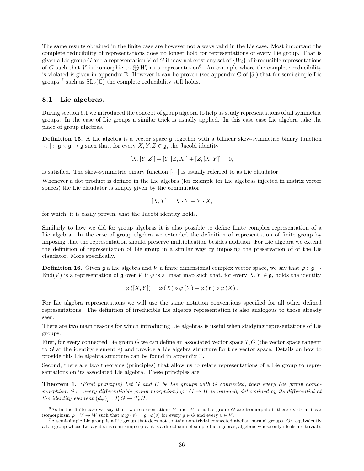The same results obtained in the finite case are however not always valid in the Lie case. Most important the complete reducibility of representations does no longer hold for representations of every Lie group. That is given a Lie group G and a representation V of G it may not exist any set of  $\{W_i\}$  of irreducible representations of G such that V is isomorphic to  $\bigoplus W_i$  as a representation<sup>6</sup>. An example where the complete reducibility is violated is given in appendix E. However it can be proven (see appendix C of [5]) that for semi-simple Lie groups <sup>7</sup> such as  $SL_2(\mathbb{C})$  the complete reducibility still holds.

#### 8.1 Lie algebras.

During section 6.1 we introduced the concept of group algebra to help us study representations of all symmetric groups. In the case of Lie groups a similar trick is usually applied. In this case case Lie algebra take the place of group algebras.

**Definition 15.** A Lie algebra is a vector space g together with a bilinear skew-symmetric binary function  $[\cdot, \cdot] : \mathfrak{g} \times \mathfrak{g} \to \mathfrak{g}$  such that, for every  $X, Y, Z \in \mathfrak{g}$ , the Jacobi identity

$$
[X,[Y,Z]] + [Y,[Z,X]] + [Z,[X,Y]] = 0,
$$

is satisfied. The skew-symmetric binary function  $[\cdot, \cdot]$  is usually referred to as Lie claudator.

Whenever a dot product is defined in the Lie algebra (for example for Lie algebras injected in matrix vector spaces) the Lie claudator is simply given by the commutator

$$
[X, Y] = X \cdot Y - Y \cdot X,
$$

for which, it is easily proven, that the Jacobi identity holds.

Similarly to how we did for group algebras it is also possible to define finite complex representation of a Lie algebra. In the case of group algebra we extended the definition of representation of finite group by imposing that the representation should preserve multiplication besides addition. For Lie algebra we extend the definition of representation of Lie group in a similar way by imposing the preservation of of the Lie claudator. More specifically.

**Definition 16.** Given g a Lie algebra and V a finite dimensional complex vector space, we say that  $\varphi : \mathfrak{g} \to$ End(V) is a representation of g over V if  $\varphi$  is a linear map such that, for every  $X, Y \in \mathfrak{g}$ , holds the identity

$$
\varphi([X,Y]) = \varphi(X) \circ \varphi(Y) - \varphi(Y) \circ \varphi(X).
$$

For Lie algebra representations we will use the same notation conventions specified for all other defined representations. The definition of irreducible Lie algebra representation is also analogous to those already seen.

There are two main reasons for which introducing Lie algebras is useful when studying representations of Lie groups.

First, for every connected Lie group G we can define an associated vector space  $T_eG$  (the vector space tangent to G at the identity element e) and provide a Lie algebra structure for this vector space. Details on how to provide this Lie algebra structure can be found in appendix F.

Second, there are two theorems (principles) that allow us to relate representations of a Lie group to representations on its associated Lie algebra. These principles are

**Theorem 1.** (First principle) Let G and H be Lie groups with G connected, then every Lie group homomorphism (i.e. every differentiable group morphism)  $\varphi: G \to H$  is uniquely determined by its differential at the identity element  $(d\varphi)_e : T_e G \to T_e H$ .

 $6$ As in the finite case we say that two representations V and W of a Lie group G are isomorphic if there exists a linear isomorphism  $\varphi: V \to W$  such that  $\varphi(g \cdot v) = g \cdot \varphi(v)$  for every  $g \in G$  and every  $v \in V$ .

 ${}^{7}$ A semi-simple Lie group is a Lie group that does not contain non-trivial connected abelian normal groups. Or, equivalently a Lie group whose Lie algebra is semi-simple (i.e. it is a direct sum of simple Lie algebras, algebras whose only ideals are trivial).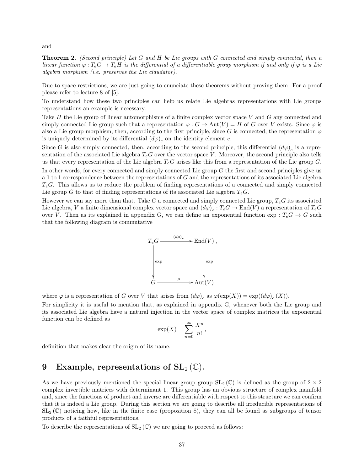and

**Theorem 2.** (Second principle) Let G and H be Lie groups with G connected and simply connected, then a linear function  $\varphi: T_eG \to T_eH$  is the differential of a differentiable group morphism if and only if  $\varphi$  is a Lie algebra morphism (i.e. preserves the Lie claudator).

Due to space restrictions, we are just going to enunciate these theorems without proving them. For a proof please refer to lecture 8 of [5].

To understand how these two principles can help us relate Lie algebras representations with Lie groups representations an example is necessary.

Take H the Lie group of linear automorphisms of a finite complex vector space V and G any connected and simply connected Lie group such that a representation  $\varphi : G \to \text{Aut}(V) = H$  of G over V exists. Since  $\varphi$  is also a Lie group morphism, then, according to the first principle, since G is connected, the representation  $\varphi$ is uniquely determined by its differential  $(d\varphi)_e$  on the identity element  $e$ .

Since G is also simply connected, then, according to the second principle, this differential  $(d\varphi)_e$  is a representation of the associated Lie algebra  $T_eG$  over the vector space V. Moreover, the second principle also tells us that every representation of the Lie algebra  $T_eG$  arises like this from a representation of the Lie group G.

In other words, for every connected and simply connected Lie group G the first and second principles give us a 1 to 1 correspondence between the representations of G and the representations of its associated Lie algebra  $T_eG$ . This allows us to reduce the problem of finding representations of a connected and simply connected Lie group G to that of finding representations of its associated Lie algebra  $T_eG$ .

However we can say more than that. Take G a connected and simply connected Lie group,  $T_eG$  its associated Lie algebra, V a finite dimensional complex vector space and  $(d\varphi)_e : T_eG \to \text{End}(V)$  a representation of  $T_eG$ over V. Then as its explained in appendix G, we can define an exponential function  $\exp: T_eG \to G$  such that the following diagram is commutative



where  $\varphi$  is a representation of G over V that arises from  $(d\varphi)_e$  as  $\varphi(\exp(X)) = \exp((d\varphi)_e(X))$ .

For simplicity it is useful to mention that, as explained in appendix G, whenever both the Lie group and its associated Lie algebra have a natural injection in the vector space of complex matrices the exponential function can be defined as

$$
\exp(X) = \sum_{n=0}^{\infty} \frac{X^n}{n!},
$$

definition that makes clear the origin of its name.

# 9 Example, representations of  $SL_2(\mathbb{C})$ .

As we have previously mentioned the special linear group group  $SL_2(\mathbb{C})$  is defined as the group of  $2 \times 2$ complex invertible matrices with determinant 1. This group has an obvious structure of complex manifold and, since the functions of product and inverse are differentiable with respect to this structure we can confirm that it is indeed a Lie group. During this section we are going to describe all irreducible representations of  $SL_2(\mathbb{C})$  noticing how, like in the finite case (proposition 8), they can all be found as subgroups of tensor products of a faithful representations.

To describe the representations of  $SL_2(\mathbb{C})$  we are going to proceed as follows: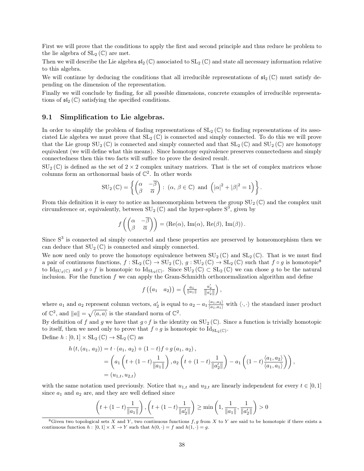First we will prove that the conditions to apply the first and second principle and thus reduce he problem to the lie algebra of  $SL_2(\mathbb{C})$  are met.

Then we will describe the Lie algebra  $\mathfrak{sl}_2(\mathbb{C})$  associated to  $SL_2(\mathbb{C})$  and state all necessary information relative to this algebra.

We will continue by deducing the conditions that all irreducible representations of  $\mathfrak{sl}_2(\mathbb{C})$  must satisfy depending on the dimension of the representation.

Finally we will conclude by finding, for all possible dimensions, concrete examples of irreducible representations of  $\mathfrak{sl}_2(\mathbb{C})$  satisfying the specified conditions.

#### 9.1 Simplification to Lie algebras.

In order to simplify the problem of finding representations of  $SL_2(\mathbb{C})$  to finding representations of its associated Lie algebra we must prove that  $SL_2(\mathbb{C})$  is connected and simply connected. To do this we will prove that the Lie group  $SU_2(\mathbb{C})$  is connected and simply connected and that  $SL_2(\mathbb{C})$  and  $SU_2(\mathbb{C})$  are homotopy equivalent (we will define what this means). Since homotopy equivalence preserves connectedness and simply connectedness then this two facts will suffice to prove the desired result.

 $SU_2(\mathbb{C})$  is defined as the set of  $2 \times 2$  complex unitary matrices. That is the set of complex matrices whose columns form an orthonormal basis of  $\mathbb{C}^2$ . In other words

$$
SU_2\left(\mathbb{C}\right) = \left\{ \begin{pmatrix} \alpha & -\overline{\beta} \\ \beta & \overline{\alpha} \end{pmatrix} : (\alpha, \beta \in \mathbb{C}) \text{ and } \left(|\alpha|^2 + |\beta|^2 = 1\right) \right\}.
$$

From this definition it is easy to notice an homeomorphism between the group  $SU_2(\mathbb{C})$  and the complex unit circumference or, equivalently, between  $SU_2(\mathbb{C})$  and the hyper-sphere  $S^3$ , given by

$$
f\left(\begin{pmatrix} \alpha & -\overline{\beta} \\ \beta & \overline{\alpha} \end{pmatrix}\right) = (\text{Re}(\alpha), \text{ Im}(\alpha), \text{Re}(\beta), \text{Im}(\beta)).
$$

Since  $S<sup>3</sup>$  is connected ad simply connected and these properties are preserved by homeomorphism then we can deduce that  $SU_2(\mathbb{C})$  is connected and simply connected.

We now need only to prove the homotopy equivalence between  $SU_2(\mathbb{C})$  and  $SL_2(\mathbb{C})$ . That is we must find a pair of continuous functions,  $f : SL_2(\mathbb{C}) \to SU_2(\mathbb{C}), g : SU_2(\mathbb{C}) \to SL_2(\mathbb{C})$  such that  $f \circ g$  is homotopic<sup>8</sup> to  $\mathrm{Id}_{\mathrm{SU}_2(\mathbb{C})}$  and  $g \circ f$  is homotopic to  $\mathrm{Id}_{\mathrm{SL}_2(\mathbb{C})}$ . Since  $\mathrm{SU}_2(\mathbb{C}) \subset \mathrm{SL}_2(\mathbb{C})$  we can chose g to be the natural inclusion. For the function  $f$  we can apply the Gram-Schmidth orthonormalization algorithm and define

$$
f\left(\begin{pmatrix}a_1&a_2\end{pmatrix}\right)=\begin{pmatrix}\frac{a_1}{\|a_1\|}&\frac{a'_2}{\|a'_2\|}\end{pmatrix},\,
$$

where  $a_1$  and  $a_2$  represent column vectors,  $a'_2$  is equal to  $a_2 - a_1 \frac{\langle a_1, a_2 \rangle}{\langle a_1, a_1 \rangle}$  with  $\langle \cdot, \cdot \rangle$  the standard inner product of  $\mathbb{C}^2$ , and  $||a|| = \sqrt{\langle a, a \rangle}$  is the standard norm of  $\mathbb{C}^2$ .

By definition of f and g we have that  $g \circ f$  is the identity on  $SU_2(\mathbb{C})$ . Since a function is trivially homotopic to itself, then we need only to prove that  $f \circ g$  is homotopic to  $\mathrm{Id}_{\mathrm{SL}_2(\mathbb{C})}$ . Define  $h : [0,1] \times SL_2(\mathbb{C}) \to SL_2(\mathbb{C})$  as

$$
h(t, (a_1, a_2)) = t \cdot (a_1, a_2) + (1 - t)f \circ g (a_1, a_2),
$$
  
=  $\left( a_1 \left( t + (1 - t) \frac{1}{\|a_1\|} \right), a_2 \left( t + (1 - t) \frac{1}{\|a_2'\|} \right) - a_1 \left( (1 - t) \frac{\langle a_1, a_2 \rangle}{\langle a_1, a_1 \rangle} \right) \right),$   
=  $(u_{1,t}, u_{2,t})$ 

with the same notation used previously. Notice that  $u_{1,t}$  and  $u_{2,t}$  are linearly independent for every  $t \in [0,1]$ since  $a_1$  and  $a_2$  are, and they are well defined since

$$
\left(t + (1-t)\frac{1}{\|a_1\|}\right), \left(t + (1-t)\frac{1}{\|a_2'\|}\right) \ge \min\left(1, \frac{1}{\|a_1\|}, \frac{1}{\|a_2'\|}\right) > 0
$$

<sup>&</sup>lt;sup>8</sup>Given two topological sets X and Y, two continuous functions  $f, g$  from X to Y are said to be homotopic if there exists a continuous function  $h : [0,1] \times X \to Y$  such that  $h(0, \cdot) = f$  and  $h(1, \cdot) = g$ .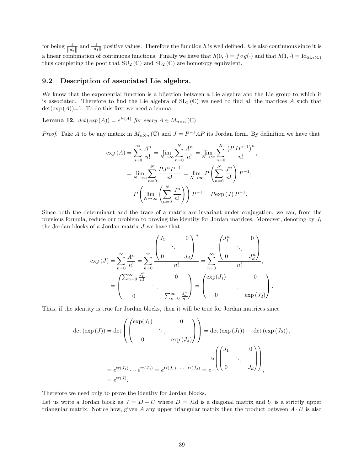for being  $\frac{1}{\|a'_2\|}$  and  $\frac{1}{\|a_1\|}$  positive values. Therefore the function h is well defined. h is also continuous since it is a linear combination of continuous functions. Finally we have that  $h(0, \cdot) = f \circ g(\cdot)$  and that  $h(1, \cdot) = Id_{SL_2(\mathbb{C})}$ thus completing the poof that  $SU_2(\mathbb{C})$  and  $SL_2(\mathbb{C})$  are homotopy equivalent.

#### 9.2 Description of associated Lie algebra.

We know that the exponential function is a bijection between a Lie algebra and the Lie group to which it is associated. Therefore to find the Lie algebra of  $SL_2(\mathbb{C})$  we need to find all the matrices A such that  $\det(\exp(A))=1$ . To do this first we need a lemma.

**Lemma 12.**  $det(exp(A)) = e^{tr(A)}$  for every  $A \in M_{n \times n}(\mathbb{C})$ .

*Proof.* Take A to be any matrix in  $M_{n\times n}(\mathbb{C})$  and  $J = P^{-1}AP$  its Jordan form. By definition we have that

,

$$
\exp(A) = \sum_{n=0}^{\infty} \frac{A^n}{n!} = \lim_{N \to \infty} \sum_{n=0}^{N} \frac{A^n}{n!} = \lim_{N \to \infty} \sum_{n=0}^{N} \frac{(PJP^{-1})^n}{n!}
$$

$$
= \lim_{N \to \infty} \sum_{n=0}^{N} \frac{PJ^n P^{-1}}{n!} = \lim_{N \to \infty} P\left(\sum_{n=0}^{N} \frac{J^n}{n!}\right) P^{-1},
$$

$$
= P\left(\lim_{N \to \infty} \left(\sum_{n=0}^{N} \frac{J^n}{n!}\right)\right) P^{-1} = P \exp(J) P^{-1}.
$$

Since both the determinant and the trace of a matrix are invariant under conjugation, we can, from the previous formula, reduce our problem to proving the identity for Jordan matrices. Moreover, denoting by  $J_i$ the Jordan blocks of a Jordan matrix  $J$  we have that

$$
\exp\left(J\right) = \sum_{n=0}^{\infty} \frac{A^n}{n!} = \sum_{n=0}^{\infty} \frac{\begin{pmatrix} J_1 & 0 \\ 0 & J_d \end{pmatrix}^n}{n!} = \sum_{n=0}^{\infty} \frac{\begin{pmatrix} J_1^n & 0 \\ 0 & J_d^n \end{pmatrix}}{n!},
$$
\n
$$
= \begin{pmatrix} \sum_{n=0}^{\infty} \frac{J_1^n}{n!} & 0 \\ 0 & \sum_{n=0}^{\infty} \frac{J_d^n}{n!} \end{pmatrix} = \begin{pmatrix} \exp\left(J_1\right) & 0 \\ 0 & \exp\left(J_d\right) \end{pmatrix}.
$$

Thus, if the identity is true for Jordan blocks, then it will be true for Jordan matrices since

$$
\det (\exp (J)) = \det \left( \begin{pmatrix} \exp(J_1) & 0 \\ & \ddots & \\ 0 & \exp(J_d) \end{pmatrix} \right) = \det (\exp (J_1)) \cdots \det (\exp (J_2)),
$$
\n
$$
= e^{\text{tr}(J_1)} \cdots e^{\text{tr}(J_d)} = e^{\text{tr}(J_1) + \cdots + \text{tr}(J_d)} = e^{\text{tr}\left( \begin{pmatrix} J_1 & 0 \\ & \ddots & \\ 0 & & J_d \end{pmatrix} \right)},
$$
\n
$$
= e^{\text{tr}(J)}.
$$

Therefore we need only to prove the identity for Jordan blocks.

Let us write a Jordan block as  $J = D + U$  where  $D = \lambda$ Id is a diagonal matrix and U is a strictly upper triangular matrix. Notice how, given A any upper triangular matrix then the product between  $A \cdot U$  is also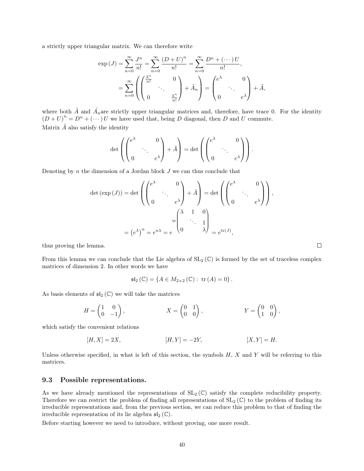a strictly upper triangular matrix. We can therefore write

$$
\exp\left(J\right) = \sum_{n=0}^{\infty} \frac{J^n}{n!} = \sum_{n=0}^{\infty} \frac{\left(D+U\right)^n}{n!} = \sum_{n=0}^{\infty} \frac{D^n + \left(\cdots\right)U}{n!},
$$

$$
= \sum_{n=0}^{\infty} \left( \begin{pmatrix} \frac{\lambda^n}{n!} & 0\\ 0 & \frac{\lambda^n}{n!} \end{pmatrix} + \tilde{A}_n \right) = \begin{pmatrix} e^{\lambda} & 0\\ 0 & e^{\lambda} \end{pmatrix} + \tilde{A},
$$

where both  $\tilde{A}$  and  $\tilde{A}_n$  are strictly upper triangular matrices and, therefore, have trace 0. For the identity  $(D+U)^n = D^n + (\cdots)U$  we have used that, being D diagonal, then D and U commute. Matrix  $\tilde{A}$  also satisfy the identity

$$
\det\left(\begin{pmatrix} e^{\lambda} & 0 \\ 0 & \cdot \cdot \cdot \end{pmatrix} + \tilde{A}\right) = \det\left(\begin{pmatrix} e^{\lambda} & 0 \\ 0 & \cdot \cdot \cdot \end{pmatrix}\right).
$$

Denoting by  $n$  the dimension of a Jordan block  $J$  we can thus conclude that

$$
\det (\exp (J)) = \det \left( \begin{pmatrix} e^{\lambda} & 0 \\ & \ddots & 0 \\ 0 & & e^{\lambda} \end{pmatrix} + \tilde{A} \right) = \det \left( \begin{pmatrix} e^{\lambda} & 0 \\ & \ddots & 0 \\ 0 & & e^{\lambda} \end{pmatrix} \right),
$$

$$
= (e^{\lambda})^{n} = e^{n\lambda} = e^{-\lambda} = e^{-\lambda} = e^{-\lambda} = e^{-\lambda} = e^{-\lambda} = e^{-\lambda} = e^{-\lambda} = e^{-\lambda} = e^{-\lambda} = e^{-\lambda} = e^{-\lambda} = e^{-\lambda} = e^{-\lambda} = e^{-\lambda} = e^{-\lambda} = e^{-\lambda} = e^{-\lambda} = e^{-\lambda} = e^{-\lambda} = e^{-\lambda} = e^{-\lambda} = e^{-\lambda} = e^{-\lambda} = e^{-\lambda} = e^{-\lambda} = e^{-\lambda} = e^{-\lambda} = e^{-\lambda} = e^{-\lambda} = e^{-\lambda} = e^{-\lambda} = e^{-\lambda} = e^{-\lambda} = e^{-\lambda} = e^{-\lambda} = e^{-\lambda} = e^{-\lambda} = e^{-\lambda} = e^{-\lambda} = e^{-\lambda} = e^{-\lambda} = e^{-\lambda} = e^{-\lambda} = e^{-\lambda} = e^{-\lambda} = e^{-\lambda} = e^{-\lambda} = e^{-\lambda} = e^{-\lambda} = e^{-\lambda} = e^{-\lambda} = e^{-\lambda} = e^{-\lambda} = e^{-\lambda} = e^{-\lambda} = e^{-\lambda} = e^{-\lambda} = e^{-\lambda} = e^{-\lambda} = e^{-\lambda} = e^{-\lambda} = e^{-\lambda} = e^{-\lambda} = e^{-\lambda} = e^{-\lambda} = e^{-\lambda} = e^{-\lambda} = e^{-\lambda} = e^{-\lambda} = e^{-\lambda} = e^{-\lambda} = e^{-\lambda} = e^{-\lambda} = e^{-\lambda} = e^{-\lambda} = e^{-\lambda} = e^{-\lambda} = e^{-\lambda} = e^{-\lambda} = e^{-\lambda} = e^{-\lambda} = e^{-\lambda} = e^{-\lambda} = e^{-\lambda} = e^{-\lambda} = e^{-\lambda} = e^{-\lambda} = e^{-\lambda} = e^{-\lambda} = e^{-\lambda} = e^{-\lambda} = e^{-\lambda} = e^{-\lambda} = e^{-\lambda} = e^{-\lambda} = e^{-\lambda} = e^{-\lambda} = e^{-\lambda} = e^{-\lambda} = e^{-\lambda} = e^{-\lambda} = e^{-\lambda} = e^{-\lambda} = e^{-\lambda} = e^{-
$$

thus proving the lemma.

From this lemma we can conclude that the Lie algebra of  $SL_2(\mathbb{C})$  is formed by the set of traceless complex matrices of dimension 2. In other words we have

$$
\mathfrak{sl}_2\left(\mathbb{C}\right) = \left\{A \in M_{2 \times 2}\left(\mathbb{C}\right): \text{ tr}\left(A\right) = 0\right\}.
$$

As basis elements of  $\mathfrak{sl}_2(\mathbb{C})$  we will take the matrices

$$
H = \begin{pmatrix} 1 & 0 \\ 0 & -1 \end{pmatrix}, \qquad X = \begin{pmatrix} 0 & 1 \\ 0 & 0 \end{pmatrix}, \qquad Y = \begin{pmatrix} 0 & 0 \\ 1 & 0 \end{pmatrix},
$$

which satisfy the convenient relations

$$
[H, X] = 2X, \t\t [H, Y] = -2Y, \t\t [X, Y] = H.
$$

Unless otherwise specified, in what is left of this section, the symbols  $H, X$  and Y will be referring to this matrices.

#### 9.3 Possible representations.

As we have already mentioned the representations of  $SL_2(\mathbb{C})$  satisfy the complete reducibility property. Therefore we can restrict the problem of finding all representations of  $SL_2(\mathbb{C})$  to the problem of finding its irreducible representations and, from the previous section, we can reduce this problem to that of finding the irreducible representation of its lie algebra  $\mathfrak{sl}_2(\mathbb{C})$ .

Before starting however we need to introduce, without proving, one more result.

 $\Box$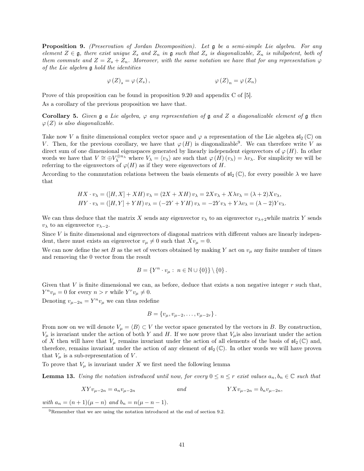Proposition 9. (Preservation of Jordan Decomposition). Let g be a semi-simple Lie algebra. For any element  $Z \in \mathfrak{g}$ , there exist unique  $Z_s$  and  $Z_n$  in  $\mathfrak{g}$  such that  $Z_s$  is diagonalizable,  $Z_n$  is nihilpotent, both of them commute and  $Z = Z_s + Z_n$ . Moreover, with the same notation we have that for any representation  $\varphi$ of the Lie algebra g hold the identities

$$
\varphi\left(Z\right)_s = \varphi\left(Z_s\right), \qquad \qquad \varphi\left(Z\right)_n = \varphi\left(Z_n\right)
$$

Prove of this proposition can be found in proposition 9.20 and appendix C of [5].

As a corollary of the previous proposition we have that.

**Corollary 5.** Given  $\mathfrak g$  a Lie algebra,  $\varphi$  any representation of  $\mathfrak g$  and Z a diagonalizable element of  $\mathfrak g$  then  $\varphi(Z)$  is also diagonalizable.

Take now V a finite dimensional complex vector space and  $\varphi$  a representation of the Lie algebra  $\mathfrak{sl}_2(\mathbb{C})$  on V. Then, for the previous corollary, we have that  $\varphi(H)$  is diagonalizable<sup>9</sup>. We can therefore write V as direct sum of one dimensional eigenspaces generated by linearly independent eigenvectors of  $\varphi(H)$ . In other words we have that  $V \cong \bigoplus V_\lambda^{\oplus n_\lambda}$  where  $V_\lambda = \langle v_\lambda \rangle$  are such that  $\varphi(H)(v_\lambda) = \lambda v_\lambda$ . For simplicity we will be referring to the eigenvectors of  $\varphi(H)$  as if they were eigenvectors of H.

According to the commutation relations between the basis elements of  $\mathfrak{sl}_2(\mathbb{C})$ , for every possible  $\lambda$  we have that

$$
HX \cdot v_{\lambda} = ([H, X] + XH) v_{\lambda} = (2X + XH) v_{\lambda} = 2Xv_{\lambda} + X\lambda v_{\lambda} = (\lambda + 2)Xv_{\lambda},
$$
  
\n
$$
HY \cdot v_{\lambda} = ([H, Y] + YH) v_{\lambda} = (-2Y + YH) v_{\lambda} = -2Yv_{\lambda} + Y\lambda v_{\lambda} = (\lambda - 2)Yv_{\lambda}.
$$

We can thus deduce that the matrix X sends any eigenvector  $v_{\lambda}$  to an eigenvector  $v_{\lambda+2}$ while matrix Y sends  $v_{\lambda}$  to an eigenvector  $v_{\lambda-2}$ .

Since V is finite dimensional and eigenvectors of diagonal matrices with different values are linearly independent, there must exists an eigenvector  $v_{\mu} \neq 0$  such that  $Xv_{\mu} = 0$ .

We can now define the set B as the set of vectors obtained by making Y act on  $v_\mu$  any finite number of times and removing the 0 vector from the result

$$
B = \{ Y^n \cdot v_\mu : n \in \mathbb{N} \cup \{0\} \} \setminus \{0\}.
$$

Given that V is finite dimensional we can, as before, deduce that exists a non negative integer  $r$  such that,  $Y^n v_\mu = 0$  for every  $n > r$  while  $Y^r v_\mu \neq 0$ .

Denoting  $v_{\mu-2n} = Y^n v_\mu$  we can thus redefine

$$
B = \{v_{\mu}, v_{\mu-2}, \ldots, v_{\mu-2r}\}.
$$

From now on we will denote  $V_{\mu} = \langle B \rangle \subset V$  the vector space generated by the vectors in B. By construction,  $V_{\mu}$  is invariant under the action of both Y and H. If we now prove that  $V_{\mu}$  is also invariant under the action of X then will have that  $V_\mu$  remains invariant under the action of all elements of the basis of  $\mathfrak{sl}_2(\mathbb{C})$  and, therefore, remains invariant under the action of any element of  $\mathfrak{sl}_2(\mathbb{C})$ . In other words we will have proven that  $V_{\mu}$  is a sub-representation of V.

To prove that  $V_{\mu}$  is invariant under X we first need the following lemma

**Lemma 13.** Using the notation introduced until now, for every  $0 \le n \le r$  exist values  $a_n, b_n \in \mathbb{C}$  such that

$$
XYv_{\mu-2n} = a_n v_{\mu-2n}
$$
 and 
$$
YXv_{\mu-2n} = b_n v_{\mu-2n}
$$
,

with  $a_n = (n+1)(\mu - n)$  and  $b_n = n(\mu - n - 1)$ .

<sup>9</sup>Remember that we are using the notation introduced at the end of section 9.2.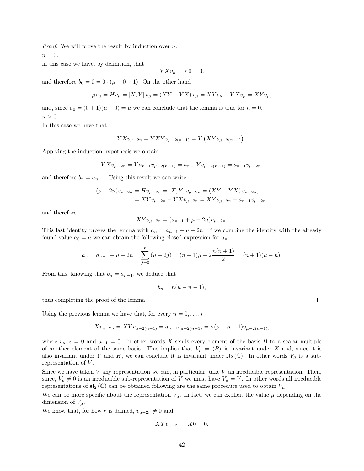*Proof.* We will prove the result by induction over  $n$ .

 $n = 0$ .

in this case we have, by definition, that

$$
YXv_{\mu} = Y0 = 0,
$$

and therefore  $b_0 = 0 = 0 \cdot (\mu - 0 - 1)$ . On the other hand

$$
\mu v_{\mu} = Hv_{\mu} = [X, Y] v_{\mu} = (XY - YX)v_{\mu} = XYv_{\mu} - YXv_{\mu} = XYv_{\mu},
$$

and, since  $a_0 = (0+1)(\mu - 0) = \mu$  we can conclude that the lemma is true for  $n = 0$ .  $n>0.$ 

In this case we have that

$$
YXv_{\mu-2n} = YXYv_{\mu-2(n-1)} = Y(XYv_{\mu-2(n-1)}).
$$

Applying the induction hypothesis we obtain

$$
YXv_{\mu-2n} = Ya_{n-1}v_{\mu-2(n-1)} = a_{n-1}Yv_{\mu-2(n-1)} = a_{n-1}v_{\mu-2n},
$$

and therefore  $b_n = a_{n-1}$ . Using this result we can write

$$
(\mu - 2n)v_{\mu - 2n} = Hv_{\mu - 2n} = [X, Y]v_{\mu - 2n} = (XY - YX)v_{\mu - 2n},
$$
  
= XYv\_{\mu - 2n} - YXv\_{\mu - 2n} = XYv\_{\mu - 2n} - a\_{n-1}v\_{\mu - 2n},

and therefore

$$
XYv_{\mu-2n} = (a_{n-1} + \mu - 2n)v_{\mu-2n}.
$$

This last identity proves the lemma with  $a_n = a_{n-1} + \mu - 2n$ . If we combine the identity with the already found value  $a_0 = \mu$  we can obtain the following closed expression for  $a_n$ 

$$
a_n = a_{n-1} + \mu - 2n = \sum_{j=0}^n (\mu - 2j) = (n+1)\mu - 2\frac{n(n+1)}{2} = (n+1)(\mu - n).
$$

From this, knowing that  $b_n = a_{n-1}$ , we deduce that

$$
b_n = n(\mu - n - 1),
$$

thus completing the proof of the lemma.

Using the previous lemma we have that, for every  $n = 0, \ldots, r$ 

$$
Xv_{\mu-2n} = XYv_{\mu-2(n-1)} = a_{n-1}v_{\mu-2(n-1)} = n(\mu - n - 1)v_{\mu-2(n-1)},
$$

where  $v_{\mu+2} = 0$  and  $a_{-1} = 0$ . In other words X sends every element of the basis B to a scalar multiple of another element of the same basis. This implies that  $V_\mu = \langle B \rangle$  is invariant under X and, since it is also invariant under Y and H, we can conclude it is invariant under  $\mathfrak{sl}_2(\mathbb{C})$ . In other words  $V_\mu$  is a subrepresentation of V.

Since we have taken  $V$  any representation we can, in particular, take  $V$  an irreducible representation. Then, since,  $V_{\mu} \neq 0$  is an irreducible sub-representation of V we must have  $V_{\mu} = V$ . In other words all irreducible representations of  $\mathfrak{sl}_2(\mathbb{C})$  can be obtained following are the same procedure used to obtain  $V_\mu$ .

We can be more specific about the representation  $V_{\mu}$ . In fact, we can explicit the value  $\mu$  depending on the dimension of  $V_\mu$ .

We know that, for how r is defined,  $v_{\mu-2r} \neq 0$  and

$$
XYv_{\mu-2r} = X0 = 0.
$$

 $\Box$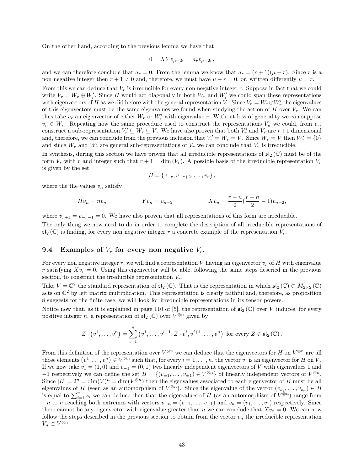On the other hand, according to the previous lemma we have that

$$
0 = XYv_{\mu-2r} = a_r v_{\mu-2r},
$$

and we can therefore conclude that  $a_r = 0$ . From the lemma we know that  $a_r = (r + 1)(\mu - r)$ . Since r is a non negative integer then  $r + 1 \neq 0$  and, therefore, we must have  $\mu - r = 0$ , or, written differently  $\mu = r$ .

From this we can deduce that  $V_r$  is irreducible for every non negative integer  $r$ . Suppose in fact that we could write  $V_r = W_r \oplus W'_r$ . Since H would act diagonally in both  $W_r$  and  $W'_r$  we could span these representations with eigenvectors of H as we did before with the general representation V. Since  $V_r = W_r \oplus W'_r$  the eigenvalues of this eigenvectors must be the same eigenvalues we found when studying the action of H over  $V_r$ . We can thus take  $v_r$  an eigenvector of either  $W_r$  or  $W'_r$  with eigenvalue r. Without loss of generality we can suppose  $v_r \in W_r$ . Repeating now the same procedure used to construct the representations  $V_\mu$  we could, from  $v_r$ , construct a sub-representation  $V'_r \subseteq W_r \subseteq V$ . We have also proven that both  $V'_r$  and  $V_r$  are  $r+1$  dimensional and, therefore, we can conclude from the previous inclusion that  $V'_r = W_r = V$ . Since  $W_r = V$  then  $W'_r = \{0\}$ and since  $W_r$  and  $W'_r$  are general sub-representations of  $V_r$  we can conclude that  $V_r$  is irreducible.

In synthesis, during this section we have proven that all irreducible representations of  $\mathfrak{sl}_2(\mathbb{C})$  must be of the form  $V_r$  with r and integer such that  $r + 1 = \dim(V_r)$ . A possible basis of the irreducible representation  $V_r$ is given by the set

$$
B = \{v_{-r}, v_{-r+2}, \ldots, v_r\},\,
$$

where the the values  $v_n$  satisfy

$$
Hv_n = nv_n \hspace{1.5cm} Yv_n = v_{n-2} \hspace{1.5cm} Xv_n = \frac{r-n}{2}(\frac{r+n}{2}-1)v_{n+2},
$$

where  $v_{r+1} = v_{-r-1} = 0$ . We have also proven that all representations of this form are irreducible. The only thing we now need to do in order to complete the description of all irreducible representations of

 $\mathfrak{sl}_2(\mathbb{C})$  is finding, for every non negative integer r a concrete example of the representation  $V_r$ .

#### 9.4 Examples of  $V_r$  for every non negative  $V_r$ .

For every non negative integer r, we will find a representation V having an eigenvector  $v_r$  of H with eigenvalue r satisfying  $Xv_r = 0$ . Using this eigenvector will be able, following the same steps descried in the previous section, to construct the irreducible representation  $V_r$ .

Take  $V = \mathbb{C}^2$  the standard representation of  $\mathfrak{sl}_2(\mathbb{C})$ . That is the representation in which  $\mathfrak{sl}_2(\mathbb{C}) \subset M_{2 \times 2}(\mathbb{C})$ acts on  $\mathbb{C}^2$  by left matrix multiplication. This representation is clearly faithful and, therefore, as proposition 8 suggests for the finite case, we will look for irreducible representations in its tensor powers.

Notice now that, as it is explained in page 110 of [5], the representation of  $\mathfrak{sl}_2(\mathbb{C})$  over V induces, for every positive integer n, a representation of  $\mathfrak{sl}_2(\mathbb{C})$  over  $V^{\otimes n}$  given by

$$
Z\cdot (v^1,\ldots,v^n)=\sum_{i=1}^n \left(v^1,\ldots,v^{i-1},Z\cdot v^i,v^{i+1},\ldots,v^n\right) \text{ for every } Z\in \mathfrak{sl}_2\left(\mathbb{C}\right).
$$

From this definition of the representation over  $V^{\otimes n}$  we can deduce that the eigenvectors for H on  $V^{\otimes n}$  are all those elements  $(v^1, \ldots, v^n) \in V^{\otimes n}$  such that, for every  $i = 1, \ldots, n$ , the vector  $v^i$  is an eigenvector for H on V. If we now take  $v_1 = (1,0)$  and  $v_{-1} = (0,1)$  two linearly independent eigenvectors of V with eigenvalues 1 and  $-1$  respectively we can define the set  $B = \{(v_{\pm 1}, \ldots, v_{\pm 1}) \in V^{\otimes n}\}\$  of linearly independent vectors of  $V^{\otimes n}$ . Since  $|B| = 2^n = \dim(V)^n = \dim(V^{\otimes n})$  then the eigenvalues associated to each eigenvector of B must be all eigenvalues of H (seen as an automorphism of  $V^{\otimes n}$ ). Since the eigenvalue of the vector  $(v_{s_1},...,v_{s_n}) \in B$ is equal to  $\sum_{i=1}^n s_i$  we can deduce then that the eigenvalues of H (as an automorphism of  $V^{\otimes n}$ ) range from  $-n$  to n reaching both extremes with vectors  $v_{-n} = (v_{-1}, \ldots, v_{-1})$  and  $v_n = (v_1, \ldots, v_1)$  respectively. Since there cannot be any eigenvector with eigenvalue greater than n we can conclude that  $Xv_n = 0$ . We can now follow the steps described in the previous section to obtain from the vector  $v_n$  the irreducible representation  $V_n \subset V^{\otimes n}.$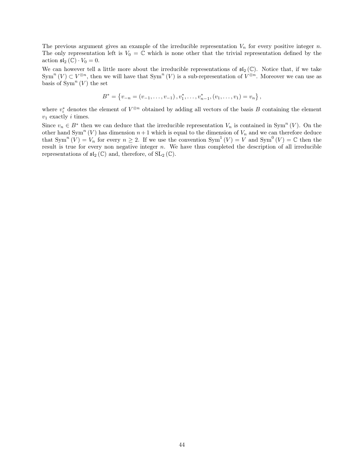The previous argument gives an example of the irreducible representation  $V_n$  for every positive integer n. The only representation left is  $V_0 = \mathbb{C}$  which is none other that the trivial representation defined by the action  $\mathfrak{sl}_2(\mathbb{C}) \cdot V_0 = 0$ .

We can however tell a little more about the irreducible representations of  $\mathfrak{sl}_2(\mathbb{C})$ . Notice that, if we take  $Sym^n (V) \subset V^{\otimes n}$ , then we will have that  $Sym^n (V)$  is a sub-representation of  $V^{\otimes n}$ . Moreover we can use as basis of  $\text{Sym}^n(V)$  the set

$$
B^* = \{v_{-n} = (v_{-1}, \ldots, v_{-1}), v_1^*, \ldots, v_{n-1}^*, (v_1, \ldots, v_1) = v_n\},\
$$

where  $v_i^*$  denotes the element of  $V^{\otimes n}$  obtained by adding all vectors of the basis B containing the element  $v_1$  exactly *i* times.

Since  $v_n \in B^*$  then we can deduce that the irreducible representation  $V_n$  is contained in Sym<sup>n</sup> (V). On the other hand  $\text{Sym}^n(V)$  has dimension  $n+1$  which is equal to the dimension of  $V_n$  and we can therefore deduce that  $\text{Sym}^n(V) = V_n$  for every  $n \geq 2$ . If we use the convention  $\text{Sym}^1(V) = V$  and  $\text{Sym}^0(V) = \mathbb{C}$  then the result is true for every non negative integer  $n$ . We have thus completed the description of all irreducible representations of  $\mathfrak{sl}_2(\mathbb{C})$  and, therefore, of  $SL_2(\mathbb{C})$ .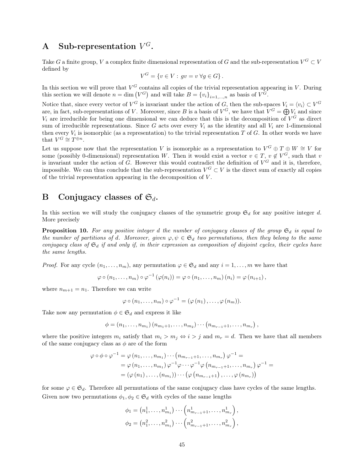# A Sub-representation  $V^G$ .

Take G a finite group, V a complex finite dimensional representation of G and the sub-representation  $V^G \subset V$ defined by

$$
V^G = \{ v \in V : gv = v \,\forall g \in G \}.
$$

In this section we will prove that  $V^G$  contains all copies of the trivial representation appearing in V. During this section we will denote  $n = \dim(V^G)$  and will take  $B = \{v_i\}_{i=1,\dots,n}$  as basis of  $V^G$ .

Notice that, since every vector of  $V^G$  is invariant under the action of G, then the sub-spaces  $V_i = \langle v_i \rangle \subset V^G$ are, in fact, sub-representations of V. Moreover, since B is a basis of  $V^G$ , we have that  $V^G = \bigoplus V_i$  and since  $V_i$  are irreducible for being one dimensional we can deduce that this is the decomposition of  $V^G$  as direct sum of irreducible representations. Since G acts over every  $V_i$  as the identity and all  $V_i$  are 1-dimensional then every  $V_i$  is isomorphic (as a representation) to the trivial representation T of G. In other words we have that  $V^G \cong T^{\oplus n}$ .

Let us suppose now that the representation V is isomorphic as a representation to  $V^G \oplus T \oplus W \cong V$  for some (possibly 0-dimensional) representation W. Then it would exist a vector  $v \in T$ ,  $v \notin V^G$ , such that v is invariant under the action of G. However this would contradict the definition of  $V^G$  and it is, therefore, impossible. We can thus conclude that the sub-representation  $V^G \subset V$  is the direct sum of exactly all copies of the trivial representation appearing in the decomposition of V .

## B Conjugacy classes of  $\mathfrak{S}_d$ .

In this section we will study the conjugacy classes of the symmetric group  $\mathfrak{S}_d$  for any positive integer d. More precisely

**Proposition 10.** For any positive integer d the number of conjugacy classes of the group  $\mathfrak{S}_d$  is equal to the number of partitions of d. Moreover, given  $\varphi, \psi \in \mathfrak{S}_d$  two permutations, then they belong to the same conjugacy class of  $\mathfrak{S}_d$  if and only if, in their expression as composition of disjoint cycles, their cycles have the same lengths.

*Proof.* For any cycle  $(n_1, \ldots, n_m)$ , any permutation  $\varphi \in \mathfrak{S}_d$  and any  $i = 1, \ldots, m$  we have that

$$
\varphi \circ (n_1, \ldots, n_m) \circ \varphi^{-1} \left( \varphi(n_i) \right) = \varphi \circ (n_1, \ldots, n_m) \left( n_i \right) = \varphi \left( n_{i+1} \right),
$$

where  $n_{m+1} = n_1$ . Therefore we can write

$$
\varphi \circ (n_1, \ldots, n_m) \circ \varphi^{-1} = (\varphi (n_1), \ldots, \varphi (n_m)).
$$

Take now any permutation  $\phi \in \mathfrak{S}_d$  and express it like

$$
\phi = (n_1, \ldots, n_{m_1}) (n_{m_1+1}, \ldots, n_{m_2}) \cdots (n_{m_{r-1}+1}, \ldots, n_{m_r}),
$$

where the positive integers  $m_i$  satisfy that  $m_i > m_j \Leftrightarrow i > j$  and  $m_r = d$ . Then we have that all members of the same conjugacy class as  $\phi$  are of the form

$$
\varphi \circ \phi \circ \varphi^{-1} = \varphi(n_1, \dots, n_{m_1}) \cdots (n_{m_{r-1}+1}, \dots, n_{m_r}) \varphi^{-1} =
$$
  
=  $\varphi(n_1, \dots, n_{m_1}) \varphi^{-1} \varphi \cdots \varphi^{-1} \varphi (n_{m_{r-1}+1}, \dots, n_{m_r}) \varphi^{-1} =$   
=  $(\varphi(n_1), \dots, (n_{m_1})) \cdots (\varphi (n_{m_{r-1}+1}), \dots, \varphi (n_{m_r}))$ 

for some  $\varphi \in \mathfrak{S}_d$ . Therefore all permutations of the same conjugacy class have cycles of the same lengths. Given now two permutations  $\phi_1, \phi_2 \in \mathfrak{S}_d$  with cycles of the same lengths

$$
\phi_1 = (n_1^1, \dots, n_{m_1}^1) \cdots (n_{m_{r-1}+1}^1, \dots, n_{m_r}^1),
$$
  

$$
\phi_2 = (n_1^2, \dots, n_{m_1}^2) \cdots (n_{m_{r-1}+1}^2, \dots, n_{m_r}^2),
$$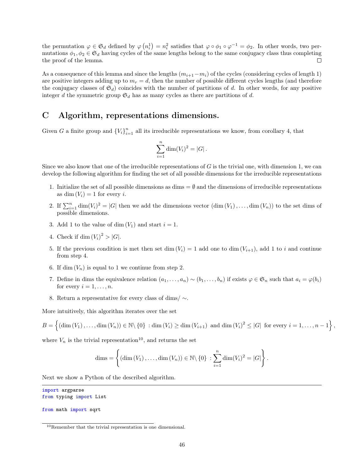the permutation  $\varphi \in \mathfrak{S}_d$  defined by  $\varphi(n_i^1) = n_i^2$  satisfies that  $\varphi \circ \phi_1 \circ \varphi^{-1} = \phi_2$ . In other words, two permutations  $\phi_1, \phi_2 \in \mathfrak{S}_d$  having cycles of the same lengths belong to the same conjugacy class thus completing  $\Box$ the proof of the lemma.

As a consequence of this lemma and since the lengths  $(m_{i+1}-m_i)$  of the cycles (considering cycles of length 1) are positive integers adding up to  $m_r = d$ , then the number of possible different cycles lengths (and therefore the conjugacy classes of  $\mathfrak{S}_d$ ) coincides with the number of partitions of d. In other words, for any positive integer d the symmetric group  $\mathfrak{S}_d$  has as many cycles as there are partitions of d.

## C Algorithm, representations dimensions.

Given G a finite group and  ${V_i}_{i=1}^n$  all its irreducible representations we know, from corollary 4, that

$$
\sum_{i=1}^{n} \dim(V_i)^2 = |G|.
$$

Since we also know that one of the irreducible representations of  $G$  is the trivial one, with dimension 1, we can develop the following algorithm for finding the set of all possible dimensions for the irreducible representations

- 1. Initialize the set of all possible dimensions as dims  $=$   $\emptyset$  and the dimensions of irreducible representations as dim  $(V_i) = 1$  for every i.
- 2. If  $\sum_{i=1}^{n} \dim(V_i)^2 = |G|$  then we add the dimensions vector  $(\dim(V_1), \ldots, \dim(V_n))$  to the set dims of possible dimensions.
- 3. Add 1 to the value of dim  $(V_1)$  and start  $i = 1$ .
- 4. Check if dim  $(V_i)^2 > |G|$ .
- 5. If the previous condition is met then set dim  $(V_i) = 1$  add one to dim  $(V_{i+1})$ , add 1 to i and continue from step 4.
- 6. If dim  $(V_n)$  is equal to 1 we continue from step 2.
- 7. Define in dims the equivalence relation  $(a_1, \ldots, a_n) \sim (b_1, \ldots, b_n)$  if exists  $\varphi \in \mathfrak{S}_n$  such that  $a_i = \varphi(b_i)$ for every  $i = 1, \ldots, n$ .
- 8. Return a representative for every class of dims/ ∼.

More intuitively, this algorithm iterates over the set

$$
B = \left\{ (\dim(V_1), \ldots, \dim(V_n)) \in \mathbb{N} \setminus \{0\} : \dim(V_i) \ge \dim(V_{i+1}) \text{ and } \dim(V_i)^2 \le |G| \text{ for every } i = 1, \ldots, n-1 \right\},\
$$

where  $V_n$  is the trivial representation<sup>10</sup>, and returns the set

$$
\dim \mathbf{s} = \left\{ (\dim (V_1), \ldots, \dim (V_n)) \in \mathbb{N} \setminus \{0\} : \sum_{i=1}^n \dim (V_i)^2 = |G| \right\}.
$$

Next we show a Python of the described algorithm.

```
import argparse
from typing import List
```
from math import sqrt

<sup>10</sup>Remember that the trivial representation is one dimensional.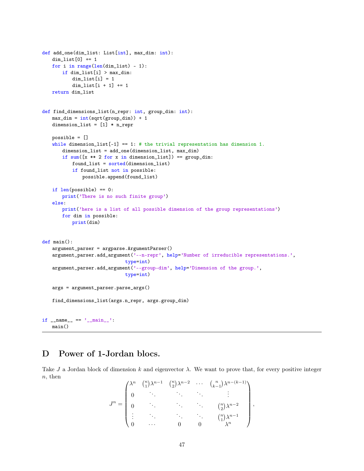```
def add_one(dim_list: List[int], max_dim: int):
   dim_list[0] += 1
   for i in range(len(dim_list) - 1):
       if dim_list[i] > max_dim:
           dim\_list[i] = 1dim\_list[i + 1] += 1return dim_list
def find_dimensions_list(n_repr: int, group_dim: int):
   max\_dim = int(sqrt(group\_dim)) + 1dimension_list = [1] * n_repr
   possible = []
   while dimension_list[-1] == 1: # the trivial representation has dimension 1.
       dimension_list = add_one(dimension_list, max_dim)
       if sum([x ** 2 for x in dimension\_list]) == group\_dim:found_list = sorted(dimension_list)
           if found_list not in possible:
              possible.append(found_list)
   if len(possible) == 0:
       print('There is no such finite group')
   else:
       print('here is a list of all possible dimension of the group representations')
       for dim in possible:
          print(dim)
def main():
   argument_parser = argparse.ArgumentParser()
   argument_parser.add_argument('--n-repr', help='Number of irreducible representations.',
                              type=int)
   argument_parser.add_argument('--group-dim', help='Dimension of the group.',
                              type=int)
   args = argument_parser.parse_args()
   find_dimensions_list(args.n_repr, args.group_dim)
if _name_-= \frac{1}{2} main_main()
```
# D Power of 1-Jordan blocs.

Take J a Jordan block of dimension k and eigenvector  $\lambda$ . We want to prove that, for every positive integer n, then

$$
J^{n} = \begin{pmatrix} \lambda^{n} & \binom{n}{1} \lambda^{n-1} & \binom{n}{2} \lambda^{n-2} & \cdots & \binom{n}{k-1} \lambda^{n-(k-1)} \\ 0 & \ddots & \ddots & \ddots & \vdots \\ 0 & \ddots & \ddots & \ddots & \binom{n}{2} \lambda^{n-2} \\ \vdots & \ddots & \ddots & \ddots & \binom{n}{1} \lambda^{n-1} \\ 0 & \cdots & 0 & 0 & \lambda^{n} \end{pmatrix},
$$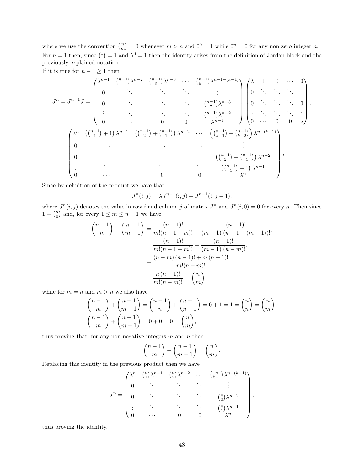where we use the convention  $\binom{n}{m} = 0$  whenever  $m > n$  and  $0^0 = 1$  while  $0^n = 0$  for any non zero integer n. For  $n=1$  then, since  $\binom{1}{1}=1$  and  $\lambda^0=1$  then the identity arises from the definition of Jordan block and the previously explained notation.

If it is true for  $n - 1 \geq 1$  then

$$
J^{n} = J^{n-1} J = \begin{pmatrix} \lambda^{n-1} & \binom{n-1}{1} \lambda^{n-2} & \binom{n-1}{2} \lambda^{n-3} & \cdots & \binom{n-1}{k-1} \lambda^{n-1-(k-1)} \\ 0 & \ddots & \ddots & \ddots & \vdots \\ 0 & \ddots & \ddots & \binom{n-1}{2} \lambda^{n-3} & 0 \\ \vdots & \ddots & \ddots & \binom{n-1}{1} \lambda^{n-2} & 0 \\ 0 & \cdots & 0 & 0 & \lambda^{n-1} \end{pmatrix} \begin{pmatrix} \lambda & 1 & 0 & \cdots & 0 \\ 0 & \ddots & \ddots & \vdots \\ 0 & \ddots & \ddots & 0 \\ 0 & \cdots & 0 & 0 & \lambda \end{pmatrix},
$$

$$
= \begin{pmatrix} \lambda^{n} & \left( \binom{n-1}{1} + 1 \right) \lambda^{n-1} & \left( \binom{n-1}{2} + \binom{n-1}{1} \right) \lambda^{n-2} & \cdots & \left( \binom{n-1}{k-1} + \binom{n-1}{k-2} \right) \lambda^{n-(k-1)} \\ 0 & \ddots & \ddots & \ddots & \vdots \\ 0 & \ddots & \ddots & \ddots & \vdots \\ \vdots & \ddots & \ddots & \left( \binom{n-1}{2} + \binom{n-1}{1} \right) \lambda^{n-2} \\ \vdots & \ddots & \ddots & \left( \binom{n-1}{1} + 1 \right) \lambda^{n-1} \\ 0 & \cdots & 0 & 0 \end{pmatrix},
$$

Since by definition of the product we have that

$$
J^{n}(i,j) = \lambda J^{n-1}(i,j) + J^{n-1}(i,j-1),
$$

where  $J^n(i, j)$  denotes the value in row i and column j of matrix  $J^n$  and  $J^n(i, 0) = 0$  for every n. Then since  $1 = \binom{n}{0}$  and, for every  $1 \le m \le n - 1$  we have

$$
\binom{n-1}{m} + \binom{n-1}{m-1} = \frac{(n-1)!}{m!(n-1-m)!} + \frac{(n-1)!}{(m-1)!(n-1-(m-1))!},
$$

$$
= \frac{(n-1)!}{m!(n-1-m)!} + \frac{(n-1)!}{(m-1)!(n-m)!},
$$

$$
= \frac{(n-m)(n-1)! + m(n-1)!}{m!(n-m)!},
$$

$$
= \frac{n(n-1)!}{m!(n-m)!} = \binom{n}{m},
$$

while for  $m = n$  and  $m > n$  we also have

$$
\binom{n-1}{m} + \binom{n-1}{m-1} = \binom{n-1}{n} + \binom{n-1}{n-1} = 0 + 1 = 1 = \binom{n}{n} = \binom{n}{m},
$$
  

$$
\binom{n-1}{m} + \binom{n-1}{m-1} = 0 + 0 = 0 = \binom{n}{m},
$$

thus proving that, for any non negative integers  $m$  and  $n$  then

$$
\binom{n-1}{m} + \binom{n-1}{m-1} = \binom{n}{m}.
$$

Replacing this identity in the previous product then we have

$$
J^n = \begin{pmatrix} \lambda^n & \binom{n}{1} \lambda^{n-1} & \binom{n}{2} \lambda^{n-2} & \cdots & \binom{n}{k-1} \lambda^{n-(k-1)} \\ 0 & \ddots & \ddots & \ddots & \vdots \\ 0 & \ddots & \ddots & \ddots & \binom{n}{2} \lambda^{n-2} \\ \vdots & \ddots & \ddots & \ddots & \binom{n}{1} \lambda^{n-1} \\ 0 & \cdots & 0 & 0 & \lambda^n \end{pmatrix},
$$

thus proving the identity.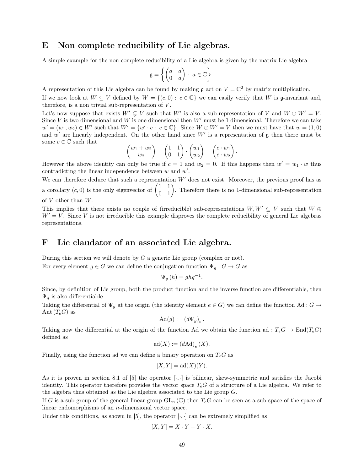## E Non complete reducibility of Lie algebras.

A simple example for the non complete reducibility of a Lie algebra is given by the matrix Lie algebra

$$
\mathfrak{g} = \left\{ \begin{pmatrix} a & a \\ 0 & a \end{pmatrix} : a \in \mathbb{C} \right\}.
$$

A representation of this Lie algebra can be found by making  $\mathfrak g$  act on  $V = \mathbb C^2$  by matrix multiplication.

If we now look at  $W \subsetneq V$  defined by  $W = \{(c, 0): c \in \mathbb{C}\}$  we can easily verify that W is g-invariant and, therefore, is a non trivial sub-representation of  $V$ .

Let's now suppose that exists  $W' \subsetneq V$  such that W' is also a sub-representation of V and  $W \oplus W' = V$ . Since V is two dimensional and W is one dimensional then  $W'$  must be 1 dimensional. Therefore we can take  $w' = (w_1, w_2) \in W'$  such that  $W' = \{w' \cdot c : c \in \mathbb{C}\}\$ . Since  $W \oplus W' = V$  then we must have that  $w = (1, 0)$ and  $w'$  are linearly independent. On the other hand since  $W'$  is a representation of  $\mathfrak g$  then there must be some  $c \in \mathbb{C}$  such that

$$
\begin{pmatrix} w_1 + w_2 \ w_2 \end{pmatrix} = \begin{pmatrix} 1 & 1 \\ 0 & 1 \end{pmatrix} \cdot \begin{pmatrix} w_1 \\ w_2 \end{pmatrix} = \begin{pmatrix} c \cdot w_1 \\ c \cdot w_2 \end{pmatrix}.
$$

However the above identity can only be true if  $c = 1$  and  $w_2 = 0$ . If this happens then  $w' = w_1 \cdot w$  thus contradicting the linear independence between  $w$  and  $w'$ .

We can therefore deduce that such a representation  $W'$  does not exist. Moreover, the previous proof has as a corollary  $(c, 0)$  is the only eigenvector of  $\begin{pmatrix} 1 & 1 \\ 0 & 1 \end{pmatrix}$ . Therefore there is no 1-dimensional sub-representation of  $V$  other than  $W$ .

This implies that there exists no couple of (irreducible) sub-representations  $W, W' \subseteq V$  such that  $W \oplus$  $W' = V$ . Since V is not irreducible this example disproves the complete reducibility of general Lie algebras representations.

## F Lie claudator of an associated Lie algebra.

During this section we will denote by  $G$  a generic Lie group (complex or not). For every element  $g \in G$  we can define the conjugation function  $\Psi_q : G \to G$  as

$$
\Psi_{g}(h) = ghg^{-1}.
$$

Since, by definition of Lie group, both the product function and the inverse function are differentiable, then  $\Psi_g$  is also differentiable.

Taking the differential of  $\Psi_g$  at the origin (the identity element  $e \in G$ ) we can define the function Ad :  $G \to$ Aut  $(T_eG)$  as

$$
\mathrm{Ad}(g) := \left( d\Psi_g \right)_e.
$$

Taking now the differential at the origin of the function Ad we obtain the function ad :  $T_eG \to \text{End}(T_eG)$ defined as

$$
\mathrm{ad}(X) := (d\mathrm{Ad})_e(X).
$$

Finally, using the function ad we can define a binary operation on  $T_eG$  as

$$
[X, Y] = \mathrm{ad}(X)(Y).
$$

As it is proven in section 8.1 of [5] the operator  $[\cdot, \cdot]$  is bilinear, skew-symmetric and satisfies the Jacobi identity. This operator therefore provides the vector space  $T_eG$  of a structure of a Lie algebra. We refer to the algebra thus obtained as the Lie algebra associated to the Lie group G.

If G is a sub-group of the general linear group  $GL_n(\mathbb{C})$  then  $T_eG$  can be seen as a sub-space of the space of linear endomorphisms of an n-dimensional vector space.

Under this conditions, as shown in [5], the operator  $[\cdot, \cdot]$  can be extremely simplified as

$$
[X, Y] = X \cdot Y - Y \cdot X.
$$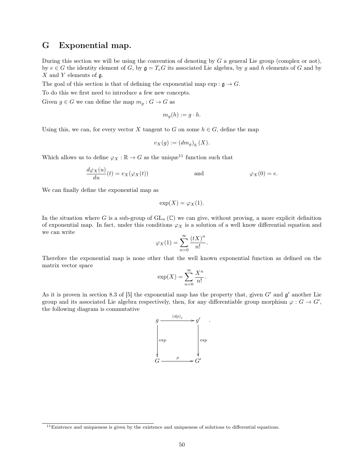## G Exponential map.

During this section we will be using the convention of denoting by  $G$  a general Lie group (complex or not), by  $e \in G$  the identity element of G, by  $\mathfrak{g} = T_eG$  its associated Lie algebra, by g and h elements of G and by  $X$  and  $Y$  elements of  $\mathfrak{g}$ .

The goal of this section is that of defining the exponential map  $\exp : \mathfrak{g} \to G$ .

To do this we first need to introduce a few new concepts.

Given  $g \in G$  we can define the map  $m_g : G \to G$  as

$$
m_g(h) := g \cdot h.
$$

Using this, we can, for every vector X tangent to G on some  $h \in G$ , define the map

$$
v_X(g) := (dm_g)_h(X).
$$

Which allows us to define  $\varphi_X : \mathbb{R} \to G$  as the unique<sup>11</sup> function such that

$$
\frac{d\varphi_X(u)}{du}(t) = v_X(\varphi_X(t))
$$
 and 
$$
\varphi_X(0) = e.
$$

We can finally define the exponential map as

$$
\exp(X) = \varphi_X(1).
$$

In the situation where G is a sub-group of  $GL_n(\mathbb{C})$  we can give, without proving, a more explicit definition of exponential map. In fact, under this conditions  $\varphi_X$  is a solution of a well know differential equation and we can write

$$
\varphi_X(1) = \sum_{n=0}^{\infty} \frac{(tX)^n}{n!}.
$$

Therefore the exponential map is none other that the well known exponential function as defined on the matrix vector space

$$
\exp(X) = \sum_{n=0}^{\infty} \frac{X^n}{n!}.
$$

As it is proven in section 8.3 of [5] the exponential map has the property that, given  $G'$  and  $\mathfrak{g}'$  another Lie group and its associated Lie algebra respectively, then, for any differentiable group morphism  $\varphi: G \to G'$ , the following diagram is commutative

$$
\begin{array}{ccc}\n & \frac{(d\rho)_e}{\longrightarrow} g' & \cdots \\
 & \downarrow & \downarrow & \downarrow \\
 & \downarrow & \downarrow & \downarrow \\
 & G & \xrightarrow{\rho} & G' & \end{array}
$$

 $11$ Existence and uniqueness is given by the existence and uniqueness of solutions to differential equations.